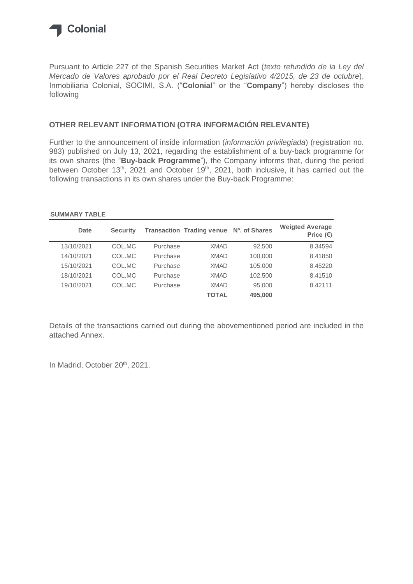

Pursuant to Article 227 of the Spanish Securities Market Act (*texto refundido de la Ley del Mercado de Valores aprobado por el Real Decreto Legislativo 4/2015, de 23 de octubre*), Inmobiliaria Colonial, SOCIMI, S.A. ("**Colonial**" or the "**Company**") hereby discloses the following

#### **OTHER RELEVANT INFORMATION (OTRA INFORMACIÓN RELEVANTE)**

Further to the announcement of inside information (*información privilegiada*) (registration no. 983) published on July 13, 2021, regarding the establishment of a buy-back programme for its own shares (the "**Buy-back Programme**"), the Company informs that, during the period between October 13<sup>th</sup>, 2021 and October 19<sup>th</sup>, 2021, both inclusive, it has carried out the following transactions in its own shares under the Buy-back Programme:

#### **SUMMARY TABLE**

| <b>Date</b> | <b>Security</b> |          | Transaction Trading venue Nº. of Shares |         | <b>Weigted Average</b><br>Price $(\epsilon)$ |
|-------------|-----------------|----------|-----------------------------------------|---------|----------------------------------------------|
| 13/10/2021  | COL.MC          | Purchase | <b>XMAD</b>                             | 92,500  | 8.34594                                      |
| 14/10/2021  | COL.MC          | Purchase | <b>XMAD</b>                             | 100,000 | 8.41850                                      |
| 15/10/2021  | COL.MC          | Purchase | <b>XMAD</b>                             | 105,000 | 8.45220                                      |
| 18/10/2021  | COL.MC          | Purchase | <b>XMAD</b>                             | 102,500 | 8.41510                                      |
| 19/10/2021  | COL.MC          | Purchase | <b>XMAD</b>                             | 95,000  | 8.42111                                      |
|             |                 |          | <b>TOTAL</b>                            | 495,000 |                                              |

Details of the transactions carried out during the abovementioned period are included in the attached Annex.

In Madrid, October 20<sup>th</sup>, 2021.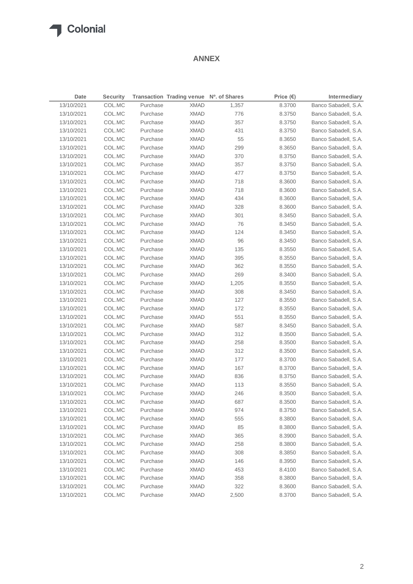#### **ANNEX**

| <b>Date</b> | <b>Security</b> |                      | Transaction Trading venue Nº. of Shares |       | Price $(€)$ | <b>Intermediary</b>                          |
|-------------|-----------------|----------------------|-----------------------------------------|-------|-------------|----------------------------------------------|
| 13/10/2021  | COL.MC          | Purchase             | <b>XMAD</b>                             | 1,357 | 8.3700      | Banco Sabadell, S.A.                         |
| 13/10/2021  | COL.MC          | Purchase             | <b>XMAD</b>                             | 776   | 8.3750      | Banco Sabadell, S.A.                         |
| 13/10/2021  | COL.MC          | Purchase             | <b>XMAD</b>                             | 357   | 8.3750      | Banco Sabadell, S.A.                         |
| 13/10/2021  | COL.MC          | Purchase             | <b>XMAD</b>                             | 431   | 8.3750      | Banco Sabadell, S.A.                         |
| 13/10/2021  | COL.MC          | Purchase             | <b>XMAD</b>                             | 55    | 8.3650      | Banco Sabadell, S.A.                         |
| 13/10/2021  | COL.MC          | Purchase             | <b>XMAD</b>                             | 299   | 8.3650      | Banco Sabadell, S.A.                         |
| 13/10/2021  | COL.MC          | Purchase             | <b>XMAD</b>                             | 370   | 8.3750      | Banco Sabadell, S.A.                         |
| 13/10/2021  | COL.MC          | Purchase             | XMAD                                    | 357   | 8.3750      | Banco Sabadell, S.A.                         |
| 13/10/2021  | COL.MC          | Purchase             | XMAD                                    | 477   | 8.3750      | Banco Sabadell, S.A.                         |
| 13/10/2021  | COL.MC          | Purchase             | <b>XMAD</b>                             | 718   | 8.3600      | Banco Sabadell, S.A.                         |
| 13/10/2021  | COL.MC          | Purchase             | XMAD                                    | 718   | 8.3600      | Banco Sabadell, S.A.                         |
| 13/10/2021  | COL.MC          | Purchase             | XMAD                                    | 434   | 8.3600      | Banco Sabadell, S.A.                         |
| 13/10/2021  | COL.MC          | Purchase             | <b>XMAD</b>                             | 328   | 8.3600      | Banco Sabadell, S.A.                         |
| 13/10/2021  | COL.MC          | Purchase             | <b>XMAD</b>                             | 301   | 8.3450      | Banco Sabadell, S.A.                         |
| 13/10/2021  | COL.MC          | Purchase             | <b>XMAD</b>                             | 76    | 8.3450      | Banco Sabadell, S.A.                         |
| 13/10/2021  | COL.MC          | Purchase             | <b>XMAD</b>                             | 124   | 8.3450      | Banco Sabadell, S.A.                         |
| 13/10/2021  | COL.MC          | Purchase             | <b>XMAD</b>                             | 96    | 8.3450      | Banco Sabadell, S.A.                         |
| 13/10/2021  | COL.MC          | Purchase             | XMAD                                    | 135   | 8.3550      | Banco Sabadell, S.A.                         |
| 13/10/2021  | COL.MC          | Purchase             | <b>XMAD</b>                             | 395   | 8.3550      | Banco Sabadell, S.A.                         |
| 13/10/2021  | COL.MC          | Purchase             | <b>XMAD</b>                             | 362   | 8.3550      | Banco Sabadell, S.A.                         |
| 13/10/2021  | COL.MC          | Purchase             | XMAD                                    | 269   | 8.3400      | Banco Sabadell, S.A.                         |
| 13/10/2021  | COL.MC          | Purchase             | <b>XMAD</b>                             | 1,205 | 8.3550      | Banco Sabadell, S.A.                         |
| 13/10/2021  | COL.MC          | Purchase             | XMAD                                    | 308   | 8.3450      | Banco Sabadell, S.A.                         |
| 13/10/2021  | COL.MC          | Purchase             | XMAD                                    | 127   | 8.3550      | Banco Sabadell, S.A.                         |
| 13/10/2021  | COL.MC          | Purchase             | <b>XMAD</b>                             | 172   | 8.3550      | Banco Sabadell, S.A.                         |
| 13/10/2021  | COL.MC          | Purchase             | XMAD                                    | 551   | 8.3550      | Banco Sabadell, S.A.                         |
| 13/10/2021  | COL.MC          | Purchase             | XMAD                                    | 587   | 8.3450      | Banco Sabadell, S.A.                         |
| 13/10/2021  | COL.MC          | Purchase             | <b>XMAD</b>                             | 312   | 8.3500      | Banco Sabadell, S.A.                         |
| 13/10/2021  | COL.MC          | Purchase             | <b>XMAD</b>                             | 258   | 8.3500      | Banco Sabadell, S.A.                         |
| 13/10/2021  | COL.MC          | Purchase             | XMAD                                    | 312   | 8.3500      | Banco Sabadell, S.A.                         |
| 13/10/2021  | COL.MC          | Purchase             | <b>XMAD</b>                             | 177   |             | Banco Sabadell, S.A.                         |
| 13/10/2021  |                 |                      |                                         |       | 8.3700      |                                              |
|             | COL.MC          | Purchase<br>Purchase | <b>XMAD</b>                             | 167   | 8.3700      | Banco Sabadell, S.A.<br>Banco Sabadell, S.A. |
| 13/10/2021  | COL.MC          |                      | XMAD                                    | 836   | 8.3750      |                                              |
| 13/10/2021  | COL.MC          | Purchase             | <b>XMAD</b>                             | 113   | 8.3550      | Banco Sabadell, S.A.                         |
| 13/10/2021  | COL.MC          | Purchase             | <b>XMAD</b>                             | 246   | 8.3500      | Banco Sabadell, S.A.                         |
| 13/10/2021  | COL.MC          | Purchase             | <b>XMAD</b>                             | 687   | 8.3500      | Banco Sabadell, S.A.                         |
| 13/10/2021  | COL.MC          | Purchase             | <b>XMAD</b>                             | 974   | 8.3750      | Banco Sabadell, S.A.                         |
| 13/10/2021  | COL.MC          | Purchase             | <b>XMAD</b>                             | 555   | 8.3800      | Banco Sabadell, S.A.                         |
| 13/10/2021  | COL.MC          | Purchase             | XMAD                                    | 85    | 8.3800      | Banco Sabadell, S.A.                         |
| 13/10/2021  | COL.MC          | Purchase             | XMAD                                    | 365   | 8.3900      | Banco Sabadell, S.A.                         |
| 13/10/2021  | COL.MC          | Purchase             | <b>XMAD</b>                             | 258   | 8.3800      | Banco Sabadell, S.A.                         |
| 13/10/2021  | COL.MC          | Purchase             | <b>XMAD</b>                             | 308   | 8.3850      | Banco Sabadell, S.A.                         |
| 13/10/2021  | COL.MC          | Purchase             | <b>XMAD</b>                             | 146   | 8.3950      | Banco Sabadell, S.A.                         |
| 13/10/2021  | COL.MC          | Purchase             | XMAD                                    | 453   | 8.4100      | Banco Sabadell, S.A.                         |
| 13/10/2021  | COL.MC          | Purchase             | <b>XMAD</b>                             | 358   | 8.3800      | Banco Sabadell, S.A.                         |
| 13/10/2021  | COL.MC          | Purchase             | <b>XMAD</b>                             | 322   | 8.3600      | Banco Sabadell, S.A.                         |
| 13/10/2021  | COL.MC          | Purchase             | <b>XMAD</b>                             | 2,500 | 8.3700      | Banco Sabadell, S.A.                         |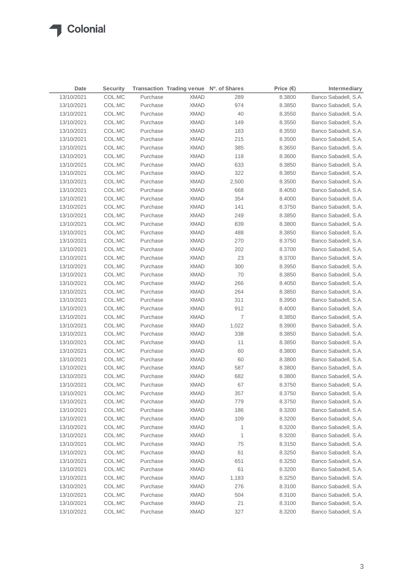| Date       | <b>Security</b> |          | Transaction Trading venue Nº. of Shares |       | Price $(\epsilon)$ | <b>Intermediary</b>  |
|------------|-----------------|----------|-----------------------------------------|-------|--------------------|----------------------|
| 13/10/2021 | COL.MC          | Purchase | <b>XMAD</b>                             | 289   | 8.3800             | Banco Sabadell, S.A. |
| 13/10/2021 | COL.MC          | Purchase | <b>XMAD</b>                             | 974   | 8.3850             | Banco Sabadell, S.A. |
| 13/10/2021 | COL.MC          | Purchase | <b>XMAD</b>                             | 40    | 8.3550             | Banco Sabadell, S.A. |
| 13/10/2021 | COL.MC          | Purchase | <b>XMAD</b>                             | 149   | 8.3550             | Banco Sabadell, S.A. |
| 13/10/2021 | COL.MC          | Purchase | <b>XMAD</b>                             | 183   | 8.3550             | Banco Sabadell, S.A. |
| 13/10/2021 | COL.MC          | Purchase | <b>XMAD</b>                             | 215   | 8.3500             | Banco Sabadell, S.A. |
| 13/10/2021 | COL.MC          | Purchase | <b>XMAD</b>                             | 385   | 8.3650             | Banco Sabadell, S.A. |
| 13/10/2021 | COL.MC          | Purchase | <b>XMAD</b>                             | 118   | 8.3600             | Banco Sabadell, S.A. |
| 13/10/2021 | COL.MC          | Purchase | <b>XMAD</b>                             | 633   | 8.3850             | Banco Sabadell, S.A. |
| 13/10/2021 | COL.MC          | Purchase | XMAD                                    | 322   | 8.3850             | Banco Sabadell, S.A. |
| 13/10/2021 | COL.MC          | Purchase | XMAD                                    | 2,500 | 8.3500             | Banco Sabadell, S.A. |
| 13/10/2021 | COL.MC          | Purchase | XMAD                                    | 668   | 8.4050             | Banco Sabadell, S.A. |
| 13/10/2021 | COL.MC          | Purchase | <b>XMAD</b>                             | 354   | 8.4000             | Banco Sabadell, S.A. |
| 13/10/2021 | COL.MC          | Purchase | XMAD                                    | 141   | 8.3750             | Banco Sabadell, S.A. |
| 13/10/2021 | COL.MC          | Purchase | XMAD                                    | 249   | 8.3850             | Banco Sabadell, S.A. |
| 13/10/2021 | COL.MC          | Purchase | <b>XMAD</b>                             | 839   | 8.3800             | Banco Sabadell, S.A. |
| 13/10/2021 | COL.MC          | Purchase | <b>XMAD</b>                             | 488   | 8.3850             | Banco Sabadell, S.A. |
| 13/10/2021 | COL.MC          | Purchase | <b>XMAD</b>                             | 270   | 8.3750             | Banco Sabadell, S.A. |
| 13/10/2021 | COL.MC          | Purchase | <b>XMAD</b>                             | 202   | 8.3700             | Banco Sabadell, S.A. |
| 13/10/2021 | COL.MC          | Purchase | <b>XMAD</b>                             | 23    | 8.3700             | Banco Sabadell, S.A. |
| 13/10/2021 | COL.MC          | Purchase | XMAD                                    | 300   | 8.3950             | Banco Sabadell, S.A. |
| 13/10/2021 | COL.MC          | Purchase | XMAD                                    | 70    | 8.3850             | Banco Sabadell, S.A. |
| 13/10/2021 | COL.MC          | Purchase | XMAD                                    | 266   | 8.4050             | Banco Sabadell, S.A. |
| 13/10/2021 | COL.MC          | Purchase | XMAD                                    | 264   | 8.3850             | Banco Sabadell, S.A. |
| 13/10/2021 | COL.MC          | Purchase | XMAD                                    | 311   | 8.3950             | Banco Sabadell, S.A. |
| 13/10/2021 | COL.MC          | Purchase | XMAD                                    | 912   | 8.4000             | Banco Sabadell, S.A. |
| 13/10/2021 | COL.MC          | Purchase | XMAD                                    | 7     | 8.3850             | Banco Sabadell, S.A. |
| 13/10/2021 | COL.MC          | Purchase | XMAD                                    | 1,022 | 8.3900             | Banco Sabadell, S.A. |
| 13/10/2021 | COL.MC          | Purchase | <b>XMAD</b>                             | 338   | 8.3850             | Banco Sabadell, S.A. |
| 13/10/2021 | COL.MC          | Purchase | <b>XMAD</b>                             | 11    | 8.3850             | Banco Sabadell, S.A. |
| 13/10/2021 | COL.MC          | Purchase | <b>XMAD</b>                             | 60    | 8.3800             | Banco Sabadell, S.A. |
| 13/10/2021 | COL.MC          | Purchase | <b>XMAD</b>                             | 60    | 8.3800             | Banco Sabadell, S.A. |
| 13/10/2021 | COL.MC          | Purchase | <b>XMAD</b>                             | 587   | 8.3800             | Banco Sabadell, S.A. |
| 13/10/2021 | COL.MC          | Purchase | <b>XMAD</b>                             | 682   | 8.3800             | Banco Sabadell, S.A. |
| 13/10/2021 | COL.MC          | Purchase | <b>XMAD</b>                             | 67    | 8.3750             | Banco Sabadell, S.A. |
| 13/10/2021 | COL.MC          | Purchase | <b>XMAD</b>                             | 357   | 8.3750             | Banco Sabadell, S.A. |
| 13/10/2021 | COL.MC          | Purchase | <b>XMAD</b>                             | 779   | 8.3750             | Banco Sabadell, S.A. |
| 13/10/2021 | COL.MC          | Purchase | <b>XMAD</b>                             | 186   | 8.3200             | Banco Sabadell, S.A. |
| 13/10/2021 | COL.MC          | Purchase | XMAD                                    | 109   | 8.3200             | Banco Sabadell, S.A. |
| 13/10/2021 | COL.MC          | Purchase | <b>XMAD</b>                             | 1     | 8.3200             | Banco Sabadell, S.A. |
| 13/10/2021 | COL.MC          | Purchase | XMAD                                    | 1     | 8.3200             | Banco Sabadell, S.A. |
| 13/10/2021 | COL.MC          | Purchase | <b>XMAD</b>                             | 75    | 8.3150             | Banco Sabadell, S.A. |
| 13/10/2021 | COL.MC          | Purchase | <b>XMAD</b>                             | 61    | 8.3250             | Banco Sabadell, S.A. |
| 13/10/2021 | COL.MC          | Purchase | <b>XMAD</b>                             | 651   | 8.3250             | Banco Sabadell, S.A. |
| 13/10/2021 | COL.MC          | Purchase | <b>XMAD</b>                             | 61    | 8.3200             | Banco Sabadell, S.A. |
| 13/10/2021 | COL.MC          | Purchase | <b>XMAD</b>                             | 1,183 | 8.3250             | Banco Sabadell, S.A. |
| 13/10/2021 | COL.MC          | Purchase | <b>XMAD</b>                             | 276   | 8.3100             | Banco Sabadell, S.A. |
| 13/10/2021 | COL.MC          | Purchase | XMAD                                    | 504   | 8.3100             | Banco Sabadell, S.A. |
| 13/10/2021 | COL.MC          | Purchase | <b>XMAD</b>                             | 21    | 8.3100             | Banco Sabadell, S.A. |
| 13/10/2021 | COL.MC          | Purchase | <b>XMAD</b>                             | 327   | 8.3200             | Banco Sabadell, S.A. |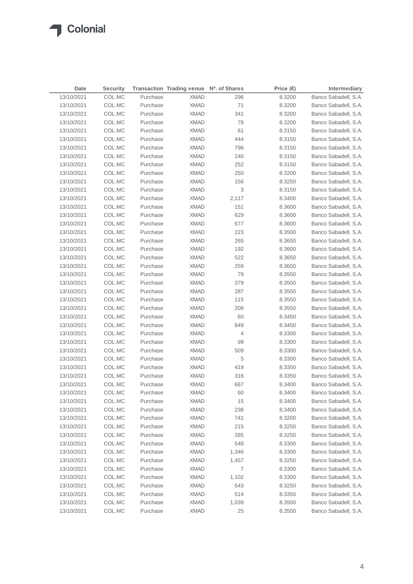| Date       | <b>Security</b> |          | Transaction Trading venue Nº. of Shares |       | Price $(\epsilon)$ | Intermediary         |
|------------|-----------------|----------|-----------------------------------------|-------|--------------------|----------------------|
| 13/10/2021 | COL.MC          | Purchase | <b>XMAD</b>                             | 296   | 8.3200             | Banco Sabadell, S.A. |
| 13/10/2021 | COL.MC          | Purchase | <b>XMAD</b>                             | 71    | 8.3200             | Banco Sabadell, S.A. |
| 13/10/2021 | COL.MC          | Purchase | <b>XMAD</b>                             | 341   | 8.3200             | Banco Sabadell, S.A. |
| 13/10/2021 | COL.MC          | Purchase | <b>XMAD</b>                             | 78    | 8.3200             | Banco Sabadell, S.A. |
| 13/10/2021 | COL.MC          | Purchase | <b>XMAD</b>                             | 61    | 8.3150             | Banco Sabadell, S.A. |
| 13/10/2021 | COL.MC          | Purchase | <b>XMAD</b>                             | 444   | 8.3150             | Banco Sabadell, S.A. |
| 13/10/2021 | COL.MC          | Purchase | <b>XMAD</b>                             | 796   | 8.3150             | Banco Sabadell, S.A. |
| 13/10/2021 | COL.MC          | Purchase | <b>XMAD</b>                             | 240   | 8.3150             | Banco Sabadell, S.A. |
| 13/10/2021 | COL.MC          | Purchase | <b>XMAD</b>                             | 252   | 8.3150             | Banco Sabadell, S.A. |
| 13/10/2021 | COL.MC          | Purchase | <b>XMAD</b>                             | 250   | 8.3200             | Banco Sabadell, S.A. |
| 13/10/2021 | COL.MC          | Purchase | <b>XMAD</b>                             | 156   | 8.3250             | Banco Sabadell, S.A. |
| 13/10/2021 | COL.MC          | Purchase | <b>XMAD</b>                             | 3     | 8.3150             | Banco Sabadell, S.A. |
| 13/10/2021 | COL.MC          | Purchase | <b>XMAD</b>                             | 2,117 | 8.3400             | Banco Sabadell, S.A. |
| 13/10/2021 | COL.MC          | Purchase | <b>XMAD</b>                             | 151   | 8.3600             | Banco Sabadell, S.A. |
| 13/10/2021 | COL.MC          | Purchase | <b>XMAD</b>                             | 629   | 8.3600             | Banco Sabadell, S.A. |
| 13/10/2021 | COL.MC          | Purchase | <b>XMAD</b>                             | 677   | 8.3600             | Banco Sabadell, S.A. |
| 13/10/2021 | COL.MC          | Purchase | XMAD                                    | 223   | 8.3500             | Banco Sabadell, S.A. |
| 13/10/2021 | COL.MC          | Purchase | XMAD                                    | 265   | 8.3650             | Banco Sabadell, S.A. |
| 13/10/2021 | COL.MC          | Purchase | <b>XMAD</b>                             | 192   | 8.3600             | Banco Sabadell, S.A. |
| 13/10/2021 | COL.MC          | Purchase | <b>XMAD</b>                             | 522   | 8.3650             | Banco Sabadell, S.A. |
| 13/10/2021 | COL.MC          | Purchase | <b>XMAD</b>                             | 259   | 8.3650             | Banco Sabadell, S.A. |
| 13/10/2021 | COL.MC          | Purchase | <b>XMAD</b>                             | 79    | 8.3550             | Banco Sabadell, S.A. |
| 13/10/2021 | COL.MC          | Purchase | <b>XMAD</b>                             | 379   | 8.3550             | Banco Sabadell, S.A. |
| 13/10/2021 | COL.MC          | Purchase | <b>XMAD</b>                             | 287   | 8.3550             | Banco Sabadell, S.A. |
| 13/10/2021 | COL.MC          | Purchase | XMAD                                    | 115   | 8.3550             | Banco Sabadell, S.A. |
| 13/10/2021 | COL.MC          | Purchase | XMAD                                    | 208   | 8.3550             | Banco Sabadell, S.A. |
| 13/10/2021 | COL.MC          | Purchase | XMAD                                    | 60    | 8.3450             | Banco Sabadell, S.A. |
| 13/10/2021 | COL.MC          | Purchase | <b>XMAD</b>                             | 849   | 8.3450             | Banco Sabadell, S.A. |
| 13/10/2021 | COL.MC          | Purchase | XMAD                                    | 4     | 8.3300             | Banco Sabadell, S.A. |
| 13/10/2021 | COL.MC          | Purchase | XMAD                                    | 99    | 8.3300             | Banco Sabadell, S.A. |
| 13/10/2021 | COL.MC          | Purchase | XMAD                                    | 509   | 8.3300             | Banco Sabadell, S.A. |
| 13/10/2021 | COL.MC          | Purchase | XMAD                                    | 5     | 8.3300             | Banco Sabadell, S.A. |
| 13/10/2021 | COL.MC          | Purchase | <b>XMAD</b>                             | 419   | 8.3350             | Banco Sabadell, S.A. |
| 13/10/2021 | COL.MC          | Purchase | <b>XMAD</b>                             | 316   | 8.3350             | Banco Sabadell, S.A. |
| 13/10/2021 | COL.MC          | Purchase | <b>XMAD</b>                             | 667   | 8.3400             | Banco Sabadell, S.A. |
| 13/10/2021 | COL.MC          | Purchase | <b>XMAD</b>                             | 60    | 8.3400             | Banco Sabadell, S.A. |
| 13/10/2021 | COL.MC          | Purchase | <b>XMAD</b>                             | 15    | 8.3400             | Banco Sabadell, S.A. |
| 13/10/2021 | COL.MC          | Purchase | <b>XMAD</b>                             | 238   | 8.3400             | Banco Sabadell, S.A. |
| 13/10/2021 | COL.MC          | Purchase | <b>XMAD</b>                             | 741   | 8.3200             | Banco Sabadell, S.A. |
| 13/10/2021 | COL.MC          | Purchase | <b>XMAD</b>                             | 215   | 8.3250             | Banco Sabadell, S.A. |
| 13/10/2021 | COL.MC          | Purchase | <b>XMAD</b>                             | 285   | 8.3250             | Banco Sabadell, S.A. |
| 13/10/2021 | COL.MC          | Purchase | <b>XMAD</b>                             | 548   | 8.3300             | Banco Sabadell, S.A. |
| 13/10/2021 | COL.MC          | Purchase | <b>XMAD</b>                             | 1,346 | 8.3300             | Banco Sabadell, S.A. |
| 13/10/2021 | COL.MC          | Purchase | <b>XMAD</b>                             | 1,457 | 8.3250             | Banco Sabadell, S.A. |
| 13/10/2021 | COL.MC          | Purchase | <b>XMAD</b>                             | 7     | 8.3300             | Banco Sabadell, S.A. |
| 13/10/2021 | COL.MC          | Purchase | <b>XMAD</b>                             | 1,102 | 8.3300             | Banco Sabadell, S.A. |
| 13/10/2021 | COL.MC          | Purchase | <b>XMAD</b>                             | 543   | 8.3250             | Banco Sabadell, S.A. |
| 13/10/2021 | COL.MC          | Purchase | <b>XMAD</b>                             | 514   | 8.3350             | Banco Sabadell, S.A. |
| 13/10/2021 | COL.MC          | Purchase | <b>XMAD</b>                             | 1,039 | 8.3500             | Banco Sabadell, S.A. |
| 13/10/2021 | COL.MC          | Purchase | <b>XMAD</b>                             | 25    | 8.3500             | Banco Sabadell, S.A. |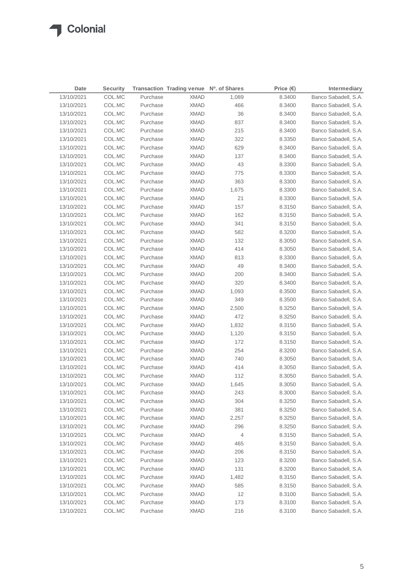| Date       | <b>Security</b> |          | Transaction Trading venue Nº. of Shares |       | Price $(\epsilon)$ | Intermediary         |
|------------|-----------------|----------|-----------------------------------------|-------|--------------------|----------------------|
| 13/10/2021 | COL.MC          | Purchase | <b>XMAD</b>                             | 1,089 | 8.3400             | Banco Sabadell, S.A. |
| 13/10/2021 | COL.MC          | Purchase | <b>XMAD</b>                             | 466   | 8.3400             | Banco Sabadell, S.A. |
| 13/10/2021 | COL.MC          | Purchase | <b>XMAD</b>                             | 36    | 8.3400             | Banco Sabadell, S.A. |
| 13/10/2021 | COL.MC          | Purchase | <b>XMAD</b>                             | 837   | 8.3400             | Banco Sabadell, S.A. |
| 13/10/2021 | COL.MC          | Purchase | <b>XMAD</b>                             | 215   | 8.3400             | Banco Sabadell, S.A. |
| 13/10/2021 | COL.MC          | Purchase | <b>XMAD</b>                             | 322   | 8.3350             | Banco Sabadell, S.A. |
| 13/10/2021 | COL.MC          | Purchase | <b>XMAD</b>                             | 629   | 8.3400             | Banco Sabadell, S.A. |
| 13/10/2021 | COL.MC          | Purchase | <b>XMAD</b>                             | 137   | 8.3400             | Banco Sabadell, S.A. |
| 13/10/2021 | COL.MC          | Purchase | <b>XMAD</b>                             | 43    | 8.3300             | Banco Sabadell, S.A. |
| 13/10/2021 | COL.MC          | Purchase | <b>XMAD</b>                             | 775   | 8.3300             | Banco Sabadell, S.A. |
| 13/10/2021 | COL.MC          | Purchase | <b>XMAD</b>                             | 363   | 8.3300             | Banco Sabadell, S.A. |
| 13/10/2021 | COL.MC          | Purchase | <b>XMAD</b>                             | 1,675 | 8.3300             | Banco Sabadell, S.A. |
| 13/10/2021 | COL.MC          | Purchase | <b>XMAD</b>                             | 21    | 8.3300             | Banco Sabadell, S.A. |
| 13/10/2021 | COL.MC          | Purchase | XMAD                                    | 157   | 8.3150             | Banco Sabadell, S.A. |
| 13/10/2021 | COL.MC          | Purchase | XMAD                                    | 162   | 8.3150             | Banco Sabadell, S.A. |
| 13/10/2021 | COL.MC          | Purchase | XMAD                                    | 341   | 8.3150             | Banco Sabadell, S.A. |
| 13/10/2021 | COL.MC          | Purchase | XMAD                                    | 582   | 8.3200             | Banco Sabadell, S.A. |
| 13/10/2021 | COL.MC          | Purchase | XMAD                                    | 132   | 8.3050             | Banco Sabadell, S.A. |
| 13/10/2021 | COL.MC          | Purchase | <b>XMAD</b>                             | 414   | 8.3050             | Banco Sabadell, S.A. |
| 13/10/2021 | COL.MC          | Purchase | <b>XMAD</b>                             | 813   | 8.3300             | Banco Sabadell, S.A. |
| 13/10/2021 | COL.MC          | Purchase | <b>XMAD</b>                             | 49    | 8.3400             | Banco Sabadell, S.A. |
| 13/10/2021 | COL.MC          | Purchase | <b>XMAD</b>                             | 200   | 8.3400             | Banco Sabadell, S.A. |
| 13/10/2021 | COL.MC          | Purchase | <b>XMAD</b>                             | 320   | 8.3400             | Banco Sabadell, S.A. |
| 13/10/2021 | COL.MC          | Purchase | XMAD                                    | 1,093 | 8.3500             | Banco Sabadell, S.A. |
| 13/10/2021 | COL.MC          | Purchase | <b>XMAD</b>                             | 349   | 8.3500             | Banco Sabadell, S.A. |
| 13/10/2021 | COL.MC          | Purchase | XMAD                                    | 2,500 | 8.3250             | Banco Sabadell, S.A. |
| 13/10/2021 | COL.MC          | Purchase | XMAD                                    | 472   | 8.3250             | Banco Sabadell, S.A. |
| 13/10/2021 | COL.MC          | Purchase | XMAD                                    | 1,832 | 8.3150             | Banco Sabadell, S.A. |
| 13/10/2021 | COL.MC          | Purchase | XMAD                                    | 1,120 | 8.3150             | Banco Sabadell, S.A. |
| 13/10/2021 | COL.MC          | Purchase | XMAD                                    | 172   | 8.3150             | Banco Sabadell, S.A. |
| 13/10/2021 | COL.MC          | Purchase | XMAD                                    | 254   | 8.3200             | Banco Sabadell, S.A. |
| 13/10/2021 | COL.MC          | Purchase | XMAD                                    | 740   | 8.3050             | Banco Sabadell, S.A. |
| 13/10/2021 | COL.MC          | Purchase | <b>XMAD</b>                             | 414   | 8.3050             | Banco Sabadell, S.A. |
| 13/10/2021 | COL.MC          | Purchase | <b>XMAD</b>                             | 112   | 8.3050             | Banco Sabadell, S.A. |
| 13/10/2021 | COL.MC          | Purchase | XMAD                                    | 1,645 | 8.3050             | Banco Sabadell, S.A. |
| 13/10/2021 | COL.MC          | Purchase | <b>XMAD</b>                             | 243   | 8.3000             | Banco Sabadell, S.A. |
| 13/10/2021 | COL.MC          | Purchase | <b>XMAD</b>                             | 304   | 8.3250             | Banco Sabadell, S.A. |
| 13/10/2021 | COL.MC          | Purchase | <b>XMAD</b>                             | 381   | 8.3250             | Banco Sabadell, S.A. |
| 13/10/2021 | COL.MC          | Purchase | <b>XMAD</b>                             | 2,257 | 8.3250             | Banco Sabadell, S.A. |
| 13/10/2021 | COL.MC          | Purchase | <b>XMAD</b>                             | 296   | 8.3250             | Banco Sabadell, S.A. |
| 13/10/2021 | COL.MC          | Purchase | <b>XMAD</b>                             | 4     | 8.3150             | Banco Sabadell, S.A. |
| 13/10/2021 | COL.MC          | Purchase | <b>XMAD</b>                             | 465   | 8.3150             | Banco Sabadell, S.A. |
| 13/10/2021 | COL.MC          | Purchase | <b>XMAD</b>                             | 206   | 8.3150             | Banco Sabadell, S.A. |
| 13/10/2021 | COL.MC          | Purchase | <b>XMAD</b>                             | 123   | 8.3200             | Banco Sabadell, S.A. |
| 13/10/2021 | COL.MC          | Purchase | <b>XMAD</b>                             | 131   | 8.3200             | Banco Sabadell, S.A. |
| 13/10/2021 | COL.MC          | Purchase | <b>XMAD</b>                             | 1,482 | 8.3150             | Banco Sabadell, S.A. |
| 13/10/2021 | COL.MC          | Purchase | <b>XMAD</b>                             | 585   | 8.3150             | Banco Sabadell, S.A. |
| 13/10/2021 | COL.MC          | Purchase | <b>XMAD</b>                             | 12    | 8.3100             | Banco Sabadell, S.A. |
| 13/10/2021 | COL.MC          | Purchase | <b>XMAD</b>                             | 173   | 8.3100             | Banco Sabadell, S.A. |
| 13/10/2021 | COL.MC          | Purchase | <b>XMAD</b>                             | 216   | 8.3100             | Banco Sabadell, S.A. |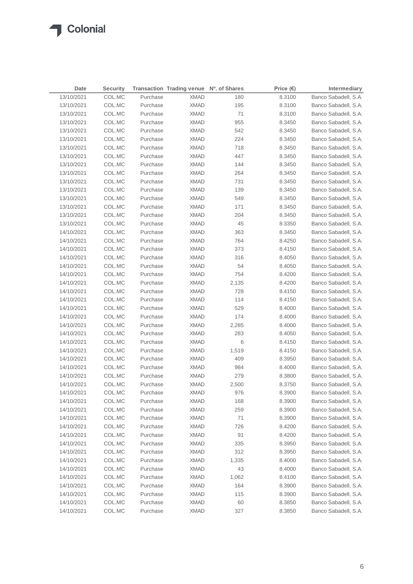| 13/10/2021<br>COL.MC<br>Purchase<br><b>XMAD</b><br>180<br>8.3100<br>COL.MC<br>195<br>13/10/2021<br>Purchase<br><b>XMAD</b><br>8.3100<br>71<br>13/10/2021<br>COL.MC<br>Purchase<br><b>XMAD</b><br>8.3100<br><b>XMAD</b><br>955<br>13/10/2021<br>COL.MC<br>Purchase<br>8.3450<br>542<br>13/10/2021<br>COL.MC<br>Purchase<br><b>XMAD</b><br>8.3450<br>13/10/2021<br>COL.MC<br>Purchase<br><b>XMAD</b><br>224<br>8.3450<br>13/10/2021<br>COL.MC<br>Purchase<br><b>XMAD</b><br>718<br>8.3450<br>447<br>13/10/2021<br>COL.MC<br>Purchase<br><b>XMAD</b><br>8.3450<br>13/10/2021<br>COL.MC<br>Purchase<br><b>XMAD</b><br>144<br>8.3450<br>264<br>13/10/2021<br>COL.MC<br>Purchase<br><b>XMAD</b><br>8.3450<br>13/10/2021<br>COL.MC<br>Purchase<br><b>XMAD</b><br>731<br>8.3450<br>13/10/2021<br>COL.MC<br>Purchase<br>XMAD<br>139<br>8.3450<br>COL.MC<br>Purchase<br>XMAD<br>549<br>13/10/2021<br>8.3450<br>13/10/2021<br>COL.MC<br>Purchase<br>XMAD<br>171<br>8.3450<br>13/10/2021<br>COL.MC<br>Purchase<br>XMAD<br>204<br>8.3450<br>45<br>13/10/2021<br>COL.MC<br>Purchase<br>XMAD<br>8.3350<br>363<br>14/10/2021<br>COL.MC<br>Purchase<br><b>XMAD</b><br>8.3450<br>764<br>14/10/2021<br>COL.MC<br>Purchase<br><b>XMAD</b><br>8.4250<br>14/10/2021<br>COL.MC<br><b>XMAD</b><br>373<br>Purchase<br>8.4150<br>14/10/2021<br>COL.MC<br>Purchase<br><b>XMAD</b><br>316<br>8.4050<br>54<br>14/10/2021<br><b>XMAD</b><br>8.4050<br>COL.MC<br>Purchase<br>14/10/2021<br>Purchase<br><b>XMAD</b><br>754<br>COL.MC<br>8.4200 | Date | <b>Security</b> | Transaction Trading venue Nº. of Shares | Price $(€)$ | Intermediary         |
|----------------------------------------------------------------------------------------------------------------------------------------------------------------------------------------------------------------------------------------------------------------------------------------------------------------------------------------------------------------------------------------------------------------------------------------------------------------------------------------------------------------------------------------------------------------------------------------------------------------------------------------------------------------------------------------------------------------------------------------------------------------------------------------------------------------------------------------------------------------------------------------------------------------------------------------------------------------------------------------------------------------------------------------------------------------------------------------------------------------------------------------------------------------------------------------------------------------------------------------------------------------------------------------------------------------------------------------------------------------------------------------------------------------------------------------------------------------------------------------------------------------|------|-----------------|-----------------------------------------|-------------|----------------------|
|                                                                                                                                                                                                                                                                                                                                                                                                                                                                                                                                                                                                                                                                                                                                                                                                                                                                                                                                                                                                                                                                                                                                                                                                                                                                                                                                                                                                                                                                                                                |      |                 |                                         |             | Banco Sabadell, S.A. |
|                                                                                                                                                                                                                                                                                                                                                                                                                                                                                                                                                                                                                                                                                                                                                                                                                                                                                                                                                                                                                                                                                                                                                                                                                                                                                                                                                                                                                                                                                                                |      |                 |                                         |             | Banco Sabadell, S.A. |
|                                                                                                                                                                                                                                                                                                                                                                                                                                                                                                                                                                                                                                                                                                                                                                                                                                                                                                                                                                                                                                                                                                                                                                                                                                                                                                                                                                                                                                                                                                                |      |                 |                                         |             | Banco Sabadell, S.A. |
|                                                                                                                                                                                                                                                                                                                                                                                                                                                                                                                                                                                                                                                                                                                                                                                                                                                                                                                                                                                                                                                                                                                                                                                                                                                                                                                                                                                                                                                                                                                |      |                 |                                         |             | Banco Sabadell, S.A. |
|                                                                                                                                                                                                                                                                                                                                                                                                                                                                                                                                                                                                                                                                                                                                                                                                                                                                                                                                                                                                                                                                                                                                                                                                                                                                                                                                                                                                                                                                                                                |      |                 |                                         |             | Banco Sabadell, S.A. |
|                                                                                                                                                                                                                                                                                                                                                                                                                                                                                                                                                                                                                                                                                                                                                                                                                                                                                                                                                                                                                                                                                                                                                                                                                                                                                                                                                                                                                                                                                                                |      |                 |                                         |             | Banco Sabadell, S.A. |
|                                                                                                                                                                                                                                                                                                                                                                                                                                                                                                                                                                                                                                                                                                                                                                                                                                                                                                                                                                                                                                                                                                                                                                                                                                                                                                                                                                                                                                                                                                                |      |                 |                                         |             | Banco Sabadell, S.A. |
|                                                                                                                                                                                                                                                                                                                                                                                                                                                                                                                                                                                                                                                                                                                                                                                                                                                                                                                                                                                                                                                                                                                                                                                                                                                                                                                                                                                                                                                                                                                |      |                 |                                         |             | Banco Sabadell, S.A. |
|                                                                                                                                                                                                                                                                                                                                                                                                                                                                                                                                                                                                                                                                                                                                                                                                                                                                                                                                                                                                                                                                                                                                                                                                                                                                                                                                                                                                                                                                                                                |      |                 |                                         |             | Banco Sabadell, S.A. |
|                                                                                                                                                                                                                                                                                                                                                                                                                                                                                                                                                                                                                                                                                                                                                                                                                                                                                                                                                                                                                                                                                                                                                                                                                                                                                                                                                                                                                                                                                                                |      |                 |                                         |             | Banco Sabadell, S.A. |
|                                                                                                                                                                                                                                                                                                                                                                                                                                                                                                                                                                                                                                                                                                                                                                                                                                                                                                                                                                                                                                                                                                                                                                                                                                                                                                                                                                                                                                                                                                                |      |                 |                                         |             | Banco Sabadell, S.A. |
|                                                                                                                                                                                                                                                                                                                                                                                                                                                                                                                                                                                                                                                                                                                                                                                                                                                                                                                                                                                                                                                                                                                                                                                                                                                                                                                                                                                                                                                                                                                |      |                 |                                         |             | Banco Sabadell, S.A. |
|                                                                                                                                                                                                                                                                                                                                                                                                                                                                                                                                                                                                                                                                                                                                                                                                                                                                                                                                                                                                                                                                                                                                                                                                                                                                                                                                                                                                                                                                                                                |      |                 |                                         |             | Banco Sabadell, S.A. |
|                                                                                                                                                                                                                                                                                                                                                                                                                                                                                                                                                                                                                                                                                                                                                                                                                                                                                                                                                                                                                                                                                                                                                                                                                                                                                                                                                                                                                                                                                                                |      |                 |                                         |             | Banco Sabadell, S.A. |
|                                                                                                                                                                                                                                                                                                                                                                                                                                                                                                                                                                                                                                                                                                                                                                                                                                                                                                                                                                                                                                                                                                                                                                                                                                                                                                                                                                                                                                                                                                                |      |                 |                                         |             | Banco Sabadell, S.A. |
|                                                                                                                                                                                                                                                                                                                                                                                                                                                                                                                                                                                                                                                                                                                                                                                                                                                                                                                                                                                                                                                                                                                                                                                                                                                                                                                                                                                                                                                                                                                |      |                 |                                         |             | Banco Sabadell, S.A. |
|                                                                                                                                                                                                                                                                                                                                                                                                                                                                                                                                                                                                                                                                                                                                                                                                                                                                                                                                                                                                                                                                                                                                                                                                                                                                                                                                                                                                                                                                                                                |      |                 |                                         |             | Banco Sabadell, S.A. |
|                                                                                                                                                                                                                                                                                                                                                                                                                                                                                                                                                                                                                                                                                                                                                                                                                                                                                                                                                                                                                                                                                                                                                                                                                                                                                                                                                                                                                                                                                                                |      |                 |                                         |             | Banco Sabadell, S.A. |
|                                                                                                                                                                                                                                                                                                                                                                                                                                                                                                                                                                                                                                                                                                                                                                                                                                                                                                                                                                                                                                                                                                                                                                                                                                                                                                                                                                                                                                                                                                                |      |                 |                                         |             | Banco Sabadell, S.A. |
|                                                                                                                                                                                                                                                                                                                                                                                                                                                                                                                                                                                                                                                                                                                                                                                                                                                                                                                                                                                                                                                                                                                                                                                                                                                                                                                                                                                                                                                                                                                |      |                 |                                         |             | Banco Sabadell, S.A. |
|                                                                                                                                                                                                                                                                                                                                                                                                                                                                                                                                                                                                                                                                                                                                                                                                                                                                                                                                                                                                                                                                                                                                                                                                                                                                                                                                                                                                                                                                                                                |      |                 |                                         |             | Banco Sabadell, S.A. |
|                                                                                                                                                                                                                                                                                                                                                                                                                                                                                                                                                                                                                                                                                                                                                                                                                                                                                                                                                                                                                                                                                                                                                                                                                                                                                                                                                                                                                                                                                                                |      |                 |                                         |             | Banco Sabadell, S.A. |
| 14/10/2021<br>Purchase<br><b>XMAD</b><br>COL.MC<br>2,135<br>8.4200                                                                                                                                                                                                                                                                                                                                                                                                                                                                                                                                                                                                                                                                                                                                                                                                                                                                                                                                                                                                                                                                                                                                                                                                                                                                                                                                                                                                                                             |      |                 |                                         |             | Banco Sabadell, S.A. |
| 14/10/2021<br>Purchase<br>728<br>COL.MC<br>XMAD<br>8.4150                                                                                                                                                                                                                                                                                                                                                                                                                                                                                                                                                                                                                                                                                                                                                                                                                                                                                                                                                                                                                                                                                                                                                                                                                                                                                                                                                                                                                                                      |      |                 |                                         |             | Banco Sabadell, S.A. |
| 14/10/2021<br>Purchase<br><b>XMAD</b><br>114<br>COL.MC<br>8.4150                                                                                                                                                                                                                                                                                                                                                                                                                                                                                                                                                                                                                                                                                                                                                                                                                                                                                                                                                                                                                                                                                                                                                                                                                                                                                                                                                                                                                                               |      |                 |                                         |             | Banco Sabadell, S.A. |
| 529<br>14/10/2021<br>COL.MC<br>Purchase<br>XMAD<br>8.4000                                                                                                                                                                                                                                                                                                                                                                                                                                                                                                                                                                                                                                                                                                                                                                                                                                                                                                                                                                                                                                                                                                                                                                                                                                                                                                                                                                                                                                                      |      |                 |                                         |             | Banco Sabadell, S.A. |
| 14/10/2021<br>COL.MC<br>Purchase<br>XMAD<br>174<br>8.4000                                                                                                                                                                                                                                                                                                                                                                                                                                                                                                                                                                                                                                                                                                                                                                                                                                                                                                                                                                                                                                                                                                                                                                                                                                                                                                                                                                                                                                                      |      |                 |                                         |             | Banco Sabadell, S.A. |
| COL.MC<br><b>XMAD</b><br>14/10/2021<br>Purchase<br>2,285<br>8.4000                                                                                                                                                                                                                                                                                                                                                                                                                                                                                                                                                                                                                                                                                                                                                                                                                                                                                                                                                                                                                                                                                                                                                                                                                                                                                                                                                                                                                                             |      |                 |                                         |             | Banco Sabadell, S.A. |
| COL.MC<br>283<br>14/10/2021<br>Purchase<br>XMAD<br>8.4050                                                                                                                                                                                                                                                                                                                                                                                                                                                                                                                                                                                                                                                                                                                                                                                                                                                                                                                                                                                                                                                                                                                                                                                                                                                                                                                                                                                                                                                      |      |                 |                                         |             | Banco Sabadell, S.A. |
| 14/10/2021<br>COL.MC<br>Purchase<br><b>XMAD</b><br>6<br>8.4150                                                                                                                                                                                                                                                                                                                                                                                                                                                                                                                                                                                                                                                                                                                                                                                                                                                                                                                                                                                                                                                                                                                                                                                                                                                                                                                                                                                                                                                 |      |                 |                                         |             | Banco Sabadell, S.A. |
| 14/10/2021<br>COL.MC<br>Purchase<br><b>XMAD</b><br>1,519<br>8.4150                                                                                                                                                                                                                                                                                                                                                                                                                                                                                                                                                                                                                                                                                                                                                                                                                                                                                                                                                                                                                                                                                                                                                                                                                                                                                                                                                                                                                                             |      |                 |                                         |             | Banco Sabadell, S.A. |
| 14/10/2021<br>COL.MC<br>Purchase<br><b>XMAD</b><br>409<br>8.3950                                                                                                                                                                                                                                                                                                                                                                                                                                                                                                                                                                                                                                                                                                                                                                                                                                                                                                                                                                                                                                                                                                                                                                                                                                                                                                                                                                                                                                               |      |                 |                                         |             | Banco Sabadell, S.A. |
| 14/10/2021<br>COL.MC<br>Purchase<br><b>XMAD</b><br>984<br>8.4000                                                                                                                                                                                                                                                                                                                                                                                                                                                                                                                                                                                                                                                                                                                                                                                                                                                                                                                                                                                                                                                                                                                                                                                                                                                                                                                                                                                                                                               |      |                 |                                         |             | Banco Sabadell, S.A. |
| 14/10/2021<br>COL.MC<br>Purchase<br><b>XMAD</b><br>279<br>8.3800                                                                                                                                                                                                                                                                                                                                                                                                                                                                                                                                                                                                                                                                                                                                                                                                                                                                                                                                                                                                                                                                                                                                                                                                                                                                                                                                                                                                                                               |      |                 |                                         |             | Banco Sabadell, S.A. |
| 14/10/2021<br>COL.MC<br><b>XMAD</b><br>2,500<br>8.3750<br>Purchase                                                                                                                                                                                                                                                                                                                                                                                                                                                                                                                                                                                                                                                                                                                                                                                                                                                                                                                                                                                                                                                                                                                                                                                                                                                                                                                                                                                                                                             |      |                 |                                         |             | Banco Sabadell, S.A. |
| COL.MC<br><b>XMAD</b><br>976<br>14/10/2021<br>8.3900<br>Purchase                                                                                                                                                                                                                                                                                                                                                                                                                                                                                                                                                                                                                                                                                                                                                                                                                                                                                                                                                                                                                                                                                                                                                                                                                                                                                                                                                                                                                                               |      |                 |                                         |             | Banco Sabadell, S.A. |
| 14/10/2021<br>COL.MC<br>Purchase<br><b>XMAD</b><br>168<br>8.3900                                                                                                                                                                                                                                                                                                                                                                                                                                                                                                                                                                                                                                                                                                                                                                                                                                                                                                                                                                                                                                                                                                                                                                                                                                                                                                                                                                                                                                               |      |                 |                                         |             | Banco Sabadell, S.A. |
| 14/10/2021<br>COL.MC<br>Purchase<br><b>XMAD</b><br>259<br>8.3900                                                                                                                                                                                                                                                                                                                                                                                                                                                                                                                                                                                                                                                                                                                                                                                                                                                                                                                                                                                                                                                                                                                                                                                                                                                                                                                                                                                                                                               |      |                 |                                         |             | Banco Sabadell, S.A. |
| 71<br>14/10/2021<br>COL.MC<br>Purchase<br><b>XMAD</b><br>8.3900                                                                                                                                                                                                                                                                                                                                                                                                                                                                                                                                                                                                                                                                                                                                                                                                                                                                                                                                                                                                                                                                                                                                                                                                                                                                                                                                                                                                                                                |      |                 |                                         |             | Banco Sabadell, S.A. |
| 14/10/2021<br>COL.MC<br>Purchase<br><b>XMAD</b><br>726<br>8.4200                                                                                                                                                                                                                                                                                                                                                                                                                                                                                                                                                                                                                                                                                                                                                                                                                                                                                                                                                                                                                                                                                                                                                                                                                                                                                                                                                                                                                                               |      |                 |                                         |             | Banco Sabadell, S.A. |
| 91<br>14/10/2021<br>COL.MC<br>Purchase<br><b>XMAD</b><br>8.4200                                                                                                                                                                                                                                                                                                                                                                                                                                                                                                                                                                                                                                                                                                                                                                                                                                                                                                                                                                                                                                                                                                                                                                                                                                                                                                                                                                                                                                                |      |                 |                                         |             | Banco Sabadell, S.A. |
| 14/10/2021<br>COL.MC<br>Purchase<br><b>XMAD</b><br>335<br>8.3950                                                                                                                                                                                                                                                                                                                                                                                                                                                                                                                                                                                                                                                                                                                                                                                                                                                                                                                                                                                                                                                                                                                                                                                                                                                                                                                                                                                                                                               |      |                 |                                         |             | Banco Sabadell, S.A. |
| 14/10/2021<br>COL.MC<br>Purchase<br><b>XMAD</b><br>312<br>8.3950                                                                                                                                                                                                                                                                                                                                                                                                                                                                                                                                                                                                                                                                                                                                                                                                                                                                                                                                                                                                                                                                                                                                                                                                                                                                                                                                                                                                                                               |      |                 |                                         |             | Banco Sabadell, S.A. |
| 14/10/2021<br>COL.MC<br>Purchase<br><b>XMAD</b><br>8.4000<br>1,335                                                                                                                                                                                                                                                                                                                                                                                                                                                                                                                                                                                                                                                                                                                                                                                                                                                                                                                                                                                                                                                                                                                                                                                                                                                                                                                                                                                                                                             |      |                 |                                         |             | Banco Sabadell, S.A. |
| 14/10/2021<br>COL.MC<br>Purchase<br><b>XMAD</b><br>43<br>8.4000                                                                                                                                                                                                                                                                                                                                                                                                                                                                                                                                                                                                                                                                                                                                                                                                                                                                                                                                                                                                                                                                                                                                                                                                                                                                                                                                                                                                                                                |      |                 |                                         |             | Banco Sabadell, S.A. |
| 14/10/2021<br>COL.MC<br>Purchase<br><b>XMAD</b><br>1,062<br>8.4100                                                                                                                                                                                                                                                                                                                                                                                                                                                                                                                                                                                                                                                                                                                                                                                                                                                                                                                                                                                                                                                                                                                                                                                                                                                                                                                                                                                                                                             |      |                 |                                         |             | Banco Sabadell, S.A. |
| 14/10/2021<br>COL.MC<br>Purchase<br><b>XMAD</b><br>164<br>8.3900                                                                                                                                                                                                                                                                                                                                                                                                                                                                                                                                                                                                                                                                                                                                                                                                                                                                                                                                                                                                                                                                                                                                                                                                                                                                                                                                                                                                                                               |      |                 |                                         |             | Banco Sabadell, S.A. |
| 14/10/2021<br>COL.MC<br>Purchase<br><b>XMAD</b><br>115<br>8.3900                                                                                                                                                                                                                                                                                                                                                                                                                                                                                                                                                                                                                                                                                                                                                                                                                                                                                                                                                                                                                                                                                                                                                                                                                                                                                                                                                                                                                                               |      |                 |                                         |             | Banco Sabadell, S.A. |
| 14/10/2021<br>COL.MC<br>Purchase<br><b>XMAD</b><br>60<br>8.3850                                                                                                                                                                                                                                                                                                                                                                                                                                                                                                                                                                                                                                                                                                                                                                                                                                                                                                                                                                                                                                                                                                                                                                                                                                                                                                                                                                                                                                                |      |                 |                                         |             | Banco Sabadell, S.A. |
| 327<br>14/10/2021<br>COL.MC<br>Purchase<br><b>XMAD</b><br>8.3850                                                                                                                                                                                                                                                                                                                                                                                                                                                                                                                                                                                                                                                                                                                                                                                                                                                                                                                                                                                                                                                                                                                                                                                                                                                                                                                                                                                                                                               |      |                 |                                         |             | Banco Sabadell, S.A. |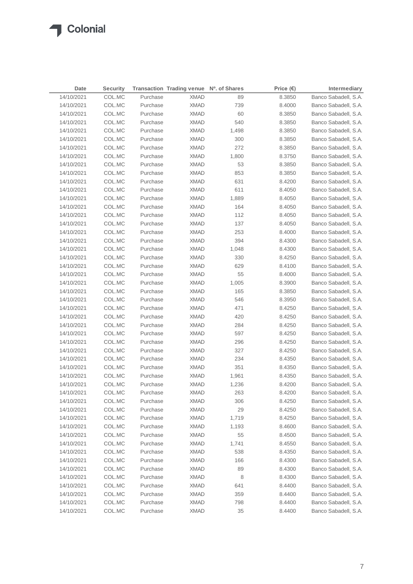| Date       | <b>Security</b> |          | Transaction Trading venue Nº. of Shares |       | Price $(€)$ | Intermediary         |
|------------|-----------------|----------|-----------------------------------------|-------|-------------|----------------------|
| 14/10/2021 | COL.MC          | Purchase | <b>XMAD</b>                             | 89    | 8.3850      | Banco Sabadell, S.A. |
| 14/10/2021 | COL.MC          | Purchase | <b>XMAD</b>                             | 739   | 8.4000      | Banco Sabadell, S.A. |
| 14/10/2021 | COL.MC          | Purchase | <b>XMAD</b>                             | 60    | 8.3850      | Banco Sabadell, S.A. |
| 14/10/2021 | COL.MC          | Purchase | <b>XMAD</b>                             | 540   | 8.3850      | Banco Sabadell, S.A. |
| 14/10/2021 | COL.MC          | Purchase | <b>XMAD</b>                             | 1,498 | 8.3850      | Banco Sabadell, S.A. |
| 14/10/2021 | COL.MC          | Purchase | <b>XMAD</b>                             | 300   | 8.3850      | Banco Sabadell, S.A. |
| 14/10/2021 | COL.MC          | Purchase | <b>XMAD</b>                             | 272   | 8.3850      | Banco Sabadell, S.A. |
| 14/10/2021 | COL.MC          | Purchase | <b>XMAD</b>                             | 1,800 | 8.3750      | Banco Sabadell, S.A. |
| 14/10/2021 | COL.MC          | Purchase | <b>XMAD</b>                             | 53    | 8.3850      | Banco Sabadell, S.A. |
| 14/10/2021 | COL.MC          | Purchase | <b>XMAD</b>                             | 853   | 8.3850      | Banco Sabadell, S.A. |
| 14/10/2021 | COL.MC          | Purchase | <b>XMAD</b>                             | 631   | 8.4200      | Banco Sabadell, S.A. |
| 14/10/2021 | COL.MC          | Purchase | <b>XMAD</b>                             | 611   | 8.4050      | Banco Sabadell, S.A. |
| 14/10/2021 | COL.MC          | Purchase | <b>XMAD</b>                             | 1,889 | 8.4050      | Banco Sabadell, S.A. |
| 14/10/2021 | COL.MC          | Purchase | <b>XMAD</b>                             | 164   | 8.4050      | Banco Sabadell, S.A. |
| 14/10/2021 | COL.MC          | Purchase | <b>XMAD</b>                             | 112   | 8.4050      | Banco Sabadell, S.A. |
| 14/10/2021 | COL.MC          | Purchase | <b>XMAD</b>                             | 137   | 8.4050      | Banco Sabadell, S.A. |
| 14/10/2021 | COL.MC          | Purchase | <b>XMAD</b>                             | 253   | 8.4000      | Banco Sabadell, S.A. |
| 14/10/2021 | COL.MC          | Purchase | <b>XMAD</b>                             | 394   | 8.4300      | Banco Sabadell, S.A. |
| 14/10/2021 | COL.MC          | Purchase | <b>XMAD</b>                             | 1,048 | 8.4300      | Banco Sabadell, S.A. |
| 14/10/2021 | COL.MC          | Purchase | <b>XMAD</b>                             | 330   | 8.4250      | Banco Sabadell, S.A. |
| 14/10/2021 | COL.MC          | Purchase | <b>XMAD</b>                             | 629   | 8.4100      | Banco Sabadell, S.A. |
| 14/10/2021 | COL.MC          | Purchase | <b>XMAD</b>                             | 55    | 8.4000      | Banco Sabadell, S.A. |
| 14/10/2021 | COL.MC          | Purchase | XMAD                                    | 1,005 | 8.3900      | Banco Sabadell, S.A. |
| 14/10/2021 | COL.MC          | Purchase | <b>XMAD</b>                             | 165   | 8.3850      | Banco Sabadell, S.A. |
| 14/10/2021 | COL.MC          | Purchase | <b>XMAD</b>                             | 546   | 8.3950      | Banco Sabadell, S.A. |
| 14/10/2021 | COL.MC          | Purchase | XMAD                                    | 471   | 8.4250      | Banco Sabadell, S.A. |
| 14/10/2021 | COL.MC          | Purchase | <b>XMAD</b>                             | 420   | 8.4250      | Banco Sabadell, S.A. |
| 14/10/2021 | COL.MC          | Purchase | XMAD                                    | 284   | 8.4250      | Banco Sabadell, S.A. |
| 14/10/2021 | COL.MC          | Purchase | XMAD                                    | 597   | 8.4250      | Banco Sabadell, S.A. |
| 14/10/2021 | COL.MC          | Purchase | XMAD                                    | 296   | 8.4250      | Banco Sabadell, S.A. |
| 14/10/2021 | COL.MC          | Purchase | XMAD                                    | 327   | 8.4250      | Banco Sabadell, S.A. |
| 14/10/2021 | COL.MC          | Purchase | XMAD                                    | 234   | 8.4350      | Banco Sabadell, S.A. |
| 14/10/2021 | COL.MC          | Purchase | <b>XMAD</b>                             | 351   | 8.4350      | Banco Sabadell, S.A. |
| 14/10/2021 | COL.MC          | Purchase | <b>XMAD</b>                             | 1,961 | 8.4350      | Banco Sabadell, S.A. |
| 14/10/2021 | COL.MC          | Purchase | <b>XMAD</b>                             | 1,236 | 8.4200      | Banco Sabadell, S.A. |
| 14/10/2021 | COL.MC          | Purchase | <b>XMAD</b>                             | 263   | 8.4200      | Banco Sabadell, S.A. |
| 14/10/2021 | COL.MC          | Purchase | <b>XMAD</b>                             | 306   | 8.4250      | Banco Sabadell, S.A. |
| 14/10/2021 | COL.MC          | Purchase | <b>XMAD</b>                             | 29    | 8.4250      | Banco Sabadell, S.A. |
| 14/10/2021 | COL.MC          | Purchase | <b>XMAD</b>                             | 1,719 | 8.4250      | Banco Sabadell, S.A. |
| 14/10/2021 | COL.MC          | Purchase | <b>XMAD</b>                             | 1,193 | 8.4600      | Banco Sabadell, S.A. |
| 14/10/2021 | COL.MC          | Purchase | <b>XMAD</b>                             | 55    | 8.4500      | Banco Sabadell, S.A. |
| 14/10/2021 | COL.MC          | Purchase | <b>XMAD</b>                             | 1,741 | 8.4550      | Banco Sabadell, S.A. |
| 14/10/2021 | COL.MC          | Purchase | <b>XMAD</b>                             | 538   | 8.4350      | Banco Sabadell, S.A. |
| 14/10/2021 | COL.MC          | Purchase | <b>XMAD</b>                             | 166   | 8.4300      | Banco Sabadell, S.A. |
| 14/10/2021 | COL.MC          | Purchase | <b>XMAD</b>                             | 89    | 8.4300      | Banco Sabadell, S.A. |
| 14/10/2021 | COL.MC          | Purchase | <b>XMAD</b>                             | 8     | 8.4300      | Banco Sabadell, S.A. |
| 14/10/2021 | COL.MC          | Purchase | <b>XMAD</b>                             | 641   | 8.4400      | Banco Sabadell, S.A. |
| 14/10/2021 | COL.MC          | Purchase | <b>XMAD</b>                             | 359   | 8.4400      | Banco Sabadell, S.A. |
| 14/10/2021 | COL.MC          | Purchase | <b>XMAD</b>                             | 798   | 8.4400      | Banco Sabadell, S.A. |
| 14/10/2021 | COL.MC          | Purchase | <b>XMAD</b>                             | 35    | 8.4400      | Banco Sabadell, S.A. |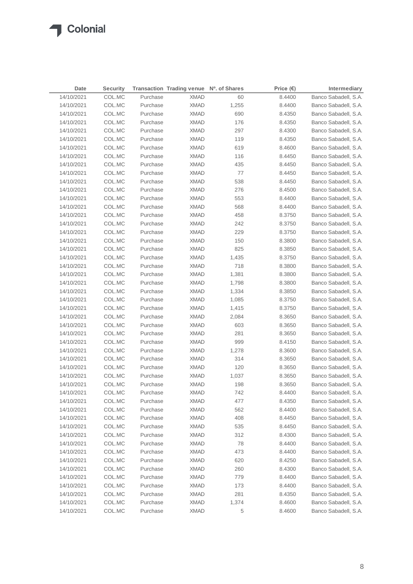| Date       | <b>Security</b> |          | Transaction Trading venue Nº. of Shares |       | Price $(\epsilon)$ | Intermediary         |
|------------|-----------------|----------|-----------------------------------------|-------|--------------------|----------------------|
| 14/10/2021 | COL.MC          | Purchase | <b>XMAD</b>                             | 60    | 8.4400             | Banco Sabadell, S.A. |
| 14/10/2021 | COL.MC          | Purchase | <b>XMAD</b>                             | 1,255 | 8.4400             | Banco Sabadell, S.A. |
| 14/10/2021 | COL.MC          | Purchase | <b>XMAD</b>                             | 690   | 8.4350             | Banco Sabadell, S.A. |
| 14/10/2021 | COL.MC          | Purchase | <b>XMAD</b>                             | 176   | 8.4350             | Banco Sabadell, S.A. |
| 14/10/2021 | COL.MC          | Purchase | <b>XMAD</b>                             | 297   | 8.4300             | Banco Sabadell, S.A. |
| 14/10/2021 | COL.MC          | Purchase | <b>XMAD</b>                             | 119   | 8.4350             | Banco Sabadell, S.A. |
| 14/10/2021 | COL.MC          | Purchase | <b>XMAD</b>                             | 619   | 8.4600             | Banco Sabadell, S.A. |
| 14/10/2021 | COL.MC          | Purchase | <b>XMAD</b>                             | 116   | 8.4450             | Banco Sabadell, S.A. |
| 14/10/2021 | COL.MC          | Purchase | <b>XMAD</b>                             | 435   | 8.4450             | Banco Sabadell, S.A. |
| 14/10/2021 | COL.MC          | Purchase | <b>XMAD</b>                             | 77    | 8.4450             | Banco Sabadell, S.A. |
| 14/10/2021 | COL.MC          | Purchase | <b>XMAD</b>                             | 538   | 8.4450             | Banco Sabadell, S.A. |
| 14/10/2021 | COL.MC          | Purchase | <b>XMAD</b>                             | 276   | 8.4500             | Banco Sabadell, S.A. |
| 14/10/2021 | COL.MC          | Purchase | <b>XMAD</b>                             | 553   | 8.4400             | Banco Sabadell, S.A. |
| 14/10/2021 | COL.MC          | Purchase | <b>XMAD</b>                             | 568   | 8.4400             | Banco Sabadell, S.A. |
| 14/10/2021 | COL.MC          | Purchase | <b>XMAD</b>                             | 458   | 8.3750             | Banco Sabadell, S.A. |
| 14/10/2021 | COL.MC          | Purchase | <b>XMAD</b>                             | 242   | 8.3750             | Banco Sabadell, S.A. |
| 14/10/2021 | COL.MC          | Purchase | <b>XMAD</b>                             | 229   | 8.3750             | Banco Sabadell, S.A. |
| 14/10/2021 | COL.MC          | Purchase | <b>XMAD</b>                             | 150   | 8.3800             | Banco Sabadell, S.A. |
| 14/10/2021 | COL.MC          | Purchase | <b>XMAD</b>                             | 825   | 8.3850             | Banco Sabadell, S.A. |
| 14/10/2021 | COL.MC          | Purchase | <b>XMAD</b>                             | 1,435 | 8.3750             | Banco Sabadell, S.A. |
| 14/10/2021 | COL.MC          | Purchase | <b>XMAD</b>                             | 718   | 8.3800             | Banco Sabadell, S.A. |
| 14/10/2021 | COL.MC          | Purchase | <b>XMAD</b>                             | 1,381 | 8.3800             | Banco Sabadell, S.A. |
| 14/10/2021 | COL.MC          | Purchase | <b>XMAD</b>                             | 1,798 | 8.3800             | Banco Sabadell, S.A. |
| 14/10/2021 | COL.MC          | Purchase | <b>XMAD</b>                             | 1,334 | 8.3850             | Banco Sabadell, S.A. |
| 14/10/2021 | COL.MC          | Purchase | <b>XMAD</b>                             | 1,085 | 8.3750             | Banco Sabadell, S.A. |
| 14/10/2021 | COL.MC          | Purchase | XMAD                                    | 1,415 | 8.3750             | Banco Sabadell, S.A. |
| 14/10/2021 | COL.MC          | Purchase | XMAD                                    | 2,084 | 8.3650             | Banco Sabadell, S.A. |
| 14/10/2021 | COL.MC          | Purchase | XMAD                                    | 603   | 8.3650             | Banco Sabadell, S.A. |
| 14/10/2021 | COL.MC          | Purchase | XMAD                                    | 281   | 8.3650             | Banco Sabadell, S.A. |
| 14/10/2021 | COL.MC          | Purchase | XMAD                                    | 999   | 8.4150             | Banco Sabadell, S.A. |
| 14/10/2021 | COL.MC          | Purchase | XMAD                                    | 1,278 | 8.3600             | Banco Sabadell, S.A. |
| 14/10/2021 | COL.MC          | Purchase | XMAD                                    | 314   | 8.3650             | Banco Sabadell, S.A. |
| 14/10/2021 | COL.MC          | Purchase | <b>XMAD</b>                             | 120   | 8.3650             | Banco Sabadell, S.A. |
| 14/10/2021 | COL.MC          | Purchase | <b>XMAD</b>                             | 1,037 | 8.3650             | Banco Sabadell, S.A. |
| 14/10/2021 | COL.MC          | Purchase | <b>XMAD</b>                             | 198   | 8.3650             | Banco Sabadell, S.A. |
| 14/10/2021 | COL.MC          | Purchase | <b>XMAD</b>                             | 742   | 8.4400             | Banco Sabadell, S.A. |
| 14/10/2021 | COL.MC          | Purchase | <b>XMAD</b>                             | 477   | 8.4350             | Banco Sabadell, S.A. |
| 14/10/2021 | COL.MC          | Purchase | <b>XMAD</b>                             | 562   | 8.4400             | Banco Sabadell, S.A. |
| 14/10/2021 | COL.MC          | Purchase | <b>XMAD</b>                             | 408   | 8.4450             | Banco Sabadell, S.A. |
| 14/10/2021 | COL.MC          | Purchase | <b>XMAD</b>                             | 535   | 8.4450             | Banco Sabadell, S.A. |
| 14/10/2021 | COL.MC          | Purchase | <b>XMAD</b>                             | 312   | 8.4300             | Banco Sabadell, S.A. |
| 14/10/2021 | COL.MC          | Purchase | <b>XMAD</b>                             | 78    | 8.4400             | Banco Sabadell, S.A. |
| 14/10/2021 | COL.MC          | Purchase | <b>XMAD</b>                             | 473   | 8.4400             | Banco Sabadell, S.A. |
| 14/10/2021 | COL.MC          | Purchase | <b>XMAD</b>                             | 620   | 8.4250             | Banco Sabadell, S.A. |
| 14/10/2021 | COL.MC          | Purchase | <b>XMAD</b>                             | 260   | 8.4300             | Banco Sabadell, S.A. |
| 14/10/2021 | COL.MC          | Purchase | <b>XMAD</b>                             | 779   | 8.4400             | Banco Sabadell, S.A. |
| 14/10/2021 | COL.MC          | Purchase | <b>XMAD</b>                             | 173   | 8.4400             | Banco Sabadell, S.A. |
| 14/10/2021 | COL.MC          | Purchase | <b>XMAD</b>                             | 281   | 8.4350             | Banco Sabadell, S.A. |
| 14/10/2021 | COL.MC          | Purchase | <b>XMAD</b>                             | 1,374 | 8.4600             | Banco Sabadell, S.A. |
| 14/10/2021 | COL.MC          | Purchase | <b>XMAD</b>                             | 5     | 8.4600             | Banco Sabadell, S.A. |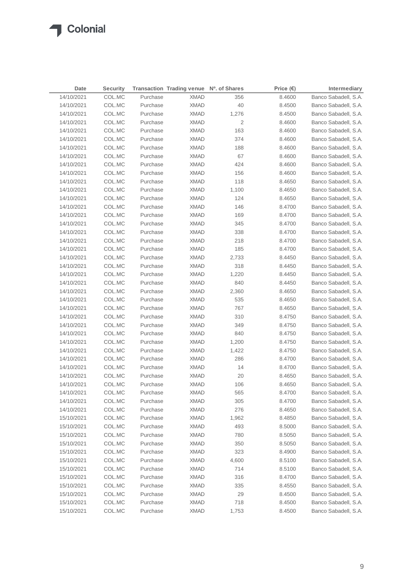| Price $(\epsilon)$<br>14/10/2021<br>Banco Sabadell, S.A.<br>COL.MC<br>Purchase<br><b>XMAD</b><br>356<br>8.4600<br>COL.MC<br>40<br>Banco Sabadell, S.A.<br>14/10/2021<br>Purchase<br><b>XMAD</b><br>8.4500<br>14/10/2021<br>COL.MC<br>Purchase<br><b>XMAD</b><br>1,276<br>8.4500<br>Banco Sabadell, S.A.<br><b>XMAD</b><br>14/10/2021<br>COL.MC<br>Purchase<br>2<br>8.4600<br>Banco Sabadell, S.A.<br>163<br>14/10/2021<br>COL.MC<br>Purchase<br><b>XMAD</b><br>8.4600<br>Banco Sabadell, S.A.<br>374<br>14/10/2021<br>COL.MC<br>Purchase<br><b>XMAD</b><br>8.4600<br>Banco Sabadell, S.A.<br>14/10/2021<br>COL.MC<br>Purchase<br><b>XMAD</b><br>188<br>8.4600<br>Banco Sabadell, S.A.<br>67<br>14/10/2021<br>COL.MC<br>Purchase<br><b>XMAD</b><br>8.4600<br>Banco Sabadell, S.A.<br>424<br>14/10/2021<br>COL.MC<br>Purchase<br><b>XMAD</b><br>8.4600<br>Banco Sabadell, S.A.<br>14/10/2021<br>COL.MC<br>Purchase<br><b>XMAD</b><br>156<br>8.4600<br>Banco Sabadell, S.A.<br>14/10/2021<br>COL.MC<br>Purchase<br><b>XMAD</b><br>118<br>Banco Sabadell, S.A.<br>8.4650<br>14/10/2021<br>COL.MC<br>Purchase<br><b>XMAD</b><br>1,100<br>Banco Sabadell, S.A.<br>8.4650 |  |
|--------------------------------------------------------------------------------------------------------------------------------------------------------------------------------------------------------------------------------------------------------------------------------------------------------------------------------------------------------------------------------------------------------------------------------------------------------------------------------------------------------------------------------------------------------------------------------------------------------------------------------------------------------------------------------------------------------------------------------------------------------------------------------------------------------------------------------------------------------------------------------------------------------------------------------------------------------------------------------------------------------------------------------------------------------------------------------------------------------------------------------------------------------------------|--|
|                                                                                                                                                                                                                                                                                                                                                                                                                                                                                                                                                                                                                                                                                                                                                                                                                                                                                                                                                                                                                                                                                                                                                                    |  |
|                                                                                                                                                                                                                                                                                                                                                                                                                                                                                                                                                                                                                                                                                                                                                                                                                                                                                                                                                                                                                                                                                                                                                                    |  |
|                                                                                                                                                                                                                                                                                                                                                                                                                                                                                                                                                                                                                                                                                                                                                                                                                                                                                                                                                                                                                                                                                                                                                                    |  |
|                                                                                                                                                                                                                                                                                                                                                                                                                                                                                                                                                                                                                                                                                                                                                                                                                                                                                                                                                                                                                                                                                                                                                                    |  |
|                                                                                                                                                                                                                                                                                                                                                                                                                                                                                                                                                                                                                                                                                                                                                                                                                                                                                                                                                                                                                                                                                                                                                                    |  |
|                                                                                                                                                                                                                                                                                                                                                                                                                                                                                                                                                                                                                                                                                                                                                                                                                                                                                                                                                                                                                                                                                                                                                                    |  |
|                                                                                                                                                                                                                                                                                                                                                                                                                                                                                                                                                                                                                                                                                                                                                                                                                                                                                                                                                                                                                                                                                                                                                                    |  |
|                                                                                                                                                                                                                                                                                                                                                                                                                                                                                                                                                                                                                                                                                                                                                                                                                                                                                                                                                                                                                                                                                                                                                                    |  |
|                                                                                                                                                                                                                                                                                                                                                                                                                                                                                                                                                                                                                                                                                                                                                                                                                                                                                                                                                                                                                                                                                                                                                                    |  |
|                                                                                                                                                                                                                                                                                                                                                                                                                                                                                                                                                                                                                                                                                                                                                                                                                                                                                                                                                                                                                                                                                                                                                                    |  |
|                                                                                                                                                                                                                                                                                                                                                                                                                                                                                                                                                                                                                                                                                                                                                                                                                                                                                                                                                                                                                                                                                                                                                                    |  |
|                                                                                                                                                                                                                                                                                                                                                                                                                                                                                                                                                                                                                                                                                                                                                                                                                                                                                                                                                                                                                                                                                                                                                                    |  |
| 14/10/2021<br>COL.MC<br>Purchase<br><b>XMAD</b><br>124<br>8.4650<br>Banco Sabadell, S.A.                                                                                                                                                                                                                                                                                                                                                                                                                                                                                                                                                                                                                                                                                                                                                                                                                                                                                                                                                                                                                                                                           |  |
| 14/10/2021<br>COL.MC<br>Purchase<br><b>XMAD</b><br>146<br>8.4700<br>Banco Sabadell, S.A.                                                                                                                                                                                                                                                                                                                                                                                                                                                                                                                                                                                                                                                                                                                                                                                                                                                                                                                                                                                                                                                                           |  |
| 14/10/2021<br>COL.MC<br>Purchase<br><b>XMAD</b><br>169<br>8.4700<br>Banco Sabadell, S.A.                                                                                                                                                                                                                                                                                                                                                                                                                                                                                                                                                                                                                                                                                                                                                                                                                                                                                                                                                                                                                                                                           |  |
| 345<br>14/10/2021<br>COL.MC<br>Purchase<br><b>XMAD</b><br>8.4700<br>Banco Sabadell, S.A.                                                                                                                                                                                                                                                                                                                                                                                                                                                                                                                                                                                                                                                                                                                                                                                                                                                                                                                                                                                                                                                                           |  |
| 338<br>14/10/2021<br>COL.MC<br>Purchase<br><b>XMAD</b><br>8.4700<br>Banco Sabadell, S.A.                                                                                                                                                                                                                                                                                                                                                                                                                                                                                                                                                                                                                                                                                                                                                                                                                                                                                                                                                                                                                                                                           |  |
| 218<br>14/10/2021<br>COL.MC<br>Purchase<br><b>XMAD</b><br>Banco Sabadell, S.A.<br>8.4700                                                                                                                                                                                                                                                                                                                                                                                                                                                                                                                                                                                                                                                                                                                                                                                                                                                                                                                                                                                                                                                                           |  |
| 14/10/2021<br>COL.MC<br><b>XMAD</b><br>185<br>Banco Sabadell, S.A.<br>Purchase<br>8.4700                                                                                                                                                                                                                                                                                                                                                                                                                                                                                                                                                                                                                                                                                                                                                                                                                                                                                                                                                                                                                                                                           |  |
| 14/10/2021<br>COL.MC<br>Purchase<br><b>XMAD</b><br>2,733<br>Banco Sabadell, S.A.<br>8.4450                                                                                                                                                                                                                                                                                                                                                                                                                                                                                                                                                                                                                                                                                                                                                                                                                                                                                                                                                                                                                                                                         |  |
| 14/10/2021<br><b>XMAD</b><br>318<br>Banco Sabadell, S.A.<br>COL.MC<br>Purchase<br>8.4450                                                                                                                                                                                                                                                                                                                                                                                                                                                                                                                                                                                                                                                                                                                                                                                                                                                                                                                                                                                                                                                                           |  |
| 14/10/2021<br>Purchase<br><b>XMAD</b><br>1,220<br>Banco Sabadell, S.A.<br>COL.MC<br>8.4450                                                                                                                                                                                                                                                                                                                                                                                                                                                                                                                                                                                                                                                                                                                                                                                                                                                                                                                                                                                                                                                                         |  |
| 14/10/2021<br>Purchase<br><b>XMAD</b><br>840<br>Banco Sabadell, S.A.<br>COL.MC<br>8.4450                                                                                                                                                                                                                                                                                                                                                                                                                                                                                                                                                                                                                                                                                                                                                                                                                                                                                                                                                                                                                                                                           |  |
| 14/10/2021<br>Purchase<br>2,360<br>Banco Sabadell, S.A.<br>COL.MC<br>XMAD<br>8.4650                                                                                                                                                                                                                                                                                                                                                                                                                                                                                                                                                                                                                                                                                                                                                                                                                                                                                                                                                                                                                                                                                |  |
| 14/10/2021<br>Purchase<br><b>XMAD</b><br>535<br>Banco Sabadell, S.A.<br>COL.MC<br>8.4650                                                                                                                                                                                                                                                                                                                                                                                                                                                                                                                                                                                                                                                                                                                                                                                                                                                                                                                                                                                                                                                                           |  |
| 767<br>Banco Sabadell, S.A.<br>14/10/2021<br>COL.MC<br>Purchase<br>XMAD<br>8.4650                                                                                                                                                                                                                                                                                                                                                                                                                                                                                                                                                                                                                                                                                                                                                                                                                                                                                                                                                                                                                                                                                  |  |
| 310<br>Banco Sabadell, S.A.<br>14/10/2021<br>COL.MC<br>Purchase<br>XMAD<br>8.4750                                                                                                                                                                                                                                                                                                                                                                                                                                                                                                                                                                                                                                                                                                                                                                                                                                                                                                                                                                                                                                                                                  |  |
| COL.MC<br><b>XMAD</b><br>349<br>Banco Sabadell, S.A.<br>14/10/2021<br>Purchase<br>8.4750                                                                                                                                                                                                                                                                                                                                                                                                                                                                                                                                                                                                                                                                                                                                                                                                                                                                                                                                                                                                                                                                           |  |
| COL.MC<br>840<br>Banco Sabadell, S.A.<br>14/10/2021<br>Purchase<br>XMAD<br>8.4750                                                                                                                                                                                                                                                                                                                                                                                                                                                                                                                                                                                                                                                                                                                                                                                                                                                                                                                                                                                                                                                                                  |  |
| 14/10/2021<br>COL.MC<br>Purchase<br><b>XMAD</b><br>Banco Sabadell, S.A.<br>1,200<br>8.4750                                                                                                                                                                                                                                                                                                                                                                                                                                                                                                                                                                                                                                                                                                                                                                                                                                                                                                                                                                                                                                                                         |  |
| 14/10/2021<br>COL.MC<br>Purchase<br><b>XMAD</b><br>1,422<br>Banco Sabadell, S.A.<br>8.4750                                                                                                                                                                                                                                                                                                                                                                                                                                                                                                                                                                                                                                                                                                                                                                                                                                                                                                                                                                                                                                                                         |  |
| 14/10/2021<br>COL.MC<br>Purchase<br><b>XMAD</b><br>286<br>8.4700<br>Banco Sabadell, S.A.                                                                                                                                                                                                                                                                                                                                                                                                                                                                                                                                                                                                                                                                                                                                                                                                                                                                                                                                                                                                                                                                           |  |
| 14<br>14/10/2021<br>COL.MC<br>Purchase<br><b>XMAD</b><br>Banco Sabadell, S.A.<br>8.4700                                                                                                                                                                                                                                                                                                                                                                                                                                                                                                                                                                                                                                                                                                                                                                                                                                                                                                                                                                                                                                                                            |  |
| 20<br>Banco Sabadell, S.A.<br>14/10/2021<br>COL.MC<br>Purchase<br><b>XMAD</b><br>8.4650                                                                                                                                                                                                                                                                                                                                                                                                                                                                                                                                                                                                                                                                                                                                                                                                                                                                                                                                                                                                                                                                            |  |
| 106<br>Banco Sabadell, S.A.<br>14/10/2021<br>COL.MC<br>Purchase<br><b>XMAD</b><br>8.4650                                                                                                                                                                                                                                                                                                                                                                                                                                                                                                                                                                                                                                                                                                                                                                                                                                                                                                                                                                                                                                                                           |  |
| COL.MC<br><b>XMAD</b><br>565<br>8.4700<br>14/10/2021<br>Banco Sabadell, S.A.<br>Purchase                                                                                                                                                                                                                                                                                                                                                                                                                                                                                                                                                                                                                                                                                                                                                                                                                                                                                                                                                                                                                                                                           |  |
| 14/10/2021<br>COL.MC<br>Purchase<br><b>XMAD</b><br>305<br>8.4700<br>Banco Sabadell, S.A.                                                                                                                                                                                                                                                                                                                                                                                                                                                                                                                                                                                                                                                                                                                                                                                                                                                                                                                                                                                                                                                                           |  |
| 276<br>Banco Sabadell, S.A.<br>14/10/2021<br>COL.MC<br>Purchase<br><b>XMAD</b><br>8.4650                                                                                                                                                                                                                                                                                                                                                                                                                                                                                                                                                                                                                                                                                                                                                                                                                                                                                                                                                                                                                                                                           |  |
| 15/10/2021<br>COL.MC<br>Purchase<br><b>XMAD</b><br>1,962<br>8.4850<br>Banco Sabadell, S.A.                                                                                                                                                                                                                                                                                                                                                                                                                                                                                                                                                                                                                                                                                                                                                                                                                                                                                                                                                                                                                                                                         |  |
| Banco Sabadell, S.A.<br>15/10/2021<br>COL.MC<br>Purchase<br><b>XMAD</b><br>493<br>8.5000                                                                                                                                                                                                                                                                                                                                                                                                                                                                                                                                                                                                                                                                                                                                                                                                                                                                                                                                                                                                                                                                           |  |
| 15/10/2021<br>COL.MC<br>Purchase<br><b>XMAD</b><br>780<br>8.5050<br>Banco Sabadell, S.A.                                                                                                                                                                                                                                                                                                                                                                                                                                                                                                                                                                                                                                                                                                                                                                                                                                                                                                                                                                                                                                                                           |  |
| 350<br>Banco Sabadell, S.A.<br>15/10/2021<br>COL.MC<br>Purchase<br><b>XMAD</b><br>8.5050                                                                                                                                                                                                                                                                                                                                                                                                                                                                                                                                                                                                                                                                                                                                                                                                                                                                                                                                                                                                                                                                           |  |
| 15/10/2021<br>COL.MC<br>Purchase<br><b>XMAD</b><br>323<br>8.4900<br>Banco Sabadell, S.A.                                                                                                                                                                                                                                                                                                                                                                                                                                                                                                                                                                                                                                                                                                                                                                                                                                                                                                                                                                                                                                                                           |  |
| 15/10/2021<br>COL.MC<br>Purchase<br><b>XMAD</b><br>4,600<br>Banco Sabadell, S.A.<br>8.5100                                                                                                                                                                                                                                                                                                                                                                                                                                                                                                                                                                                                                                                                                                                                                                                                                                                                                                                                                                                                                                                                         |  |
| 15/10/2021<br>COL.MC<br>Purchase<br><b>XMAD</b><br>714<br>Banco Sabadell, S.A.<br>8.5100                                                                                                                                                                                                                                                                                                                                                                                                                                                                                                                                                                                                                                                                                                                                                                                                                                                                                                                                                                                                                                                                           |  |
| 15/10/2021<br>COL.MC<br>Purchase<br><b>XMAD</b><br>316<br>8.4700<br>Banco Sabadell, S.A.                                                                                                                                                                                                                                                                                                                                                                                                                                                                                                                                                                                                                                                                                                                                                                                                                                                                                                                                                                                                                                                                           |  |
| 15/10/2021<br>COL.MC<br>Purchase<br><b>XMAD</b><br>335<br>8.4550<br>Banco Sabadell, S.A.                                                                                                                                                                                                                                                                                                                                                                                                                                                                                                                                                                                                                                                                                                                                                                                                                                                                                                                                                                                                                                                                           |  |
| 15/10/2021<br>COL.MC<br>Purchase<br><b>XMAD</b><br>29<br>8.4500<br>Banco Sabadell, S.A.                                                                                                                                                                                                                                                                                                                                                                                                                                                                                                                                                                                                                                                                                                                                                                                                                                                                                                                                                                                                                                                                            |  |
| 15/10/2021<br>COL.MC<br>Purchase<br><b>XMAD</b><br>718<br>8.4500<br>Banco Sabadell, S.A.                                                                                                                                                                                                                                                                                                                                                                                                                                                                                                                                                                                                                                                                                                                                                                                                                                                                                                                                                                                                                                                                           |  |
| Banco Sabadell, S.A.<br>15/10/2021<br>COL.MC<br>Purchase<br><b>XMAD</b><br>1,753<br>8.4500                                                                                                                                                                                                                                                                                                                                                                                                                                                                                                                                                                                                                                                                                                                                                                                                                                                                                                                                                                                                                                                                         |  |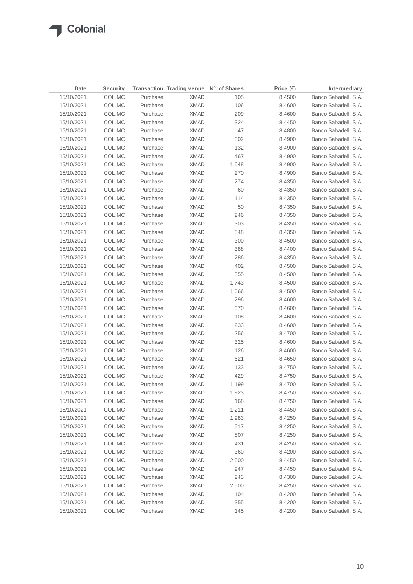| 15/10/2021<br>Purchase<br>Banco Sabadell, S.A.<br>COL.MC<br><b>XMAD</b><br>105<br>8.4500<br>106<br>15/10/2021<br>COL.MC<br>Purchase<br><b>XMAD</b><br>8.4600<br>Banco Sabadell, S.A.<br>15/10/2021<br>COL.MC<br>Purchase<br><b>XMAD</b><br>209<br>8.4600<br>Banco Sabadell, S.A.<br>COL.MC<br><b>XMAD</b><br>324<br>Banco Sabadell, S.A.<br>15/10/2021<br>Purchase<br>8.4450<br>47<br>15/10/2021<br>COL.MC<br>Purchase<br><b>XMAD</b><br>8.4800<br>Banco Sabadell, S.A.<br>302<br>15/10/2021<br>COL.MC<br>Purchase<br><b>XMAD</b><br>8.4900<br>Banco Sabadell, S.A.<br>132<br>15/10/2021<br>COL.MC<br>Purchase<br><b>XMAD</b><br>8.4900<br>Banco Sabadell, S.A.<br>467<br>Banco Sabadell, S.A.<br>15/10/2021<br>COL.MC<br>Purchase<br><b>XMAD</b><br>8.4900<br>15/10/2021<br>COL.MC<br>Purchase<br><b>XMAD</b><br>1,548<br>8.4900<br>Banco Sabadell, S.A.<br>Banco Sabadell, S.A.<br>15/10/2021<br>COL.MC<br>Purchase<br><b>XMAD</b><br>270<br>8.4900<br>274<br>15/10/2021<br>COL.MC<br>Purchase<br><b>XMAD</b><br>8.4350<br>Banco Sabadell, S.A.<br>60<br>15/10/2021<br>COL.MC<br>Purchase<br><b>XMAD</b><br>8.4350<br>Banco Sabadell, S.A.<br>15/10/2021<br>COL.MC<br>Purchase<br><b>XMAD</b><br>114<br>8.4350<br>Banco Sabadell, S.A.<br>50<br>15/10/2021<br>COL.MC<br>Purchase<br><b>XMAD</b><br>Banco Sabadell, S.A.<br>8.4350<br>15/10/2021<br>COL.MC<br>Purchase<br><b>XMAD</b><br>246<br>Banco Sabadell, S.A.<br>8.4350<br>303<br>15/10/2021<br>COL.MC<br>Purchase<br><b>XMAD</b><br>8.4350<br>Banco Sabadell, S.A.<br>15/10/2021<br>COL.MC<br>Purchase<br><b>XMAD</b><br>848<br>8.4350<br>Banco Sabadell, S.A.<br>300<br>15/10/2021<br>COL.MC<br>Purchase<br><b>XMAD</b><br>8.4500<br>Banco Sabadell, S.A.<br>388<br>15/10/2021<br>COL.MC<br>Purchase<br><b>XMAD</b><br>8.4400<br>Banco Sabadell, S.A.<br>286<br>15/10/2021<br>COL.MC<br>Purchase<br><b>XMAD</b><br>8.4350<br>Banco Sabadell, S.A.<br>402<br>15/10/2021<br>COL.MC<br>Purchase<br><b>XMAD</b><br>8.4500<br>Banco Sabadell, S.A.<br>355<br>15/10/2021<br>COL.MC<br><b>XMAD</b><br>8.4500<br>Banco Sabadell, S.A.<br>Purchase<br>15/10/2021<br>1,743<br>Banco Sabadell, S.A.<br>COL.MC<br>Purchase<br>XMAD<br>8.4500<br>15/10/2021<br>COL.MC<br>Purchase<br><b>XMAD</b><br>1,066<br>Banco Sabadell, S.A.<br>8.4500<br>COL.MC<br>Purchase<br><b>XMAD</b><br>296<br>Banco Sabadell, S.A.<br>15/10/2021<br>8.4600<br>15/10/2021<br>370<br>Banco Sabadell, S.A.<br>COL.MC<br>Purchase<br>XMAD<br>8.4600<br>15/10/2021<br>Purchase<br><b>XMAD</b><br>108<br>Banco Sabadell, S.A.<br>COL.MC<br>8.4600<br>233<br>Banco Sabadell, S.A.<br>15/10/2021<br>COL.MC<br>Purchase<br>XMAD<br>8.4600<br>256<br>Banco Sabadell, S.A.<br>15/10/2021<br>COL.MC<br>Purchase<br>XMAD<br>8.4700<br>COL.MC<br>325<br>Banco Sabadell, S.A.<br>15/10/2021<br>Purchase<br>XMAD<br>8.4600<br>COL.MC<br>126<br>Banco Sabadell, S.A.<br>15/10/2021<br>Purchase<br>XMAD<br>8.4600<br>COL.MC<br>Purchase<br>621<br>Banco Sabadell, S.A.<br>15/10/2021<br>XMAD<br>8.4650<br>COL.MC<br>Purchase<br><b>XMAD</b><br>133<br>Banco Sabadell, S.A.<br>15/10/2021<br>8.4750<br>15/10/2021<br>COL.MC<br>Purchase<br><b>XMAD</b><br>429<br>Banco Sabadell, S.A.<br>8.4750<br>Banco Sabadell, S.A.<br>15/10/2021<br>COL.MC<br>Purchase<br><b>XMAD</b><br>1,199<br>8.4700<br>15/10/2021<br>COL.MC<br><b>XMAD</b><br>1,823<br>8.4750<br>Purchase<br>Banco Sabadell, S.A.<br>15/10/2021<br>COL.MC<br><b>XMAD</b><br>168<br>8.4750<br>Banco Sabadell, S.A.<br>Purchase<br>1,211<br>15/10/2021<br>COL.MC<br>Purchase<br><b>XMAD</b><br>8.4450<br>Banco Sabadell, S.A.<br>15/10/2021<br>COL.MC<br>Purchase<br><b>XMAD</b><br>8.4250<br>Banco Sabadell, S.A.<br>1,983<br>Banco Sabadell, S.A.<br>15/10/2021<br>COL.MC<br>Purchase<br><b>XMAD</b><br>517<br>8.4250<br>15/10/2021<br>COL.MC<br>Purchase<br><b>XMAD</b><br>807<br>8.4250<br>Banco Sabadell, S.A.<br>431<br>Banco Sabadell, S.A.<br>15/10/2021<br>COL.MC<br>Purchase<br><b>XMAD</b><br>8.4250<br>15/10/2021<br>COL.MC<br>Purchase<br><b>XMAD</b><br>360<br>8.4200<br>Banco Sabadell, S.A.<br>Banco Sabadell, S.A.<br>15/10/2021<br>COL.MC<br>Purchase<br><b>XMAD</b><br>2,500<br>8.4450<br>15/10/2021<br>COL.MC<br>Purchase<br><b>XMAD</b><br>947<br>Banco Sabadell, S.A.<br>8.4450<br>15/10/2021<br>COL.MC<br>Purchase<br><b>XMAD</b><br>243<br>Banco Sabadell, S.A.<br>8.4300<br>15/10/2021<br>COL.MC<br>Purchase<br><b>XMAD</b><br>2,500<br>Banco Sabadell, S.A.<br>8.4250<br>15/10/2021<br>COL.MC<br>Purchase<br><b>XMAD</b><br>104<br>8.4200<br>Banco Sabadell, S.A.<br>15/10/2021<br>COL.MC<br>Purchase<br><b>XMAD</b><br>355<br>8.4200<br>Banco Sabadell, S.A. | Date       | <b>Security</b> |          | Transaction Trading venue Nº. of Shares |     | Price $(\epsilon)$ | Intermediary         |
|--------------------------------------------------------------------------------------------------------------------------------------------------------------------------------------------------------------------------------------------------------------------------------------------------------------------------------------------------------------------------------------------------------------------------------------------------------------------------------------------------------------------------------------------------------------------------------------------------------------------------------------------------------------------------------------------------------------------------------------------------------------------------------------------------------------------------------------------------------------------------------------------------------------------------------------------------------------------------------------------------------------------------------------------------------------------------------------------------------------------------------------------------------------------------------------------------------------------------------------------------------------------------------------------------------------------------------------------------------------------------------------------------------------------------------------------------------------------------------------------------------------------------------------------------------------------------------------------------------------------------------------------------------------------------------------------------------------------------------------------------------------------------------------------------------------------------------------------------------------------------------------------------------------------------------------------------------------------------------------------------------------------------------------------------------------------------------------------------------------------------------------------------------------------------------------------------------------------------------------------------------------------------------------------------------------------------------------------------------------------------------------------------------------------------------------------------------------------------------------------------------------------------------------------------------------------------------------------------------------------------------------------------------------------------------------------------------------------------------------------------------------------------------------------------------------------------------------------------------------------------------------------------------------------------------------------------------------------------------------------------------------------------------------------------------------------------------------------------------------------------------------------------------------------------------------------------------------------------------------------------------------------------------------------------------------------------------------------------------------------------------------------------------------------------------------------------------------------------------------------------------------------------------------------------------------------------------------------------------------------------------------------------------------------------------------------------------------------------------------------------------------------------------------------------------------------------------------------------------------------------------------------------------------------------------------------------------------------------------------------------------------------------------------------------------------------------------------------------------------------------------------------------------------------------------------------------------------------------------------------------------------------------------------------------------------------------------------------------------------------------------------------------------------------------------------------------------------------------------------------------------------------------------------------------------------------------------------------------------------------------------------------------------|------------|-----------------|----------|-----------------------------------------|-----|--------------------|----------------------|
|                                                                                                                                                                                                                                                                                                                                                                                                                                                                                                                                                                                                                                                                                                                                                                                                                                                                                                                                                                                                                                                                                                                                                                                                                                                                                                                                                                                                                                                                                                                                                                                                                                                                                                                                                                                                                                                                                                                                                                                                                                                                                                                                                                                                                                                                                                                                                                                                                                                                                                                                                                                                                                                                                                                                                                                                                                                                                                                                                                                                                                                                                                                                                                                                                                                                                                                                                                                                                                                                                                                                                                                                                                                                                                                                                                                                                                                                                                                                                                                                                                                                                                                                                                                                                                                                                                                                                                                                                                                                                                                                                                                                                                                        |            |                 |          |                                         |     |                    |                      |
|                                                                                                                                                                                                                                                                                                                                                                                                                                                                                                                                                                                                                                                                                                                                                                                                                                                                                                                                                                                                                                                                                                                                                                                                                                                                                                                                                                                                                                                                                                                                                                                                                                                                                                                                                                                                                                                                                                                                                                                                                                                                                                                                                                                                                                                                                                                                                                                                                                                                                                                                                                                                                                                                                                                                                                                                                                                                                                                                                                                                                                                                                                                                                                                                                                                                                                                                                                                                                                                                                                                                                                                                                                                                                                                                                                                                                                                                                                                                                                                                                                                                                                                                                                                                                                                                                                                                                                                                                                                                                                                                                                                                                                                        |            |                 |          |                                         |     |                    |                      |
|                                                                                                                                                                                                                                                                                                                                                                                                                                                                                                                                                                                                                                                                                                                                                                                                                                                                                                                                                                                                                                                                                                                                                                                                                                                                                                                                                                                                                                                                                                                                                                                                                                                                                                                                                                                                                                                                                                                                                                                                                                                                                                                                                                                                                                                                                                                                                                                                                                                                                                                                                                                                                                                                                                                                                                                                                                                                                                                                                                                                                                                                                                                                                                                                                                                                                                                                                                                                                                                                                                                                                                                                                                                                                                                                                                                                                                                                                                                                                                                                                                                                                                                                                                                                                                                                                                                                                                                                                                                                                                                                                                                                                                                        |            |                 |          |                                         |     |                    |                      |
|                                                                                                                                                                                                                                                                                                                                                                                                                                                                                                                                                                                                                                                                                                                                                                                                                                                                                                                                                                                                                                                                                                                                                                                                                                                                                                                                                                                                                                                                                                                                                                                                                                                                                                                                                                                                                                                                                                                                                                                                                                                                                                                                                                                                                                                                                                                                                                                                                                                                                                                                                                                                                                                                                                                                                                                                                                                                                                                                                                                                                                                                                                                                                                                                                                                                                                                                                                                                                                                                                                                                                                                                                                                                                                                                                                                                                                                                                                                                                                                                                                                                                                                                                                                                                                                                                                                                                                                                                                                                                                                                                                                                                                                        |            |                 |          |                                         |     |                    |                      |
|                                                                                                                                                                                                                                                                                                                                                                                                                                                                                                                                                                                                                                                                                                                                                                                                                                                                                                                                                                                                                                                                                                                                                                                                                                                                                                                                                                                                                                                                                                                                                                                                                                                                                                                                                                                                                                                                                                                                                                                                                                                                                                                                                                                                                                                                                                                                                                                                                                                                                                                                                                                                                                                                                                                                                                                                                                                                                                                                                                                                                                                                                                                                                                                                                                                                                                                                                                                                                                                                                                                                                                                                                                                                                                                                                                                                                                                                                                                                                                                                                                                                                                                                                                                                                                                                                                                                                                                                                                                                                                                                                                                                                                                        |            |                 |          |                                         |     |                    |                      |
|                                                                                                                                                                                                                                                                                                                                                                                                                                                                                                                                                                                                                                                                                                                                                                                                                                                                                                                                                                                                                                                                                                                                                                                                                                                                                                                                                                                                                                                                                                                                                                                                                                                                                                                                                                                                                                                                                                                                                                                                                                                                                                                                                                                                                                                                                                                                                                                                                                                                                                                                                                                                                                                                                                                                                                                                                                                                                                                                                                                                                                                                                                                                                                                                                                                                                                                                                                                                                                                                                                                                                                                                                                                                                                                                                                                                                                                                                                                                                                                                                                                                                                                                                                                                                                                                                                                                                                                                                                                                                                                                                                                                                                                        |            |                 |          |                                         |     |                    |                      |
|                                                                                                                                                                                                                                                                                                                                                                                                                                                                                                                                                                                                                                                                                                                                                                                                                                                                                                                                                                                                                                                                                                                                                                                                                                                                                                                                                                                                                                                                                                                                                                                                                                                                                                                                                                                                                                                                                                                                                                                                                                                                                                                                                                                                                                                                                                                                                                                                                                                                                                                                                                                                                                                                                                                                                                                                                                                                                                                                                                                                                                                                                                                                                                                                                                                                                                                                                                                                                                                                                                                                                                                                                                                                                                                                                                                                                                                                                                                                                                                                                                                                                                                                                                                                                                                                                                                                                                                                                                                                                                                                                                                                                                                        |            |                 |          |                                         |     |                    |                      |
|                                                                                                                                                                                                                                                                                                                                                                                                                                                                                                                                                                                                                                                                                                                                                                                                                                                                                                                                                                                                                                                                                                                                                                                                                                                                                                                                                                                                                                                                                                                                                                                                                                                                                                                                                                                                                                                                                                                                                                                                                                                                                                                                                                                                                                                                                                                                                                                                                                                                                                                                                                                                                                                                                                                                                                                                                                                                                                                                                                                                                                                                                                                                                                                                                                                                                                                                                                                                                                                                                                                                                                                                                                                                                                                                                                                                                                                                                                                                                                                                                                                                                                                                                                                                                                                                                                                                                                                                                                                                                                                                                                                                                                                        |            |                 |          |                                         |     |                    |                      |
|                                                                                                                                                                                                                                                                                                                                                                                                                                                                                                                                                                                                                                                                                                                                                                                                                                                                                                                                                                                                                                                                                                                                                                                                                                                                                                                                                                                                                                                                                                                                                                                                                                                                                                                                                                                                                                                                                                                                                                                                                                                                                                                                                                                                                                                                                                                                                                                                                                                                                                                                                                                                                                                                                                                                                                                                                                                                                                                                                                                                                                                                                                                                                                                                                                                                                                                                                                                                                                                                                                                                                                                                                                                                                                                                                                                                                                                                                                                                                                                                                                                                                                                                                                                                                                                                                                                                                                                                                                                                                                                                                                                                                                                        |            |                 |          |                                         |     |                    |                      |
|                                                                                                                                                                                                                                                                                                                                                                                                                                                                                                                                                                                                                                                                                                                                                                                                                                                                                                                                                                                                                                                                                                                                                                                                                                                                                                                                                                                                                                                                                                                                                                                                                                                                                                                                                                                                                                                                                                                                                                                                                                                                                                                                                                                                                                                                                                                                                                                                                                                                                                                                                                                                                                                                                                                                                                                                                                                                                                                                                                                                                                                                                                                                                                                                                                                                                                                                                                                                                                                                                                                                                                                                                                                                                                                                                                                                                                                                                                                                                                                                                                                                                                                                                                                                                                                                                                                                                                                                                                                                                                                                                                                                                                                        |            |                 |          |                                         |     |                    |                      |
|                                                                                                                                                                                                                                                                                                                                                                                                                                                                                                                                                                                                                                                                                                                                                                                                                                                                                                                                                                                                                                                                                                                                                                                                                                                                                                                                                                                                                                                                                                                                                                                                                                                                                                                                                                                                                                                                                                                                                                                                                                                                                                                                                                                                                                                                                                                                                                                                                                                                                                                                                                                                                                                                                                                                                                                                                                                                                                                                                                                                                                                                                                                                                                                                                                                                                                                                                                                                                                                                                                                                                                                                                                                                                                                                                                                                                                                                                                                                                                                                                                                                                                                                                                                                                                                                                                                                                                                                                                                                                                                                                                                                                                                        |            |                 |          |                                         |     |                    |                      |
|                                                                                                                                                                                                                                                                                                                                                                                                                                                                                                                                                                                                                                                                                                                                                                                                                                                                                                                                                                                                                                                                                                                                                                                                                                                                                                                                                                                                                                                                                                                                                                                                                                                                                                                                                                                                                                                                                                                                                                                                                                                                                                                                                                                                                                                                                                                                                                                                                                                                                                                                                                                                                                                                                                                                                                                                                                                                                                                                                                                                                                                                                                                                                                                                                                                                                                                                                                                                                                                                                                                                                                                                                                                                                                                                                                                                                                                                                                                                                                                                                                                                                                                                                                                                                                                                                                                                                                                                                                                                                                                                                                                                                                                        |            |                 |          |                                         |     |                    |                      |
|                                                                                                                                                                                                                                                                                                                                                                                                                                                                                                                                                                                                                                                                                                                                                                                                                                                                                                                                                                                                                                                                                                                                                                                                                                                                                                                                                                                                                                                                                                                                                                                                                                                                                                                                                                                                                                                                                                                                                                                                                                                                                                                                                                                                                                                                                                                                                                                                                                                                                                                                                                                                                                                                                                                                                                                                                                                                                                                                                                                                                                                                                                                                                                                                                                                                                                                                                                                                                                                                                                                                                                                                                                                                                                                                                                                                                                                                                                                                                                                                                                                                                                                                                                                                                                                                                                                                                                                                                                                                                                                                                                                                                                                        |            |                 |          |                                         |     |                    |                      |
|                                                                                                                                                                                                                                                                                                                                                                                                                                                                                                                                                                                                                                                                                                                                                                                                                                                                                                                                                                                                                                                                                                                                                                                                                                                                                                                                                                                                                                                                                                                                                                                                                                                                                                                                                                                                                                                                                                                                                                                                                                                                                                                                                                                                                                                                                                                                                                                                                                                                                                                                                                                                                                                                                                                                                                                                                                                                                                                                                                                                                                                                                                                                                                                                                                                                                                                                                                                                                                                                                                                                                                                                                                                                                                                                                                                                                                                                                                                                                                                                                                                                                                                                                                                                                                                                                                                                                                                                                                                                                                                                                                                                                                                        |            |                 |          |                                         |     |                    |                      |
|                                                                                                                                                                                                                                                                                                                                                                                                                                                                                                                                                                                                                                                                                                                                                                                                                                                                                                                                                                                                                                                                                                                                                                                                                                                                                                                                                                                                                                                                                                                                                                                                                                                                                                                                                                                                                                                                                                                                                                                                                                                                                                                                                                                                                                                                                                                                                                                                                                                                                                                                                                                                                                                                                                                                                                                                                                                                                                                                                                                                                                                                                                                                                                                                                                                                                                                                                                                                                                                                                                                                                                                                                                                                                                                                                                                                                                                                                                                                                                                                                                                                                                                                                                                                                                                                                                                                                                                                                                                                                                                                                                                                                                                        |            |                 |          |                                         |     |                    |                      |
|                                                                                                                                                                                                                                                                                                                                                                                                                                                                                                                                                                                                                                                                                                                                                                                                                                                                                                                                                                                                                                                                                                                                                                                                                                                                                                                                                                                                                                                                                                                                                                                                                                                                                                                                                                                                                                                                                                                                                                                                                                                                                                                                                                                                                                                                                                                                                                                                                                                                                                                                                                                                                                                                                                                                                                                                                                                                                                                                                                                                                                                                                                                                                                                                                                                                                                                                                                                                                                                                                                                                                                                                                                                                                                                                                                                                                                                                                                                                                                                                                                                                                                                                                                                                                                                                                                                                                                                                                                                                                                                                                                                                                                                        |            |                 |          |                                         |     |                    |                      |
|                                                                                                                                                                                                                                                                                                                                                                                                                                                                                                                                                                                                                                                                                                                                                                                                                                                                                                                                                                                                                                                                                                                                                                                                                                                                                                                                                                                                                                                                                                                                                                                                                                                                                                                                                                                                                                                                                                                                                                                                                                                                                                                                                                                                                                                                                                                                                                                                                                                                                                                                                                                                                                                                                                                                                                                                                                                                                                                                                                                                                                                                                                                                                                                                                                                                                                                                                                                                                                                                                                                                                                                                                                                                                                                                                                                                                                                                                                                                                                                                                                                                                                                                                                                                                                                                                                                                                                                                                                                                                                                                                                                                                                                        |            |                 |          |                                         |     |                    |                      |
|                                                                                                                                                                                                                                                                                                                                                                                                                                                                                                                                                                                                                                                                                                                                                                                                                                                                                                                                                                                                                                                                                                                                                                                                                                                                                                                                                                                                                                                                                                                                                                                                                                                                                                                                                                                                                                                                                                                                                                                                                                                                                                                                                                                                                                                                                                                                                                                                                                                                                                                                                                                                                                                                                                                                                                                                                                                                                                                                                                                                                                                                                                                                                                                                                                                                                                                                                                                                                                                                                                                                                                                                                                                                                                                                                                                                                                                                                                                                                                                                                                                                                                                                                                                                                                                                                                                                                                                                                                                                                                                                                                                                                                                        |            |                 |          |                                         |     |                    |                      |
|                                                                                                                                                                                                                                                                                                                                                                                                                                                                                                                                                                                                                                                                                                                                                                                                                                                                                                                                                                                                                                                                                                                                                                                                                                                                                                                                                                                                                                                                                                                                                                                                                                                                                                                                                                                                                                                                                                                                                                                                                                                                                                                                                                                                                                                                                                                                                                                                                                                                                                                                                                                                                                                                                                                                                                                                                                                                                                                                                                                                                                                                                                                                                                                                                                                                                                                                                                                                                                                                                                                                                                                                                                                                                                                                                                                                                                                                                                                                                                                                                                                                                                                                                                                                                                                                                                                                                                                                                                                                                                                                                                                                                                                        |            |                 |          |                                         |     |                    |                      |
|                                                                                                                                                                                                                                                                                                                                                                                                                                                                                                                                                                                                                                                                                                                                                                                                                                                                                                                                                                                                                                                                                                                                                                                                                                                                                                                                                                                                                                                                                                                                                                                                                                                                                                                                                                                                                                                                                                                                                                                                                                                                                                                                                                                                                                                                                                                                                                                                                                                                                                                                                                                                                                                                                                                                                                                                                                                                                                                                                                                                                                                                                                                                                                                                                                                                                                                                                                                                                                                                                                                                                                                                                                                                                                                                                                                                                                                                                                                                                                                                                                                                                                                                                                                                                                                                                                                                                                                                                                                                                                                                                                                                                                                        |            |                 |          |                                         |     |                    |                      |
|                                                                                                                                                                                                                                                                                                                                                                                                                                                                                                                                                                                                                                                                                                                                                                                                                                                                                                                                                                                                                                                                                                                                                                                                                                                                                                                                                                                                                                                                                                                                                                                                                                                                                                                                                                                                                                                                                                                                                                                                                                                                                                                                                                                                                                                                                                                                                                                                                                                                                                                                                                                                                                                                                                                                                                                                                                                                                                                                                                                                                                                                                                                                                                                                                                                                                                                                                                                                                                                                                                                                                                                                                                                                                                                                                                                                                                                                                                                                                                                                                                                                                                                                                                                                                                                                                                                                                                                                                                                                                                                                                                                                                                                        |            |                 |          |                                         |     |                    |                      |
|                                                                                                                                                                                                                                                                                                                                                                                                                                                                                                                                                                                                                                                                                                                                                                                                                                                                                                                                                                                                                                                                                                                                                                                                                                                                                                                                                                                                                                                                                                                                                                                                                                                                                                                                                                                                                                                                                                                                                                                                                                                                                                                                                                                                                                                                                                                                                                                                                                                                                                                                                                                                                                                                                                                                                                                                                                                                                                                                                                                                                                                                                                                                                                                                                                                                                                                                                                                                                                                                                                                                                                                                                                                                                                                                                                                                                                                                                                                                                                                                                                                                                                                                                                                                                                                                                                                                                                                                                                                                                                                                                                                                                                                        |            |                 |          |                                         |     |                    |                      |
|                                                                                                                                                                                                                                                                                                                                                                                                                                                                                                                                                                                                                                                                                                                                                                                                                                                                                                                                                                                                                                                                                                                                                                                                                                                                                                                                                                                                                                                                                                                                                                                                                                                                                                                                                                                                                                                                                                                                                                                                                                                                                                                                                                                                                                                                                                                                                                                                                                                                                                                                                                                                                                                                                                                                                                                                                                                                                                                                                                                                                                                                                                                                                                                                                                                                                                                                                                                                                                                                                                                                                                                                                                                                                                                                                                                                                                                                                                                                                                                                                                                                                                                                                                                                                                                                                                                                                                                                                                                                                                                                                                                                                                                        |            |                 |          |                                         |     |                    |                      |
|                                                                                                                                                                                                                                                                                                                                                                                                                                                                                                                                                                                                                                                                                                                                                                                                                                                                                                                                                                                                                                                                                                                                                                                                                                                                                                                                                                                                                                                                                                                                                                                                                                                                                                                                                                                                                                                                                                                                                                                                                                                                                                                                                                                                                                                                                                                                                                                                                                                                                                                                                                                                                                                                                                                                                                                                                                                                                                                                                                                                                                                                                                                                                                                                                                                                                                                                                                                                                                                                                                                                                                                                                                                                                                                                                                                                                                                                                                                                                                                                                                                                                                                                                                                                                                                                                                                                                                                                                                                                                                                                                                                                                                                        |            |                 |          |                                         |     |                    |                      |
|                                                                                                                                                                                                                                                                                                                                                                                                                                                                                                                                                                                                                                                                                                                                                                                                                                                                                                                                                                                                                                                                                                                                                                                                                                                                                                                                                                                                                                                                                                                                                                                                                                                                                                                                                                                                                                                                                                                                                                                                                                                                                                                                                                                                                                                                                                                                                                                                                                                                                                                                                                                                                                                                                                                                                                                                                                                                                                                                                                                                                                                                                                                                                                                                                                                                                                                                                                                                                                                                                                                                                                                                                                                                                                                                                                                                                                                                                                                                                                                                                                                                                                                                                                                                                                                                                                                                                                                                                                                                                                                                                                                                                                                        |            |                 |          |                                         |     |                    |                      |
|                                                                                                                                                                                                                                                                                                                                                                                                                                                                                                                                                                                                                                                                                                                                                                                                                                                                                                                                                                                                                                                                                                                                                                                                                                                                                                                                                                                                                                                                                                                                                                                                                                                                                                                                                                                                                                                                                                                                                                                                                                                                                                                                                                                                                                                                                                                                                                                                                                                                                                                                                                                                                                                                                                                                                                                                                                                                                                                                                                                                                                                                                                                                                                                                                                                                                                                                                                                                                                                                                                                                                                                                                                                                                                                                                                                                                                                                                                                                                                                                                                                                                                                                                                                                                                                                                                                                                                                                                                                                                                                                                                                                                                                        |            |                 |          |                                         |     |                    |                      |
|                                                                                                                                                                                                                                                                                                                                                                                                                                                                                                                                                                                                                                                                                                                                                                                                                                                                                                                                                                                                                                                                                                                                                                                                                                                                                                                                                                                                                                                                                                                                                                                                                                                                                                                                                                                                                                                                                                                                                                                                                                                                                                                                                                                                                                                                                                                                                                                                                                                                                                                                                                                                                                                                                                                                                                                                                                                                                                                                                                                                                                                                                                                                                                                                                                                                                                                                                                                                                                                                                                                                                                                                                                                                                                                                                                                                                                                                                                                                                                                                                                                                                                                                                                                                                                                                                                                                                                                                                                                                                                                                                                                                                                                        |            |                 |          |                                         |     |                    |                      |
|                                                                                                                                                                                                                                                                                                                                                                                                                                                                                                                                                                                                                                                                                                                                                                                                                                                                                                                                                                                                                                                                                                                                                                                                                                                                                                                                                                                                                                                                                                                                                                                                                                                                                                                                                                                                                                                                                                                                                                                                                                                                                                                                                                                                                                                                                                                                                                                                                                                                                                                                                                                                                                                                                                                                                                                                                                                                                                                                                                                                                                                                                                                                                                                                                                                                                                                                                                                                                                                                                                                                                                                                                                                                                                                                                                                                                                                                                                                                                                                                                                                                                                                                                                                                                                                                                                                                                                                                                                                                                                                                                                                                                                                        |            |                 |          |                                         |     |                    |                      |
|                                                                                                                                                                                                                                                                                                                                                                                                                                                                                                                                                                                                                                                                                                                                                                                                                                                                                                                                                                                                                                                                                                                                                                                                                                                                                                                                                                                                                                                                                                                                                                                                                                                                                                                                                                                                                                                                                                                                                                                                                                                                                                                                                                                                                                                                                                                                                                                                                                                                                                                                                                                                                                                                                                                                                                                                                                                                                                                                                                                                                                                                                                                                                                                                                                                                                                                                                                                                                                                                                                                                                                                                                                                                                                                                                                                                                                                                                                                                                                                                                                                                                                                                                                                                                                                                                                                                                                                                                                                                                                                                                                                                                                                        |            |                 |          |                                         |     |                    |                      |
|                                                                                                                                                                                                                                                                                                                                                                                                                                                                                                                                                                                                                                                                                                                                                                                                                                                                                                                                                                                                                                                                                                                                                                                                                                                                                                                                                                                                                                                                                                                                                                                                                                                                                                                                                                                                                                                                                                                                                                                                                                                                                                                                                                                                                                                                                                                                                                                                                                                                                                                                                                                                                                                                                                                                                                                                                                                                                                                                                                                                                                                                                                                                                                                                                                                                                                                                                                                                                                                                                                                                                                                                                                                                                                                                                                                                                                                                                                                                                                                                                                                                                                                                                                                                                                                                                                                                                                                                                                                                                                                                                                                                                                                        |            |                 |          |                                         |     |                    |                      |
|                                                                                                                                                                                                                                                                                                                                                                                                                                                                                                                                                                                                                                                                                                                                                                                                                                                                                                                                                                                                                                                                                                                                                                                                                                                                                                                                                                                                                                                                                                                                                                                                                                                                                                                                                                                                                                                                                                                                                                                                                                                                                                                                                                                                                                                                                                                                                                                                                                                                                                                                                                                                                                                                                                                                                                                                                                                                                                                                                                                                                                                                                                                                                                                                                                                                                                                                                                                                                                                                                                                                                                                                                                                                                                                                                                                                                                                                                                                                                                                                                                                                                                                                                                                                                                                                                                                                                                                                                                                                                                                                                                                                                                                        |            |                 |          |                                         |     |                    |                      |
|                                                                                                                                                                                                                                                                                                                                                                                                                                                                                                                                                                                                                                                                                                                                                                                                                                                                                                                                                                                                                                                                                                                                                                                                                                                                                                                                                                                                                                                                                                                                                                                                                                                                                                                                                                                                                                                                                                                                                                                                                                                                                                                                                                                                                                                                                                                                                                                                                                                                                                                                                                                                                                                                                                                                                                                                                                                                                                                                                                                                                                                                                                                                                                                                                                                                                                                                                                                                                                                                                                                                                                                                                                                                                                                                                                                                                                                                                                                                                                                                                                                                                                                                                                                                                                                                                                                                                                                                                                                                                                                                                                                                                                                        |            |                 |          |                                         |     |                    |                      |
|                                                                                                                                                                                                                                                                                                                                                                                                                                                                                                                                                                                                                                                                                                                                                                                                                                                                                                                                                                                                                                                                                                                                                                                                                                                                                                                                                                                                                                                                                                                                                                                                                                                                                                                                                                                                                                                                                                                                                                                                                                                                                                                                                                                                                                                                                                                                                                                                                                                                                                                                                                                                                                                                                                                                                                                                                                                                                                                                                                                                                                                                                                                                                                                                                                                                                                                                                                                                                                                                                                                                                                                                                                                                                                                                                                                                                                                                                                                                                                                                                                                                                                                                                                                                                                                                                                                                                                                                                                                                                                                                                                                                                                                        |            |                 |          |                                         |     |                    |                      |
|                                                                                                                                                                                                                                                                                                                                                                                                                                                                                                                                                                                                                                                                                                                                                                                                                                                                                                                                                                                                                                                                                                                                                                                                                                                                                                                                                                                                                                                                                                                                                                                                                                                                                                                                                                                                                                                                                                                                                                                                                                                                                                                                                                                                                                                                                                                                                                                                                                                                                                                                                                                                                                                                                                                                                                                                                                                                                                                                                                                                                                                                                                                                                                                                                                                                                                                                                                                                                                                                                                                                                                                                                                                                                                                                                                                                                                                                                                                                                                                                                                                                                                                                                                                                                                                                                                                                                                                                                                                                                                                                                                                                                                                        |            |                 |          |                                         |     |                    |                      |
|                                                                                                                                                                                                                                                                                                                                                                                                                                                                                                                                                                                                                                                                                                                                                                                                                                                                                                                                                                                                                                                                                                                                                                                                                                                                                                                                                                                                                                                                                                                                                                                                                                                                                                                                                                                                                                                                                                                                                                                                                                                                                                                                                                                                                                                                                                                                                                                                                                                                                                                                                                                                                                                                                                                                                                                                                                                                                                                                                                                                                                                                                                                                                                                                                                                                                                                                                                                                                                                                                                                                                                                                                                                                                                                                                                                                                                                                                                                                                                                                                                                                                                                                                                                                                                                                                                                                                                                                                                                                                                                                                                                                                                                        |            |                 |          |                                         |     |                    |                      |
|                                                                                                                                                                                                                                                                                                                                                                                                                                                                                                                                                                                                                                                                                                                                                                                                                                                                                                                                                                                                                                                                                                                                                                                                                                                                                                                                                                                                                                                                                                                                                                                                                                                                                                                                                                                                                                                                                                                                                                                                                                                                                                                                                                                                                                                                                                                                                                                                                                                                                                                                                                                                                                                                                                                                                                                                                                                                                                                                                                                                                                                                                                                                                                                                                                                                                                                                                                                                                                                                                                                                                                                                                                                                                                                                                                                                                                                                                                                                                                                                                                                                                                                                                                                                                                                                                                                                                                                                                                                                                                                                                                                                                                                        |            |                 |          |                                         |     |                    |                      |
|                                                                                                                                                                                                                                                                                                                                                                                                                                                                                                                                                                                                                                                                                                                                                                                                                                                                                                                                                                                                                                                                                                                                                                                                                                                                                                                                                                                                                                                                                                                                                                                                                                                                                                                                                                                                                                                                                                                                                                                                                                                                                                                                                                                                                                                                                                                                                                                                                                                                                                                                                                                                                                                                                                                                                                                                                                                                                                                                                                                                                                                                                                                                                                                                                                                                                                                                                                                                                                                                                                                                                                                                                                                                                                                                                                                                                                                                                                                                                                                                                                                                                                                                                                                                                                                                                                                                                                                                                                                                                                                                                                                                                                                        |            |                 |          |                                         |     |                    |                      |
|                                                                                                                                                                                                                                                                                                                                                                                                                                                                                                                                                                                                                                                                                                                                                                                                                                                                                                                                                                                                                                                                                                                                                                                                                                                                                                                                                                                                                                                                                                                                                                                                                                                                                                                                                                                                                                                                                                                                                                                                                                                                                                                                                                                                                                                                                                                                                                                                                                                                                                                                                                                                                                                                                                                                                                                                                                                                                                                                                                                                                                                                                                                                                                                                                                                                                                                                                                                                                                                                                                                                                                                                                                                                                                                                                                                                                                                                                                                                                                                                                                                                                                                                                                                                                                                                                                                                                                                                                                                                                                                                                                                                                                                        |            |                 |          |                                         |     |                    |                      |
|                                                                                                                                                                                                                                                                                                                                                                                                                                                                                                                                                                                                                                                                                                                                                                                                                                                                                                                                                                                                                                                                                                                                                                                                                                                                                                                                                                                                                                                                                                                                                                                                                                                                                                                                                                                                                                                                                                                                                                                                                                                                                                                                                                                                                                                                                                                                                                                                                                                                                                                                                                                                                                                                                                                                                                                                                                                                                                                                                                                                                                                                                                                                                                                                                                                                                                                                                                                                                                                                                                                                                                                                                                                                                                                                                                                                                                                                                                                                                                                                                                                                                                                                                                                                                                                                                                                                                                                                                                                                                                                                                                                                                                                        |            |                 |          |                                         |     |                    |                      |
|                                                                                                                                                                                                                                                                                                                                                                                                                                                                                                                                                                                                                                                                                                                                                                                                                                                                                                                                                                                                                                                                                                                                                                                                                                                                                                                                                                                                                                                                                                                                                                                                                                                                                                                                                                                                                                                                                                                                                                                                                                                                                                                                                                                                                                                                                                                                                                                                                                                                                                                                                                                                                                                                                                                                                                                                                                                                                                                                                                                                                                                                                                                                                                                                                                                                                                                                                                                                                                                                                                                                                                                                                                                                                                                                                                                                                                                                                                                                                                                                                                                                                                                                                                                                                                                                                                                                                                                                                                                                                                                                                                                                                                                        |            |                 |          |                                         |     |                    |                      |
|                                                                                                                                                                                                                                                                                                                                                                                                                                                                                                                                                                                                                                                                                                                                                                                                                                                                                                                                                                                                                                                                                                                                                                                                                                                                                                                                                                                                                                                                                                                                                                                                                                                                                                                                                                                                                                                                                                                                                                                                                                                                                                                                                                                                                                                                                                                                                                                                                                                                                                                                                                                                                                                                                                                                                                                                                                                                                                                                                                                                                                                                                                                                                                                                                                                                                                                                                                                                                                                                                                                                                                                                                                                                                                                                                                                                                                                                                                                                                                                                                                                                                                                                                                                                                                                                                                                                                                                                                                                                                                                                                                                                                                                        |            |                 |          |                                         |     |                    |                      |
|                                                                                                                                                                                                                                                                                                                                                                                                                                                                                                                                                                                                                                                                                                                                                                                                                                                                                                                                                                                                                                                                                                                                                                                                                                                                                                                                                                                                                                                                                                                                                                                                                                                                                                                                                                                                                                                                                                                                                                                                                                                                                                                                                                                                                                                                                                                                                                                                                                                                                                                                                                                                                                                                                                                                                                                                                                                                                                                                                                                                                                                                                                                                                                                                                                                                                                                                                                                                                                                                                                                                                                                                                                                                                                                                                                                                                                                                                                                                                                                                                                                                                                                                                                                                                                                                                                                                                                                                                                                                                                                                                                                                                                                        |            |                 |          |                                         |     |                    |                      |
|                                                                                                                                                                                                                                                                                                                                                                                                                                                                                                                                                                                                                                                                                                                                                                                                                                                                                                                                                                                                                                                                                                                                                                                                                                                                                                                                                                                                                                                                                                                                                                                                                                                                                                                                                                                                                                                                                                                                                                                                                                                                                                                                                                                                                                                                                                                                                                                                                                                                                                                                                                                                                                                                                                                                                                                                                                                                                                                                                                                                                                                                                                                                                                                                                                                                                                                                                                                                                                                                                                                                                                                                                                                                                                                                                                                                                                                                                                                                                                                                                                                                                                                                                                                                                                                                                                                                                                                                                                                                                                                                                                                                                                                        |            |                 |          |                                         |     |                    |                      |
|                                                                                                                                                                                                                                                                                                                                                                                                                                                                                                                                                                                                                                                                                                                                                                                                                                                                                                                                                                                                                                                                                                                                                                                                                                                                                                                                                                                                                                                                                                                                                                                                                                                                                                                                                                                                                                                                                                                                                                                                                                                                                                                                                                                                                                                                                                                                                                                                                                                                                                                                                                                                                                                                                                                                                                                                                                                                                                                                                                                                                                                                                                                                                                                                                                                                                                                                                                                                                                                                                                                                                                                                                                                                                                                                                                                                                                                                                                                                                                                                                                                                                                                                                                                                                                                                                                                                                                                                                                                                                                                                                                                                                                                        |            |                 |          |                                         |     |                    |                      |
|                                                                                                                                                                                                                                                                                                                                                                                                                                                                                                                                                                                                                                                                                                                                                                                                                                                                                                                                                                                                                                                                                                                                                                                                                                                                                                                                                                                                                                                                                                                                                                                                                                                                                                                                                                                                                                                                                                                                                                                                                                                                                                                                                                                                                                                                                                                                                                                                                                                                                                                                                                                                                                                                                                                                                                                                                                                                                                                                                                                                                                                                                                                                                                                                                                                                                                                                                                                                                                                                                                                                                                                                                                                                                                                                                                                                                                                                                                                                                                                                                                                                                                                                                                                                                                                                                                                                                                                                                                                                                                                                                                                                                                                        |            |                 |          |                                         |     |                    |                      |
|                                                                                                                                                                                                                                                                                                                                                                                                                                                                                                                                                                                                                                                                                                                                                                                                                                                                                                                                                                                                                                                                                                                                                                                                                                                                                                                                                                                                                                                                                                                                                                                                                                                                                                                                                                                                                                                                                                                                                                                                                                                                                                                                                                                                                                                                                                                                                                                                                                                                                                                                                                                                                                                                                                                                                                                                                                                                                                                                                                                                                                                                                                                                                                                                                                                                                                                                                                                                                                                                                                                                                                                                                                                                                                                                                                                                                                                                                                                                                                                                                                                                                                                                                                                                                                                                                                                                                                                                                                                                                                                                                                                                                                                        |            |                 |          |                                         |     |                    |                      |
|                                                                                                                                                                                                                                                                                                                                                                                                                                                                                                                                                                                                                                                                                                                                                                                                                                                                                                                                                                                                                                                                                                                                                                                                                                                                                                                                                                                                                                                                                                                                                                                                                                                                                                                                                                                                                                                                                                                                                                                                                                                                                                                                                                                                                                                                                                                                                                                                                                                                                                                                                                                                                                                                                                                                                                                                                                                                                                                                                                                                                                                                                                                                                                                                                                                                                                                                                                                                                                                                                                                                                                                                                                                                                                                                                                                                                                                                                                                                                                                                                                                                                                                                                                                                                                                                                                                                                                                                                                                                                                                                                                                                                                                        |            |                 |          |                                         |     |                    |                      |
|                                                                                                                                                                                                                                                                                                                                                                                                                                                                                                                                                                                                                                                                                                                                                                                                                                                                                                                                                                                                                                                                                                                                                                                                                                                                                                                                                                                                                                                                                                                                                                                                                                                                                                                                                                                                                                                                                                                                                                                                                                                                                                                                                                                                                                                                                                                                                                                                                                                                                                                                                                                                                                                                                                                                                                                                                                                                                                                                                                                                                                                                                                                                                                                                                                                                                                                                                                                                                                                                                                                                                                                                                                                                                                                                                                                                                                                                                                                                                                                                                                                                                                                                                                                                                                                                                                                                                                                                                                                                                                                                                                                                                                                        |            |                 |          |                                         |     |                    |                      |
|                                                                                                                                                                                                                                                                                                                                                                                                                                                                                                                                                                                                                                                                                                                                                                                                                                                                                                                                                                                                                                                                                                                                                                                                                                                                                                                                                                                                                                                                                                                                                                                                                                                                                                                                                                                                                                                                                                                                                                                                                                                                                                                                                                                                                                                                                                                                                                                                                                                                                                                                                                                                                                                                                                                                                                                                                                                                                                                                                                                                                                                                                                                                                                                                                                                                                                                                                                                                                                                                                                                                                                                                                                                                                                                                                                                                                                                                                                                                                                                                                                                                                                                                                                                                                                                                                                                                                                                                                                                                                                                                                                                                                                                        |            |                 |          |                                         |     |                    |                      |
|                                                                                                                                                                                                                                                                                                                                                                                                                                                                                                                                                                                                                                                                                                                                                                                                                                                                                                                                                                                                                                                                                                                                                                                                                                                                                                                                                                                                                                                                                                                                                                                                                                                                                                                                                                                                                                                                                                                                                                                                                                                                                                                                                                                                                                                                                                                                                                                                                                                                                                                                                                                                                                                                                                                                                                                                                                                                                                                                                                                                                                                                                                                                                                                                                                                                                                                                                                                                                                                                                                                                                                                                                                                                                                                                                                                                                                                                                                                                                                                                                                                                                                                                                                                                                                                                                                                                                                                                                                                                                                                                                                                                                                                        | 15/10/2021 | COL.MC          | Purchase | <b>XMAD</b>                             | 145 | 8.4200             | Banco Sabadell, S.A. |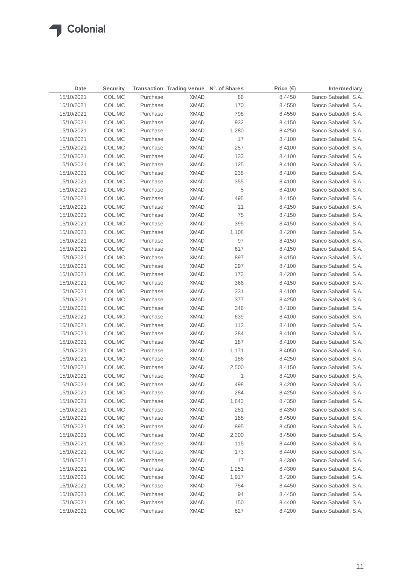| <b>Date</b> | <b>Security</b> |          | Transaction Trading venue Nº. of Shares |       | Price $(\epsilon)$ | Intermediary         |
|-------------|-----------------|----------|-----------------------------------------|-------|--------------------|----------------------|
| 15/10/2021  | COL.MC          | Purchase | <b>XMAD</b>                             | 86    | 8.4450             | Banco Sabadell, S.A. |
| 15/10/2021  | COL.MC          | Purchase | <b>XMAD</b>                             | 170   | 8.4550             | Banco Sabadell, S.A. |
| 15/10/2021  | COL.MC          | Purchase | <b>XMAD</b>                             | 798   | 8.4550             | Banco Sabadell, S.A. |
| 15/10/2021  | COL.MC          | Purchase | <b>XMAD</b>                             | 932   | 8.4150             | Banco Sabadell, S.A. |
| 15/10/2021  | COL.MC          | Purchase | <b>XMAD</b>                             | 1,280 | 8.4250             | Banco Sabadell, S.A. |
| 15/10/2021  | COL.MC          | Purchase | <b>XMAD</b>                             | 17    | 8.4100             | Banco Sabadell, S.A. |
| 15/10/2021  | COL.MC          | Purchase | <b>XMAD</b>                             | 257   | 8.4100             | Banco Sabadell, S.A. |
| 15/10/2021  | COL.MC          | Purchase | <b>XMAD</b>                             | 133   | 8.4100             | Banco Sabadell, S.A. |
| 15/10/2021  | COL.MC          | Purchase | <b>XMAD</b>                             | 125   | 8.4100             | Banco Sabadell, S.A. |
| 15/10/2021  | COL.MC          | Purchase | <b>XMAD</b>                             | 238   | 8.4100             | Banco Sabadell, S.A. |
| 15/10/2021  | COL.MC          | Purchase | <b>XMAD</b>                             | 355   | 8.4100             | Banco Sabadell, S.A. |
| 15/10/2021  | COL.MC          | Purchase | <b>XMAD</b>                             | 5     | 8.4100             | Banco Sabadell, S.A. |
| 15/10/2021  | COL.MC          | Purchase | <b>XMAD</b>                             | 495   | 8.4150             | Banco Sabadell, S.A. |
| 15/10/2021  | COL.MC          | Purchase | <b>XMAD</b>                             | 11    | 8.4150             | Banco Sabadell, S.A. |
| 15/10/2021  | COL.MC          | Purchase | <b>XMAD</b>                             | 75    | 8.4150             | Banco Sabadell, S.A. |
| 15/10/2021  | COL.MC          | Purchase | <b>XMAD</b>                             | 395   | 8.4150             | Banco Sabadell, S.A. |
| 15/10/2021  | COL.MC          | Purchase | <b>XMAD</b>                             | 1,108 | 8.4200             | Banco Sabadell, S.A. |
| 15/10/2021  | COL.MC          | Purchase | <b>XMAD</b>                             | 97    | 8.4150             | Banco Sabadell, S.A. |
| 15/10/2021  | COL.MC          | Purchase | <b>XMAD</b>                             | 617   | 8.4150             | Banco Sabadell, S.A. |
| 15/10/2021  | COL.MC          | Purchase | <b>XMAD</b>                             | 897   | 8.4150             | Banco Sabadell, S.A. |
| 15/10/2021  | COL.MC          | Purchase | <b>XMAD</b>                             | 297   | 8.4100             | Banco Sabadell, S.A. |
| 15/10/2021  | COL.MC          | Purchase | <b>XMAD</b>                             | 173   | 8.4200             | Banco Sabadell, S.A. |
| 15/10/2021  | COL.MC          | Purchase | XMAD                                    | 366   | 8.4150             | Banco Sabadell, S.A. |
| 15/10/2021  | COL.MC          | Purchase | XMAD                                    | 331   | 8.4100             | Banco Sabadell, S.A. |
| 15/10/2021  | COL.MC          | Purchase | <b>XMAD</b>                             | 377   | 8.4250             | Banco Sabadell, S.A. |
| 15/10/2021  | COL.MC          | Purchase | XMAD                                    | 346   | 8.4100             | Banco Sabadell, S.A. |
| 15/10/2021  | COL.MC          | Purchase | XMAD                                    | 639   | 8.4100             | Banco Sabadell, S.A. |
| 15/10/2021  | COL.MC          | Purchase | XMAD                                    | 112   | 8.4100             | Banco Sabadell, S.A. |
| 15/10/2021  | COL.MC          | Purchase | XMAD                                    | 284   | 8.4100             | Banco Sabadell, S.A. |
| 15/10/2021  | COL.MC          | Purchase | <b>XMAD</b>                             | 187   | 8.4100             | Banco Sabadell, S.A. |
| 15/10/2021  | COL.MC          | Purchase | XMAD                                    | 1,171 | 8.4050             | Banco Sabadell, S.A. |
| 15/10/2021  | COL.MC          | Purchase | <b>XMAD</b>                             | 186   | 8.4250             | Banco Sabadell, S.A. |
| 15/10/2021  | COL.MC          | Purchase | <b>XMAD</b>                             | 2,500 | 8.4150             | Banco Sabadell, S.A. |
| 15/10/2021  | COL.MC          | Purchase | <b>XMAD</b>                             | 1     | 8.4200             | Banco Sabadell, S.A. |
| 15/10/2021  | COL.MC          | Purchase | <b>XMAD</b>                             | 498   | 8.4200             | Banco Sabadell, S.A. |
| 15/10/2021  | COL.MC          | Purchase | <b>XMAD</b>                             | 284   | 8.4250             | Banco Sabadell, S.A. |
| 15/10/2021  | COL.MC          | Purchase | <b>XMAD</b>                             | 1,643 | 8.4350             | Banco Sabadell, S.A. |
| 15/10/2021  | COL.MC          | Purchase | <b>XMAD</b>                             | 281   | 8.4350             | Banco Sabadell, S.A. |
| 15/10/2021  | COL.MC          | Purchase | <b>XMAD</b>                             | 188   | 8.4500             | Banco Sabadell, S.A. |
| 15/10/2021  | COL.MC          | Purchase | <b>XMAD</b>                             | 895   | 8.4500             | Banco Sabadell, S.A. |
| 15/10/2021  | COL.MC          | Purchase | <b>XMAD</b>                             | 2,300 | 8.4500             | Banco Sabadell, S.A. |
| 15/10/2021  | COL.MC          | Purchase | <b>XMAD</b>                             | 115   | 8.4400             | Banco Sabadell, S.A. |
| 15/10/2021  | COL.MC          | Purchase | <b>XMAD</b>                             | 173   | 8.4400             | Banco Sabadell, S.A. |
| 15/10/2021  | COL.MC          | Purchase | <b>XMAD</b>                             | 17    | 8.4300             | Banco Sabadell, S.A. |
| 15/10/2021  | COL.MC          | Purchase | <b>XMAD</b>                             | 1,251 | 8.4300             | Banco Sabadell, S.A. |
| 15/10/2021  | COL.MC          | Purchase | <b>XMAD</b>                             | 1,917 | 8.4200             | Banco Sabadell, S.A. |
| 15/10/2021  | COL.MC          | Purchase | <b>XMAD</b>                             | 754   | 8.4450             | Banco Sabadell, S.A. |
| 15/10/2021  | COL.MC          | Purchase | <b>XMAD</b>                             | 94    | 8.4450             | Banco Sabadell, S.A. |
| 15/10/2021  | COL.MC          | Purchase | <b>XMAD</b>                             | 150   | 8.4400             | Banco Sabadell, S.A. |
| 15/10/2021  | COL.MC          | Purchase | <b>XMAD</b>                             | 627   | 8.4200             | Banco Sabadell, S.A. |
|             |                 |          |                                         |       |                    |                      |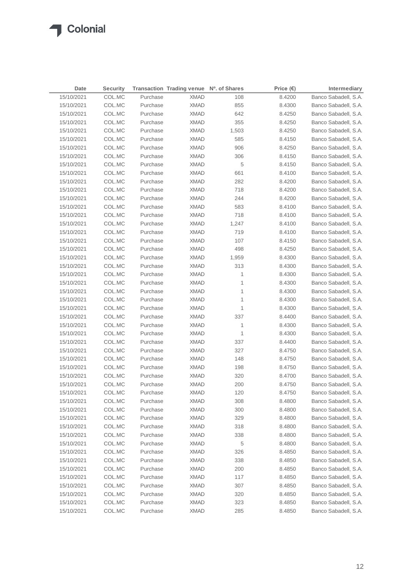| Date       | <b>Security</b> |          | Transaction Trading venue Nº. of Shares |       | Price $(\epsilon)$ | Intermediary         |
|------------|-----------------|----------|-----------------------------------------|-------|--------------------|----------------------|
| 15/10/2021 | COL.MC          | Purchase | <b>XMAD</b>                             | 108   | 8.4200             | Banco Sabadell, S.A. |
| 15/10/2021 | COL.MC          | Purchase | <b>XMAD</b>                             | 855   | 8.4300             | Banco Sabadell, S.A. |
| 15/10/2021 | COL.MC          | Purchase | <b>XMAD</b>                             | 642   | 8.4250             | Banco Sabadell, S.A. |
| 15/10/2021 | COL.MC          | Purchase | <b>XMAD</b>                             | 355   | 8.4250             | Banco Sabadell, S.A. |
| 15/10/2021 | COL.MC          | Purchase | <b>XMAD</b>                             | 1,503 | 8.4250             | Banco Sabadell, S.A. |
| 15/10/2021 | COL.MC          | Purchase | <b>XMAD</b>                             | 585   | 8.4150             | Banco Sabadell, S.A. |
| 15/10/2021 | COL.MC          | Purchase | <b>XMAD</b>                             | 906   | 8.4250             | Banco Sabadell, S.A. |
| 15/10/2021 | COL.MC          | Purchase | <b>XMAD</b>                             | 306   | 8.4150             | Banco Sabadell, S.A. |
| 15/10/2021 | COL.MC          | Purchase | <b>XMAD</b>                             | 5     | 8.4150             | Banco Sabadell, S.A. |
| 15/10/2021 | COL.MC          | Purchase | XMAD                                    | 661   | 8.4100             | Banco Sabadell, S.A. |
| 15/10/2021 | COL.MC          | Purchase | <b>XMAD</b>                             | 282   | 8.4200             | Banco Sabadell, S.A. |
| 15/10/2021 | COL.MC          | Purchase | XMAD                                    | 718   | 8.4200             | Banco Sabadell, S.A. |
| 15/10/2021 | COL.MC          | Purchase | XMAD                                    | 244   | 8.4200             | Banco Sabadell, S.A. |
| 15/10/2021 | COL.MC          | Purchase | XMAD                                    | 583   | 8.4100             | Banco Sabadell, S.A. |
| 15/10/2021 | COL.MC          | Purchase | XMAD                                    | 718   | 8.4100             | Banco Sabadell, S.A. |
| 15/10/2021 | COL.MC          | Purchase | <b>XMAD</b>                             | 1,247 | 8.4100             | Banco Sabadell, S.A. |
| 15/10/2021 | COL.MC          | Purchase | <b>XMAD</b>                             | 719   | 8.4100             | Banco Sabadell, S.A. |
| 15/10/2021 | COL.MC          | Purchase | <b>XMAD</b>                             | 107   | 8.4150             | Banco Sabadell, S.A. |
| 15/10/2021 | COL.MC          | Purchase | <b>XMAD</b>                             | 498   | 8.4250             | Banco Sabadell, S.A. |
| 15/10/2021 | COL.MC          | Purchase | XMAD                                    | 1,959 | 8.4300             | Banco Sabadell, S.A. |
| 15/10/2021 | COL.MC          | Purchase | XMAD                                    | 313   | 8.4300             | Banco Sabadell, S.A. |
| 15/10/2021 | COL.MC          | Purchase | XMAD                                    | 1     | 8.4300             | Banco Sabadell, S.A. |
| 15/10/2021 | COL.MC          | Purchase | <b>XMAD</b>                             | 1     | 8.4300             | Banco Sabadell, S.A. |
| 15/10/2021 | COL.MC          | Purchase | XMAD                                    | 1     | 8.4300             | Banco Sabadell, S.A. |
| 15/10/2021 | COL.MC          | Purchase | <b>XMAD</b>                             | 1     | 8.4300             | Banco Sabadell, S.A. |
| 15/10/2021 | COL.MC          | Purchase | XMAD                                    | 1     | 8.4300             | Banco Sabadell, S.A. |
| 15/10/2021 | COL.MC          | Purchase | XMAD                                    | 337   | 8.4400             | Banco Sabadell, S.A. |
| 15/10/2021 | COL.MC          | Purchase | XMAD                                    | 1     | 8.4300             | Banco Sabadell, S.A. |
| 15/10/2021 | COL.MC          | Purchase | XMAD                                    | 1     | 8.4300             | Banco Sabadell, S.A. |
| 15/10/2021 | COL.MC          | Purchase | XMAD                                    | 337   | 8.4400             | Banco Sabadell, S.A. |
| 15/10/2021 | COL.MC          | Purchase | XMAD                                    | 327   | 8.4750             | Banco Sabadell, S.A. |
| 15/10/2021 | COL.MC          | Purchase | <b>XMAD</b>                             | 148   | 8.4750             | Banco Sabadell, S.A. |
| 15/10/2021 | COL.MC          | Purchase | <b>XMAD</b>                             | 198   | 8.4750             | Banco Sabadell, S.A. |
| 15/10/2021 | COL.MC          | Purchase | <b>XMAD</b>                             | 320   | 8.4700             | Banco Sabadell, S.A. |
| 15/10/2021 | COL.MC          | Purchase | <b>XMAD</b>                             | 200   | 8.4750             | Banco Sabadell, S.A. |
| 15/10/2021 | COL.MC          | Purchase | <b>XMAD</b>                             | 120   | 8.4750             | Banco Sabadell, S.A. |
| 15/10/2021 | COL.MC          | Purchase | <b>XMAD</b>                             | 308   | 8.4800             | Banco Sabadell, S.A. |
| 15/10/2021 | COL.MC          | Purchase | <b>XMAD</b>                             | 300   | 8.4800             | Banco Sabadell, S.A. |
| 15/10/2021 | COL.MC          | Purchase | <b>XMAD</b>                             | 329   | 8.4800             | Banco Sabadell, S.A. |
| 15/10/2021 | COL.MC          | Purchase | <b>XMAD</b>                             | 318   | 8.4800             | Banco Sabadell, S.A. |
| 15/10/2021 | COL.MC          | Purchase | <b>XMAD</b>                             | 338   | 8.4800             | Banco Sabadell, S.A. |
| 15/10/2021 | COL.MC          | Purchase | <b>XMAD</b>                             | 5     | 8.4800             | Banco Sabadell, S.A. |
| 15/10/2021 | COL.MC          | Purchase | <b>XMAD</b>                             | 326   | 8.4850             | Banco Sabadell, S.A. |
| 15/10/2021 | COL.MC          | Purchase | <b>XMAD</b>                             | 338   | 8.4850             | Banco Sabadell, S.A. |
| 15/10/2021 | COL.MC          | Purchase | <b>XMAD</b>                             | 200   | 8.4850             | Banco Sabadell, S.A. |
| 15/10/2021 | COL.MC          | Purchase | <b>XMAD</b>                             | 117   | 8.4850             | Banco Sabadell, S.A. |
| 15/10/2021 | COL.MC          | Purchase | <b>XMAD</b>                             | 307   | 8.4850             | Banco Sabadell, S.A. |
| 15/10/2021 | COL.MC          | Purchase | <b>XMAD</b>                             | 320   | 8.4850             | Banco Sabadell, S.A. |
| 15/10/2021 | COL.MC          | Purchase | <b>XMAD</b>                             | 323   | 8.4850             | Banco Sabadell, S.A. |
| 15/10/2021 | COL.MC          | Purchase | <b>XMAD</b>                             | 285   | 8.4850             | Banco Sabadell, S.A. |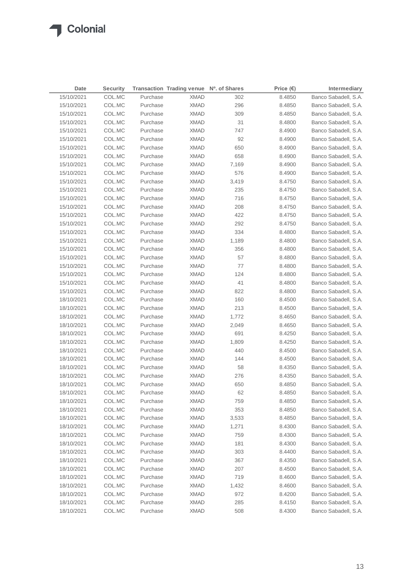| Date       | <b>Security</b> |          | Transaction Trading venue Nº. of Shares |       | Price $(€)$ | Intermediary         |
|------------|-----------------|----------|-----------------------------------------|-------|-------------|----------------------|
| 15/10/2021 | COL.MC          | Purchase | <b>XMAD</b>                             | 302   | 8.4850      | Banco Sabadell, S.A. |
| 15/10/2021 | COL.MC          | Purchase | <b>XMAD</b>                             | 296   | 8.4850      | Banco Sabadell, S.A. |
| 15/10/2021 | COL.MC          | Purchase | <b>XMAD</b>                             | 309   | 8.4850      | Banco Sabadell, S.A. |
| 15/10/2021 | COL.MC          | Purchase | <b>XMAD</b>                             | 31    | 8.4800      | Banco Sabadell, S.A. |
| 15/10/2021 | COL.MC          | Purchase | <b>XMAD</b>                             | 747   | 8.4900      | Banco Sabadell, S.A. |
| 15/10/2021 | COL.MC          | Purchase | <b>XMAD</b>                             | 92    | 8.4900      | Banco Sabadell, S.A. |
| 15/10/2021 | COL.MC          | Purchase | <b>XMAD</b>                             | 650   | 8.4900      | Banco Sabadell, S.A. |
| 15/10/2021 | COL.MC          | Purchase | <b>XMAD</b>                             | 658   | 8.4900      | Banco Sabadell, S.A. |
| 15/10/2021 | COL.MC          | Purchase | <b>XMAD</b>                             | 7,169 | 8.4900      | Banco Sabadell, S.A. |
| 15/10/2021 | COL.MC          | Purchase | XMAD                                    | 576   | 8.4900      | Banco Sabadell, S.A. |
| 15/10/2021 | COL.MC          | Purchase | <b>XMAD</b>                             | 3,419 | 8.4750      | Banco Sabadell, S.A. |
| 15/10/2021 | COL.MC          | Purchase | XMAD                                    | 235   | 8.4750      | Banco Sabadell, S.A. |
| 15/10/2021 | COL.MC          | Purchase | XMAD                                    | 716   | 8.4750      | Banco Sabadell, S.A. |
| 15/10/2021 | COL.MC          | Purchase | XMAD                                    | 208   | 8.4750      | Banco Sabadell, S.A. |
| 15/10/2021 | COL.MC          | Purchase | XMAD                                    | 422   | 8.4750      | Banco Sabadell, S.A. |
| 15/10/2021 | COL.MC          | Purchase | <b>XMAD</b>                             | 292   | 8.4750      | Banco Sabadell, S.A. |
| 15/10/2021 | COL.MC          | Purchase | <b>XMAD</b>                             | 334   | 8.4800      | Banco Sabadell, S.A. |
| 15/10/2021 | COL.MC          | Purchase | <b>XMAD</b>                             | 1,189 | 8.4800      | Banco Sabadell, S.A. |
| 15/10/2021 | COL.MC          | Purchase | <b>XMAD</b>                             | 356   | 8.4800      | Banco Sabadell, S.A. |
| 15/10/2021 | COL.MC          | Purchase | <b>XMAD</b>                             | 57    | 8.4800      | Banco Sabadell, S.A. |
| 15/10/2021 | COL.MC          | Purchase | XMAD                                    | 77    | 8.4800      | Banco Sabadell, S.A. |
| 15/10/2021 | COL.MC          | Purchase | <b>XMAD</b>                             | 124   | 8.4800      | Banco Sabadell, S.A. |
| 15/10/2021 | COL.MC          | Purchase | XMAD                                    | 41    | 8.4800      | Banco Sabadell, S.A. |
| 15/10/2021 | COL.MC          | Purchase | XMAD                                    | 822   | 8.4800      | Banco Sabadell, S.A. |
| 18/10/2021 | COL.MC          | Purchase | <b>XMAD</b>                             | 160   | 8.4500      | Banco Sabadell, S.A. |
| 18/10/2021 | COL.MC          | Purchase | XMAD                                    | 213   | 8.4500      | Banco Sabadell, S.A. |
| 18/10/2021 | COL.MC          | Purchase | XMAD                                    | 1,772 | 8.4650      | Banco Sabadell, S.A. |
| 18/10/2021 | COL.MC          | Purchase | XMAD                                    | 2,049 | 8.4650      | Banco Sabadell, S.A. |
| 18/10/2021 | COL.MC          | Purchase | XMAD                                    | 691   | 8.4250      | Banco Sabadell, S.A. |
| 18/10/2021 | COL.MC          | Purchase | XMAD                                    | 1,809 | 8.4250      | Banco Sabadell, S.A. |
| 18/10/2021 | COL.MC          | Purchase | XMAD                                    | 440   | 8.4500      | Banco Sabadell, S.A. |
| 18/10/2021 | COL.MC          | Purchase | <b>XMAD</b>                             | 144   | 8.4500      | Banco Sabadell, S.A. |
| 18/10/2021 | COL.MC          | Purchase | <b>XMAD</b>                             | 58    | 8.4350      | Banco Sabadell, S.A. |
| 18/10/2021 | COL.MC          | Purchase | <b>XMAD</b>                             | 276   | 8.4350      | Banco Sabadell, S.A. |
| 18/10/2021 | COL.MC          | Purchase | <b>XMAD</b>                             | 650   | 8.4850      | Banco Sabadell, S.A. |
| 18/10/2021 | COL.MC          | Purchase | <b>XMAD</b>                             | 62    | 8.4850      | Banco Sabadell, S.A. |
| 18/10/2021 | COL.MC          | Purchase | <b>XMAD</b>                             | 759   | 8.4850      | Banco Sabadell, S.A. |
| 18/10/2021 | COL.MC          | Purchase | <b>XMAD</b>                             | 353   | 8.4850      | Banco Sabadell, S.A. |
| 18/10/2021 | COL.MC          | Purchase | <b>XMAD</b>                             | 3,533 | 8.4850      | Banco Sabadell, S.A. |
| 18/10/2021 | COL.MC          | Purchase | <b>XMAD</b>                             | 1,271 | 8.4300      | Banco Sabadell, S.A. |
| 18/10/2021 | COL.MC          | Purchase | <b>XMAD</b>                             | 759   | 8.4300      | Banco Sabadell, S.A. |
| 18/10/2021 | COL.MC          | Purchase | <b>XMAD</b>                             | 181   | 8.4300      | Banco Sabadell, S.A. |
| 18/10/2021 | COL.MC          | Purchase | <b>XMAD</b>                             | 303   | 8.4400      | Banco Sabadell, S.A. |
| 18/10/2021 | COL.MC          | Purchase | <b>XMAD</b>                             | 367   | 8.4350      | Banco Sabadell, S.A. |
| 18/10/2021 | COL.MC          | Purchase | <b>XMAD</b>                             | 207   | 8.4500      | Banco Sabadell, S.A. |
| 18/10/2021 | COL.MC          | Purchase | <b>XMAD</b>                             | 719   | 8.4600      | Banco Sabadell, S.A. |
| 18/10/2021 | COL.MC          | Purchase | <b>XMAD</b>                             | 1,432 | 8.4600      | Banco Sabadell, S.A. |
| 18/10/2021 | COL.MC          | Purchase | <b>XMAD</b>                             | 972   | 8.4200      | Banco Sabadell, S.A. |
| 18/10/2021 | COL.MC          | Purchase | <b>XMAD</b>                             | 285   | 8.4150      | Banco Sabadell, S.A. |
| 18/10/2021 | COL.MC          | Purchase | <b>XMAD</b>                             | 508   | 8.4300      | Banco Sabadell, S.A. |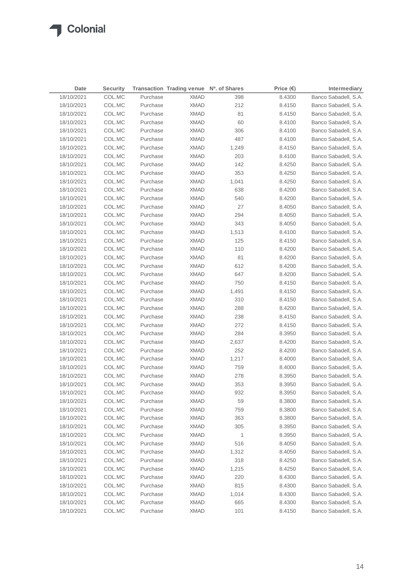| 18/10/2021<br>COL.MC<br>Purchase<br><b>XMAD</b><br>398<br>8.4300<br>212<br>18/10/2021<br>COL.MC<br>Purchase<br><b>XMAD</b><br>8.4150<br>81<br>18/10/2021<br>COL.MC<br>Purchase<br><b>XMAD</b><br>8.4150<br><b>XMAD</b><br>60<br>18/10/2021<br>COL.MC<br>Purchase<br>8.4100<br>306<br>18/10/2021<br>COL.MC<br>Purchase<br><b>XMAD</b><br>8.4100<br>487<br>18/10/2021<br>COL.MC<br>Purchase<br><b>XMAD</b><br>8.4100<br>18/10/2021<br>COL.MC<br>Purchase<br>XMAD<br>1,249<br>8.4150<br>Banco Sabadell, S.A.<br>18/10/2021<br>COL.MC<br>Purchase<br><b>XMAD</b><br>203<br>8.4100<br>Banco Sabadell, S.A.<br>142<br>18/10/2021<br>COL.MC<br>Purchase<br><b>XMAD</b><br>8.4250<br>Banco Sabadell, S.A.<br>18/10/2021<br>COL.MC<br>Purchase<br><b>XMAD</b><br>353<br>8.4250<br>Banco Sabadell, S.A.<br>18/10/2021<br>COL.MC<br>Purchase<br><b>XMAD</b><br>1,041<br>8.4250<br>Banco Sabadell, S.A.<br>18/10/2021<br>COL.MC<br>Purchase<br>XMAD<br>638<br>8.4200<br>Banco Sabadell, S.A.<br>COL.MC<br>Purchase<br>XMAD<br>540<br>Banco Sabadell, S.A.<br>18/10/2021<br>8.4200<br>18/10/2021<br>COL.MC<br>Purchase<br>XMAD<br>27<br>8.4050<br>Banco Sabadell, S.A.<br>18/10/2021<br>COL.MC<br>Purchase<br>XMAD<br>294<br>8.4050<br>Banco Sabadell, S.A.<br>18/10/2021<br>COL.MC<br>Purchase<br>XMAD<br>343<br>8.4050<br>Banco Sabadell, S.A.<br>18/10/2021<br>COL.MC<br>Purchase<br><b>XMAD</b><br>1,513<br>8.4100<br>Banco Sabadell, S.A.<br>18/10/2021<br>COL.MC<br>Purchase<br><b>XMAD</b><br>125<br>Banco Sabadell, S.A.<br>8.4150<br>110<br>18/10/2021<br>COL.MC<br><b>XMAD</b><br>8.4200<br>Banco Sabadell, S.A.<br>Purchase<br>81<br>18/10/2021<br>COL.MC<br>Purchase<br><b>XMAD</b><br>8.4200<br>Banco Sabadell, S.A.<br>18/10/2021<br><b>XMAD</b><br>612<br>8.4200<br>Banco Sabadell, S.A.<br>COL.MC<br>Purchase<br>18/10/2021<br>Purchase<br><b>XMAD</b><br>647<br>Banco Sabadell, S.A.<br>COL.MC<br>8.4200<br>18/10/2021<br>Purchase<br><b>XMAD</b><br>750<br>Banco Sabadell, S.A.<br>COL.MC<br>8.4150<br>18/10/2021<br>Purchase<br>1,491<br>Banco Sabadell, S.A.<br>COL.MC<br>XMAD<br>8.4150<br>18/10/2021<br>Purchase<br><b>XMAD</b><br>310<br>Banco Sabadell, S.A.<br>COL.MC<br>8.4150<br>288<br>Banco Sabadell, S.A.<br>18/10/2021<br>COL.MC<br>Purchase<br>XMAD<br>8.4200<br>238<br>Banco Sabadell, S.A.<br>18/10/2021<br>COL.MC<br>Purchase<br>XMAD<br>8.4150<br><b>XMAD</b><br>272<br>Banco Sabadell, S.A.<br>18/10/2021<br>COL.MC<br>Purchase<br>8.4150<br>COL.MC<br>284<br>Banco Sabadell, S.A.<br>18/10/2021<br>Purchase<br>XMAD<br>8.3950<br>18/10/2021<br>COL.MC<br>Purchase<br><b>XMAD</b><br>8.4200<br>Banco Sabadell, S.A.<br>2,637<br>18/10/2021<br>COL.MC<br>Purchase<br><b>XMAD</b><br>252<br>Banco Sabadell, S.A.<br>8.4200 | Date | <b>Security</b> | Transaction Trading venue Nº. of Shares | Price $(\epsilon)$ | Intermediary         |
|--------------------------------------------------------------------------------------------------------------------------------------------------------------------------------------------------------------------------------------------------------------------------------------------------------------------------------------------------------------------------------------------------------------------------------------------------------------------------------------------------------------------------------------------------------------------------------------------------------------------------------------------------------------------------------------------------------------------------------------------------------------------------------------------------------------------------------------------------------------------------------------------------------------------------------------------------------------------------------------------------------------------------------------------------------------------------------------------------------------------------------------------------------------------------------------------------------------------------------------------------------------------------------------------------------------------------------------------------------------------------------------------------------------------------------------------------------------------------------------------------------------------------------------------------------------------------------------------------------------------------------------------------------------------------------------------------------------------------------------------------------------------------------------------------------------------------------------------------------------------------------------------------------------------------------------------------------------------------------------------------------------------------------------------------------------------------------------------------------------------------------------------------------------------------------------------------------------------------------------------------------------------------------------------------------------------------------------------------------------------------------------------------------------------------------------------------------------------------------------------------------------------------------------------------------------------------------------------------------------------------------------------------------------------------------------------------------------------------------------------------|------|-----------------|-----------------------------------------|--------------------|----------------------|
|                                                                                                                                                                                                                                                                                                                                                                                                                                                                                                                                                                                                                                                                                                                                                                                                                                                                                                                                                                                                                                                                                                                                                                                                                                                                                                                                                                                                                                                                                                                                                                                                                                                                                                                                                                                                                                                                                                                                                                                                                                                                                                                                                                                                                                                                                                                                                                                                                                                                                                                                                                                                                                                                                                                                                  |      |                 |                                         |                    | Banco Sabadell, S.A. |
|                                                                                                                                                                                                                                                                                                                                                                                                                                                                                                                                                                                                                                                                                                                                                                                                                                                                                                                                                                                                                                                                                                                                                                                                                                                                                                                                                                                                                                                                                                                                                                                                                                                                                                                                                                                                                                                                                                                                                                                                                                                                                                                                                                                                                                                                                                                                                                                                                                                                                                                                                                                                                                                                                                                                                  |      |                 |                                         |                    | Banco Sabadell, S.A. |
|                                                                                                                                                                                                                                                                                                                                                                                                                                                                                                                                                                                                                                                                                                                                                                                                                                                                                                                                                                                                                                                                                                                                                                                                                                                                                                                                                                                                                                                                                                                                                                                                                                                                                                                                                                                                                                                                                                                                                                                                                                                                                                                                                                                                                                                                                                                                                                                                                                                                                                                                                                                                                                                                                                                                                  |      |                 |                                         |                    | Banco Sabadell, S.A. |
|                                                                                                                                                                                                                                                                                                                                                                                                                                                                                                                                                                                                                                                                                                                                                                                                                                                                                                                                                                                                                                                                                                                                                                                                                                                                                                                                                                                                                                                                                                                                                                                                                                                                                                                                                                                                                                                                                                                                                                                                                                                                                                                                                                                                                                                                                                                                                                                                                                                                                                                                                                                                                                                                                                                                                  |      |                 |                                         |                    | Banco Sabadell, S.A. |
|                                                                                                                                                                                                                                                                                                                                                                                                                                                                                                                                                                                                                                                                                                                                                                                                                                                                                                                                                                                                                                                                                                                                                                                                                                                                                                                                                                                                                                                                                                                                                                                                                                                                                                                                                                                                                                                                                                                                                                                                                                                                                                                                                                                                                                                                                                                                                                                                                                                                                                                                                                                                                                                                                                                                                  |      |                 |                                         |                    | Banco Sabadell, S.A. |
|                                                                                                                                                                                                                                                                                                                                                                                                                                                                                                                                                                                                                                                                                                                                                                                                                                                                                                                                                                                                                                                                                                                                                                                                                                                                                                                                                                                                                                                                                                                                                                                                                                                                                                                                                                                                                                                                                                                                                                                                                                                                                                                                                                                                                                                                                                                                                                                                                                                                                                                                                                                                                                                                                                                                                  |      |                 |                                         |                    | Banco Sabadell, S.A. |
|                                                                                                                                                                                                                                                                                                                                                                                                                                                                                                                                                                                                                                                                                                                                                                                                                                                                                                                                                                                                                                                                                                                                                                                                                                                                                                                                                                                                                                                                                                                                                                                                                                                                                                                                                                                                                                                                                                                                                                                                                                                                                                                                                                                                                                                                                                                                                                                                                                                                                                                                                                                                                                                                                                                                                  |      |                 |                                         |                    |                      |
|                                                                                                                                                                                                                                                                                                                                                                                                                                                                                                                                                                                                                                                                                                                                                                                                                                                                                                                                                                                                                                                                                                                                                                                                                                                                                                                                                                                                                                                                                                                                                                                                                                                                                                                                                                                                                                                                                                                                                                                                                                                                                                                                                                                                                                                                                                                                                                                                                                                                                                                                                                                                                                                                                                                                                  |      |                 |                                         |                    |                      |
|                                                                                                                                                                                                                                                                                                                                                                                                                                                                                                                                                                                                                                                                                                                                                                                                                                                                                                                                                                                                                                                                                                                                                                                                                                                                                                                                                                                                                                                                                                                                                                                                                                                                                                                                                                                                                                                                                                                                                                                                                                                                                                                                                                                                                                                                                                                                                                                                                                                                                                                                                                                                                                                                                                                                                  |      |                 |                                         |                    |                      |
|                                                                                                                                                                                                                                                                                                                                                                                                                                                                                                                                                                                                                                                                                                                                                                                                                                                                                                                                                                                                                                                                                                                                                                                                                                                                                                                                                                                                                                                                                                                                                                                                                                                                                                                                                                                                                                                                                                                                                                                                                                                                                                                                                                                                                                                                                                                                                                                                                                                                                                                                                                                                                                                                                                                                                  |      |                 |                                         |                    |                      |
|                                                                                                                                                                                                                                                                                                                                                                                                                                                                                                                                                                                                                                                                                                                                                                                                                                                                                                                                                                                                                                                                                                                                                                                                                                                                                                                                                                                                                                                                                                                                                                                                                                                                                                                                                                                                                                                                                                                                                                                                                                                                                                                                                                                                                                                                                                                                                                                                                                                                                                                                                                                                                                                                                                                                                  |      |                 |                                         |                    |                      |
|                                                                                                                                                                                                                                                                                                                                                                                                                                                                                                                                                                                                                                                                                                                                                                                                                                                                                                                                                                                                                                                                                                                                                                                                                                                                                                                                                                                                                                                                                                                                                                                                                                                                                                                                                                                                                                                                                                                                                                                                                                                                                                                                                                                                                                                                                                                                                                                                                                                                                                                                                                                                                                                                                                                                                  |      |                 |                                         |                    |                      |
|                                                                                                                                                                                                                                                                                                                                                                                                                                                                                                                                                                                                                                                                                                                                                                                                                                                                                                                                                                                                                                                                                                                                                                                                                                                                                                                                                                                                                                                                                                                                                                                                                                                                                                                                                                                                                                                                                                                                                                                                                                                                                                                                                                                                                                                                                                                                                                                                                                                                                                                                                                                                                                                                                                                                                  |      |                 |                                         |                    |                      |
|                                                                                                                                                                                                                                                                                                                                                                                                                                                                                                                                                                                                                                                                                                                                                                                                                                                                                                                                                                                                                                                                                                                                                                                                                                                                                                                                                                                                                                                                                                                                                                                                                                                                                                                                                                                                                                                                                                                                                                                                                                                                                                                                                                                                                                                                                                                                                                                                                                                                                                                                                                                                                                                                                                                                                  |      |                 |                                         |                    |                      |
|                                                                                                                                                                                                                                                                                                                                                                                                                                                                                                                                                                                                                                                                                                                                                                                                                                                                                                                                                                                                                                                                                                                                                                                                                                                                                                                                                                                                                                                                                                                                                                                                                                                                                                                                                                                                                                                                                                                                                                                                                                                                                                                                                                                                                                                                                                                                                                                                                                                                                                                                                                                                                                                                                                                                                  |      |                 |                                         |                    |                      |
|                                                                                                                                                                                                                                                                                                                                                                                                                                                                                                                                                                                                                                                                                                                                                                                                                                                                                                                                                                                                                                                                                                                                                                                                                                                                                                                                                                                                                                                                                                                                                                                                                                                                                                                                                                                                                                                                                                                                                                                                                                                                                                                                                                                                                                                                                                                                                                                                                                                                                                                                                                                                                                                                                                                                                  |      |                 |                                         |                    |                      |
|                                                                                                                                                                                                                                                                                                                                                                                                                                                                                                                                                                                                                                                                                                                                                                                                                                                                                                                                                                                                                                                                                                                                                                                                                                                                                                                                                                                                                                                                                                                                                                                                                                                                                                                                                                                                                                                                                                                                                                                                                                                                                                                                                                                                                                                                                                                                                                                                                                                                                                                                                                                                                                                                                                                                                  |      |                 |                                         |                    |                      |
|                                                                                                                                                                                                                                                                                                                                                                                                                                                                                                                                                                                                                                                                                                                                                                                                                                                                                                                                                                                                                                                                                                                                                                                                                                                                                                                                                                                                                                                                                                                                                                                                                                                                                                                                                                                                                                                                                                                                                                                                                                                                                                                                                                                                                                                                                                                                                                                                                                                                                                                                                                                                                                                                                                                                                  |      |                 |                                         |                    |                      |
|                                                                                                                                                                                                                                                                                                                                                                                                                                                                                                                                                                                                                                                                                                                                                                                                                                                                                                                                                                                                                                                                                                                                                                                                                                                                                                                                                                                                                                                                                                                                                                                                                                                                                                                                                                                                                                                                                                                                                                                                                                                                                                                                                                                                                                                                                                                                                                                                                                                                                                                                                                                                                                                                                                                                                  |      |                 |                                         |                    |                      |
|                                                                                                                                                                                                                                                                                                                                                                                                                                                                                                                                                                                                                                                                                                                                                                                                                                                                                                                                                                                                                                                                                                                                                                                                                                                                                                                                                                                                                                                                                                                                                                                                                                                                                                                                                                                                                                                                                                                                                                                                                                                                                                                                                                                                                                                                                                                                                                                                                                                                                                                                                                                                                                                                                                                                                  |      |                 |                                         |                    |                      |
|                                                                                                                                                                                                                                                                                                                                                                                                                                                                                                                                                                                                                                                                                                                                                                                                                                                                                                                                                                                                                                                                                                                                                                                                                                                                                                                                                                                                                                                                                                                                                                                                                                                                                                                                                                                                                                                                                                                                                                                                                                                                                                                                                                                                                                                                                                                                                                                                                                                                                                                                                                                                                                                                                                                                                  |      |                 |                                         |                    |                      |
|                                                                                                                                                                                                                                                                                                                                                                                                                                                                                                                                                                                                                                                                                                                                                                                                                                                                                                                                                                                                                                                                                                                                                                                                                                                                                                                                                                                                                                                                                                                                                                                                                                                                                                                                                                                                                                                                                                                                                                                                                                                                                                                                                                                                                                                                                                                                                                                                                                                                                                                                                                                                                                                                                                                                                  |      |                 |                                         |                    |                      |
|                                                                                                                                                                                                                                                                                                                                                                                                                                                                                                                                                                                                                                                                                                                                                                                                                                                                                                                                                                                                                                                                                                                                                                                                                                                                                                                                                                                                                                                                                                                                                                                                                                                                                                                                                                                                                                                                                                                                                                                                                                                                                                                                                                                                                                                                                                                                                                                                                                                                                                                                                                                                                                                                                                                                                  |      |                 |                                         |                    |                      |
|                                                                                                                                                                                                                                                                                                                                                                                                                                                                                                                                                                                                                                                                                                                                                                                                                                                                                                                                                                                                                                                                                                                                                                                                                                                                                                                                                                                                                                                                                                                                                                                                                                                                                                                                                                                                                                                                                                                                                                                                                                                                                                                                                                                                                                                                                                                                                                                                                                                                                                                                                                                                                                                                                                                                                  |      |                 |                                         |                    |                      |
|                                                                                                                                                                                                                                                                                                                                                                                                                                                                                                                                                                                                                                                                                                                                                                                                                                                                                                                                                                                                                                                                                                                                                                                                                                                                                                                                                                                                                                                                                                                                                                                                                                                                                                                                                                                                                                                                                                                                                                                                                                                                                                                                                                                                                                                                                                                                                                                                                                                                                                                                                                                                                                                                                                                                                  |      |                 |                                         |                    |                      |
|                                                                                                                                                                                                                                                                                                                                                                                                                                                                                                                                                                                                                                                                                                                                                                                                                                                                                                                                                                                                                                                                                                                                                                                                                                                                                                                                                                                                                                                                                                                                                                                                                                                                                                                                                                                                                                                                                                                                                                                                                                                                                                                                                                                                                                                                                                                                                                                                                                                                                                                                                                                                                                                                                                                                                  |      |                 |                                         |                    |                      |
|                                                                                                                                                                                                                                                                                                                                                                                                                                                                                                                                                                                                                                                                                                                                                                                                                                                                                                                                                                                                                                                                                                                                                                                                                                                                                                                                                                                                                                                                                                                                                                                                                                                                                                                                                                                                                                                                                                                                                                                                                                                                                                                                                                                                                                                                                                                                                                                                                                                                                                                                                                                                                                                                                                                                                  |      |                 |                                         |                    |                      |
|                                                                                                                                                                                                                                                                                                                                                                                                                                                                                                                                                                                                                                                                                                                                                                                                                                                                                                                                                                                                                                                                                                                                                                                                                                                                                                                                                                                                                                                                                                                                                                                                                                                                                                                                                                                                                                                                                                                                                                                                                                                                                                                                                                                                                                                                                                                                                                                                                                                                                                                                                                                                                                                                                                                                                  |      |                 |                                         |                    |                      |
|                                                                                                                                                                                                                                                                                                                                                                                                                                                                                                                                                                                                                                                                                                                                                                                                                                                                                                                                                                                                                                                                                                                                                                                                                                                                                                                                                                                                                                                                                                                                                                                                                                                                                                                                                                                                                                                                                                                                                                                                                                                                                                                                                                                                                                                                                                                                                                                                                                                                                                                                                                                                                                                                                                                                                  |      |                 |                                         |                    |                      |
|                                                                                                                                                                                                                                                                                                                                                                                                                                                                                                                                                                                                                                                                                                                                                                                                                                                                                                                                                                                                                                                                                                                                                                                                                                                                                                                                                                                                                                                                                                                                                                                                                                                                                                                                                                                                                                                                                                                                                                                                                                                                                                                                                                                                                                                                                                                                                                                                                                                                                                                                                                                                                                                                                                                                                  |      |                 |                                         |                    |                      |
|                                                                                                                                                                                                                                                                                                                                                                                                                                                                                                                                                                                                                                                                                                                                                                                                                                                                                                                                                                                                                                                                                                                                                                                                                                                                                                                                                                                                                                                                                                                                                                                                                                                                                                                                                                                                                                                                                                                                                                                                                                                                                                                                                                                                                                                                                                                                                                                                                                                                                                                                                                                                                                                                                                                                                  |      |                 |                                         |                    |                      |
| 18/10/2021<br>COL.MC<br>Purchase<br><b>XMAD</b><br>1,217<br>8.4000                                                                                                                                                                                                                                                                                                                                                                                                                                                                                                                                                                                                                                                                                                                                                                                                                                                                                                                                                                                                                                                                                                                                                                                                                                                                                                                                                                                                                                                                                                                                                                                                                                                                                                                                                                                                                                                                                                                                                                                                                                                                                                                                                                                                                                                                                                                                                                                                                                                                                                                                                                                                                                                                               |      |                 |                                         |                    | Banco Sabadell, S.A. |
| 18/10/2021<br>COL.MC<br>Purchase<br><b>XMAD</b><br>759<br>8.4000                                                                                                                                                                                                                                                                                                                                                                                                                                                                                                                                                                                                                                                                                                                                                                                                                                                                                                                                                                                                                                                                                                                                                                                                                                                                                                                                                                                                                                                                                                                                                                                                                                                                                                                                                                                                                                                                                                                                                                                                                                                                                                                                                                                                                                                                                                                                                                                                                                                                                                                                                                                                                                                                                 |      |                 |                                         |                    | Banco Sabadell, S.A. |
| 18/10/2021<br>COL.MC<br>Purchase<br><b>XMAD</b><br>278<br>8.3950                                                                                                                                                                                                                                                                                                                                                                                                                                                                                                                                                                                                                                                                                                                                                                                                                                                                                                                                                                                                                                                                                                                                                                                                                                                                                                                                                                                                                                                                                                                                                                                                                                                                                                                                                                                                                                                                                                                                                                                                                                                                                                                                                                                                                                                                                                                                                                                                                                                                                                                                                                                                                                                                                 |      |                 |                                         |                    | Banco Sabadell, S.A. |
| 18/10/2021<br>COL.MC<br><b>XMAD</b><br>353<br>8.3950<br>Purchase                                                                                                                                                                                                                                                                                                                                                                                                                                                                                                                                                                                                                                                                                                                                                                                                                                                                                                                                                                                                                                                                                                                                                                                                                                                                                                                                                                                                                                                                                                                                                                                                                                                                                                                                                                                                                                                                                                                                                                                                                                                                                                                                                                                                                                                                                                                                                                                                                                                                                                                                                                                                                                                                                 |      |                 |                                         |                    | Banco Sabadell, S.A. |
| 932<br>COL.MC<br><b>XMAD</b><br>8.3950<br>18/10/2021<br>Purchase                                                                                                                                                                                                                                                                                                                                                                                                                                                                                                                                                                                                                                                                                                                                                                                                                                                                                                                                                                                                                                                                                                                                                                                                                                                                                                                                                                                                                                                                                                                                                                                                                                                                                                                                                                                                                                                                                                                                                                                                                                                                                                                                                                                                                                                                                                                                                                                                                                                                                                                                                                                                                                                                                 |      |                 |                                         |                    | Banco Sabadell, S.A. |
| 18/10/2021<br>COL.MC<br>Purchase<br><b>XMAD</b><br>59<br>8.3800                                                                                                                                                                                                                                                                                                                                                                                                                                                                                                                                                                                                                                                                                                                                                                                                                                                                                                                                                                                                                                                                                                                                                                                                                                                                                                                                                                                                                                                                                                                                                                                                                                                                                                                                                                                                                                                                                                                                                                                                                                                                                                                                                                                                                                                                                                                                                                                                                                                                                                                                                                                                                                                                                  |      |                 |                                         |                    | Banco Sabadell, S.A. |
| 759<br>18/10/2021<br>COL.MC<br>Purchase<br><b>XMAD</b><br>8.3800                                                                                                                                                                                                                                                                                                                                                                                                                                                                                                                                                                                                                                                                                                                                                                                                                                                                                                                                                                                                                                                                                                                                                                                                                                                                                                                                                                                                                                                                                                                                                                                                                                                                                                                                                                                                                                                                                                                                                                                                                                                                                                                                                                                                                                                                                                                                                                                                                                                                                                                                                                                                                                                                                 |      |                 |                                         |                    | Banco Sabadell, S.A. |
| 18/10/2021<br>COL.MC<br>Purchase<br><b>XMAD</b><br>363<br>8.3800                                                                                                                                                                                                                                                                                                                                                                                                                                                                                                                                                                                                                                                                                                                                                                                                                                                                                                                                                                                                                                                                                                                                                                                                                                                                                                                                                                                                                                                                                                                                                                                                                                                                                                                                                                                                                                                                                                                                                                                                                                                                                                                                                                                                                                                                                                                                                                                                                                                                                                                                                                                                                                                                                 |      |                 |                                         |                    | Banco Sabadell, S.A. |
| 18/10/2021<br>COL.MC<br>Purchase<br><b>XMAD</b><br>305<br>8.3950                                                                                                                                                                                                                                                                                                                                                                                                                                                                                                                                                                                                                                                                                                                                                                                                                                                                                                                                                                                                                                                                                                                                                                                                                                                                                                                                                                                                                                                                                                                                                                                                                                                                                                                                                                                                                                                                                                                                                                                                                                                                                                                                                                                                                                                                                                                                                                                                                                                                                                                                                                                                                                                                                 |      |                 |                                         |                    | Banco Sabadell, S.A. |
| 18/10/2021<br>COL.MC<br>Purchase<br><b>XMAD</b><br>8.3950<br>1                                                                                                                                                                                                                                                                                                                                                                                                                                                                                                                                                                                                                                                                                                                                                                                                                                                                                                                                                                                                                                                                                                                                                                                                                                                                                                                                                                                                                                                                                                                                                                                                                                                                                                                                                                                                                                                                                                                                                                                                                                                                                                                                                                                                                                                                                                                                                                                                                                                                                                                                                                                                                                                                                   |      |                 |                                         |                    | Banco Sabadell, S.A. |
| 18/10/2021<br>COL.MC<br>Purchase<br><b>XMAD</b><br>516<br>8.4050                                                                                                                                                                                                                                                                                                                                                                                                                                                                                                                                                                                                                                                                                                                                                                                                                                                                                                                                                                                                                                                                                                                                                                                                                                                                                                                                                                                                                                                                                                                                                                                                                                                                                                                                                                                                                                                                                                                                                                                                                                                                                                                                                                                                                                                                                                                                                                                                                                                                                                                                                                                                                                                                                 |      |                 |                                         |                    | Banco Sabadell, S.A. |
| 18/10/2021<br>COL.MC<br>Purchase<br><b>XMAD</b><br>1,312<br>8.4050                                                                                                                                                                                                                                                                                                                                                                                                                                                                                                                                                                                                                                                                                                                                                                                                                                                                                                                                                                                                                                                                                                                                                                                                                                                                                                                                                                                                                                                                                                                                                                                                                                                                                                                                                                                                                                                                                                                                                                                                                                                                                                                                                                                                                                                                                                                                                                                                                                                                                                                                                                                                                                                                               |      |                 |                                         |                    | Banco Sabadell, S.A. |
| 18/10/2021<br>COL.MC<br>Purchase<br><b>XMAD</b><br>318<br>8.4250                                                                                                                                                                                                                                                                                                                                                                                                                                                                                                                                                                                                                                                                                                                                                                                                                                                                                                                                                                                                                                                                                                                                                                                                                                                                                                                                                                                                                                                                                                                                                                                                                                                                                                                                                                                                                                                                                                                                                                                                                                                                                                                                                                                                                                                                                                                                                                                                                                                                                                                                                                                                                                                                                 |      |                 |                                         |                    | Banco Sabadell, S.A. |
| 18/10/2021<br>COL.MC<br>Purchase<br><b>XMAD</b><br>1,215<br>8.4250                                                                                                                                                                                                                                                                                                                                                                                                                                                                                                                                                                                                                                                                                                                                                                                                                                                                                                                                                                                                                                                                                                                                                                                                                                                                                                                                                                                                                                                                                                                                                                                                                                                                                                                                                                                                                                                                                                                                                                                                                                                                                                                                                                                                                                                                                                                                                                                                                                                                                                                                                                                                                                                                               |      |                 |                                         |                    | Banco Sabadell, S.A. |
| 18/10/2021<br>COL.MC<br>Purchase<br><b>XMAD</b><br>220<br>8.4300                                                                                                                                                                                                                                                                                                                                                                                                                                                                                                                                                                                                                                                                                                                                                                                                                                                                                                                                                                                                                                                                                                                                                                                                                                                                                                                                                                                                                                                                                                                                                                                                                                                                                                                                                                                                                                                                                                                                                                                                                                                                                                                                                                                                                                                                                                                                                                                                                                                                                                                                                                                                                                                                                 |      |                 |                                         |                    | Banco Sabadell, S.A. |
| 18/10/2021<br>COL.MC<br>Purchase<br><b>XMAD</b><br>815<br>8.4300                                                                                                                                                                                                                                                                                                                                                                                                                                                                                                                                                                                                                                                                                                                                                                                                                                                                                                                                                                                                                                                                                                                                                                                                                                                                                                                                                                                                                                                                                                                                                                                                                                                                                                                                                                                                                                                                                                                                                                                                                                                                                                                                                                                                                                                                                                                                                                                                                                                                                                                                                                                                                                                                                 |      |                 |                                         |                    | Banco Sabadell, S.A. |
| 18/10/2021<br>COL.MC<br>Purchase<br><b>XMAD</b><br>1,014<br>8.4300                                                                                                                                                                                                                                                                                                                                                                                                                                                                                                                                                                                                                                                                                                                                                                                                                                                                                                                                                                                                                                                                                                                                                                                                                                                                                                                                                                                                                                                                                                                                                                                                                                                                                                                                                                                                                                                                                                                                                                                                                                                                                                                                                                                                                                                                                                                                                                                                                                                                                                                                                                                                                                                                               |      |                 |                                         |                    | Banco Sabadell, S.A. |
| 18/10/2021<br>COL.MC<br>Purchase<br><b>XMAD</b><br>665<br>8.4300                                                                                                                                                                                                                                                                                                                                                                                                                                                                                                                                                                                                                                                                                                                                                                                                                                                                                                                                                                                                                                                                                                                                                                                                                                                                                                                                                                                                                                                                                                                                                                                                                                                                                                                                                                                                                                                                                                                                                                                                                                                                                                                                                                                                                                                                                                                                                                                                                                                                                                                                                                                                                                                                                 |      |                 |                                         |                    | Banco Sabadell, S.A. |
| 18/10/2021<br>COL.MC<br>Purchase<br><b>XMAD</b><br>101<br>8.4150                                                                                                                                                                                                                                                                                                                                                                                                                                                                                                                                                                                                                                                                                                                                                                                                                                                                                                                                                                                                                                                                                                                                                                                                                                                                                                                                                                                                                                                                                                                                                                                                                                                                                                                                                                                                                                                                                                                                                                                                                                                                                                                                                                                                                                                                                                                                                                                                                                                                                                                                                                                                                                                                                 |      |                 |                                         |                    | Banco Sabadell, S.A. |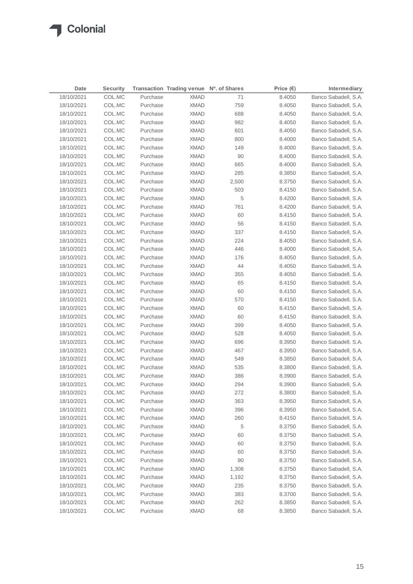| Date       | <b>Security</b> |          | Transaction Trading venue Nº. of Shares |       | Price $(\epsilon)$ | Intermediary         |
|------------|-----------------|----------|-----------------------------------------|-------|--------------------|----------------------|
| 18/10/2021 | COL.MC          | Purchase | <b>XMAD</b>                             | 71    | 8.4050             | Banco Sabadell, S.A. |
| 18/10/2021 | COL.MC          | Purchase | <b>XMAD</b>                             | 759   | 8.4050             | Banco Sabadell, S.A. |
| 18/10/2021 | COL.MC          | Purchase | <b>XMAD</b>                             | 688   | 8.4050             | Banco Sabadell, S.A. |
| 18/10/2021 | COL.MC          | Purchase | <b>XMAD</b>                             | 982   | 8.4050             | Banco Sabadell, S.A. |
| 18/10/2021 | COL.MC          | Purchase | <b>XMAD</b>                             | 601   | 8.4050             | Banco Sabadell, S.A. |
| 18/10/2021 | COL.MC          | Purchase | <b>XMAD</b>                             | 800   | 8.4000             | Banco Sabadell, S.A. |
| 18/10/2021 | COL.MC          | Purchase | <b>XMAD</b>                             | 149   | 8.4000             | Banco Sabadell, S.A. |
| 18/10/2021 | COL.MC          | Purchase | <b>XMAD</b>                             | 90    | 8.4000             | Banco Sabadell, S.A. |
| 18/10/2021 | COL.MC          | Purchase | <b>XMAD</b>                             | 665   | 8.4000             | Banco Sabadell, S.A. |
| 18/10/2021 | COL.MC          | Purchase | XMAD                                    | 285   | 8.3850             | Banco Sabadell, S.A. |
| 18/10/2021 | COL.MC          | Purchase | <b>XMAD</b>                             | 2,500 | 8.3750             | Banco Sabadell, S.A. |
| 18/10/2021 | COL.MC          | Purchase | XMAD                                    | 503   | 8.4150             | Banco Sabadell, S.A. |
| 18/10/2021 | COL.MC          | Purchase | <b>XMAD</b>                             | 5     | 8.4200             | Banco Sabadell, S.A. |
| 18/10/2021 | COL.MC          | Purchase | XMAD                                    | 761   | 8.4200             | Banco Sabadell, S.A. |
| 18/10/2021 | COL.MC          | Purchase | XMAD                                    | 60    | 8.4150             | Banco Sabadell, S.A. |
| 18/10/2021 | COL.MC          | Purchase | <b>XMAD</b>                             | 56    | 8.4150             | Banco Sabadell, S.A. |
| 18/10/2021 | COL.MC          | Purchase | <b>XMAD</b>                             | 337   | 8.4150             | Banco Sabadell, S.A. |
| 18/10/2021 | COL.MC          | Purchase | <b>XMAD</b>                             | 224   | 8.4050             | Banco Sabadell, S.A. |
| 18/10/2021 | COL.MC          | Purchase | <b>XMAD</b>                             | 446   | 8.4000             | Banco Sabadell, S.A. |
| 18/10/2021 | COL.MC          | Purchase | <b>XMAD</b>                             | 176   | 8.4050             | Banco Sabadell, S.A. |
| 18/10/2021 | COL.MC          | Purchase | <b>XMAD</b>                             | 44    | 8.4050             | Banco Sabadell, S.A. |
| 18/10/2021 | COL.MC          | Purchase | <b>XMAD</b>                             | 355   | 8.4050             | Banco Sabadell, S.A. |
| 18/10/2021 | COL.MC          | Purchase | XMAD                                    | 65    | 8.4150             | Banco Sabadell, S.A. |
| 18/10/2021 | COL.MC          | Purchase | XMAD                                    | 60    | 8.4150             | Banco Sabadell, S.A. |
| 18/10/2021 | COL.MC          | Purchase | <b>XMAD</b>                             | 570   | 8.4150             | Banco Sabadell, S.A. |
| 18/10/2021 | COL.MC          | Purchase | XMAD                                    | 60    | 8.4150             | Banco Sabadell, S.A. |
| 18/10/2021 | COL.MC          | Purchase | XMAD                                    | 60    | 8.4150             | Banco Sabadell, S.A. |
| 18/10/2021 | COL.MC          | Purchase | XMAD                                    | 399   | 8.4050             | Banco Sabadell, S.A. |
| 18/10/2021 | COL.MC          | Purchase | XMAD                                    | 528   | 8.4050             | Banco Sabadell, S.A. |
| 18/10/2021 | COL.MC          | Purchase | <b>XMAD</b>                             | 696   | 8.3950             | Banco Sabadell, S.A. |
| 18/10/2021 | COL.MC          | Purchase | XMAD                                    | 467   | 8.3950             | Banco Sabadell, S.A. |
| 18/10/2021 | COL.MC          | Purchase | <b>XMAD</b>                             | 549   | 8.3850             | Banco Sabadell, S.A. |
| 18/10/2021 | COL.MC          | Purchase | <b>XMAD</b>                             | 535   | 8.3800             | Banco Sabadell, S.A. |
| 18/10/2021 | COL.MC          | Purchase | <b>XMAD</b>                             | 386   | 8.3900             | Banco Sabadell, S.A. |
| 18/10/2021 | COL.MC          | Purchase | <b>XMAD</b>                             | 294   | 8.3900             | Banco Sabadell, S.A. |
| 18/10/2021 | COL.MC          | Purchase | <b>XMAD</b>                             | 272   | 8.3800             | Banco Sabadell, S.A. |
| 18/10/2021 | COL.MC          | Purchase | <b>XMAD</b>                             | 363   | 8.3950             | Banco Sabadell, S.A. |
| 18/10/2021 | COL.MC          | Purchase | <b>XMAD</b>                             | 396   | 8.3950             | Banco Sabadell, S.A. |
| 18/10/2021 | COL.MC          | Purchase | <b>XMAD</b>                             | 260   | 8.4150             | Banco Sabadell, S.A. |
| 18/10/2021 | COL.MC          | Purchase | <b>XMAD</b>                             | 5     | 8.3750             | Banco Sabadell, S.A. |
| 18/10/2021 | COL.MC          | Purchase | <b>XMAD</b>                             | 60    | 8.3750             | Banco Sabadell, S.A. |
| 18/10/2021 | COL.MC          | Purchase | <b>XMAD</b>                             | 60    | 8.3750             | Banco Sabadell, S.A. |
| 18/10/2021 | COL.MC          | Purchase | <b>XMAD</b>                             | 60    | 8.3750             | Banco Sabadell, S.A. |
| 18/10/2021 | COL.MC          | Purchase | <b>XMAD</b>                             | 90    | 8.3750             | Banco Sabadell, S.A. |
| 18/10/2021 | COL.MC          | Purchase | <b>XMAD</b>                             | 1,308 | 8.3750             | Banco Sabadell, S.A. |
| 18/10/2021 | COL.MC          | Purchase | <b>XMAD</b>                             | 1,192 | 8.3750             | Banco Sabadell, S.A. |
| 18/10/2021 | COL.MC          | Purchase | <b>XMAD</b>                             | 235   | 8.3750             | Banco Sabadell, S.A. |
| 18/10/2021 | COL.MC          | Purchase | <b>XMAD</b>                             | 383   | 8.3700             | Banco Sabadell, S.A. |
| 18/10/2021 | COL.MC          | Purchase | <b>XMAD</b>                             | 262   | 8.3850             | Banco Sabadell, S.A. |
| 18/10/2021 | COL.MC          | Purchase | <b>XMAD</b>                             | 68    | 8.3850             | Banco Sabadell, S.A. |
|            |                 |          |                                         |       |                    |                      |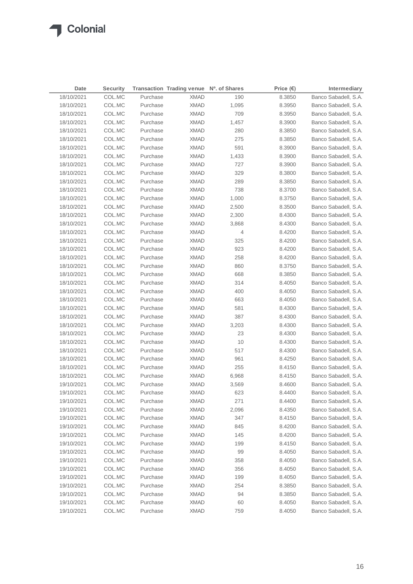| Date       | <b>Security</b> |          | Transaction Trading venue Nº. of Shares |       | Price $(\epsilon)$ | Intermediary         |
|------------|-----------------|----------|-----------------------------------------|-------|--------------------|----------------------|
| 18/10/2021 | COL.MC          | Purchase | <b>XMAD</b>                             | 190   | 8.3850             | Banco Sabadell, S.A. |
| 18/10/2021 | COL.MC          | Purchase | <b>XMAD</b>                             | 1,095 | 8.3950             | Banco Sabadell, S.A. |
| 18/10/2021 | COL.MC          | Purchase | <b>XMAD</b>                             | 709   | 8.3950             | Banco Sabadell, S.A. |
| 18/10/2021 | COL.MC          | Purchase | <b>XMAD</b>                             | 1,457 | 8.3900             | Banco Sabadell, S.A. |
| 18/10/2021 | COL.MC          | Purchase | <b>XMAD</b>                             | 280   | 8.3850             | Banco Sabadell, S.A. |
| 18/10/2021 | COL.MC          | Purchase | <b>XMAD</b>                             | 275   | 8.3850             | Banco Sabadell, S.A. |
| 18/10/2021 | COL.MC          | Purchase | <b>XMAD</b>                             | 591   | 8.3900             | Banco Sabadell, S.A. |
| 18/10/2021 | COL.MC          | Purchase | <b>XMAD</b>                             | 1,433 | 8.3900             | Banco Sabadell, S.A. |
| 18/10/2021 | COL.MC          | Purchase | <b>XMAD</b>                             | 727   | 8.3900             | Banco Sabadell, S.A. |
| 18/10/2021 | COL.MC          | Purchase | <b>XMAD</b>                             | 329   | 8.3800             | Banco Sabadell, S.A. |
| 18/10/2021 | COL.MC          | Purchase | <b>XMAD</b>                             | 289   | 8.3850             | Banco Sabadell, S.A. |
| 18/10/2021 | COL.MC          | Purchase | <b>XMAD</b>                             | 738   | 8.3700             | Banco Sabadell, S.A. |
| 18/10/2021 | COL.MC          | Purchase | <b>XMAD</b>                             | 1,000 | 8.3750             | Banco Sabadell, S.A. |
| 18/10/2021 | COL.MC          | Purchase | <b>XMAD</b>                             | 2,500 | 8.3500             | Banco Sabadell, S.A. |
| 18/10/2021 | COL.MC          | Purchase | <b>XMAD</b>                             | 2,300 | 8.4300             | Banco Sabadell, S.A. |
| 18/10/2021 | COL.MC          | Purchase | <b>XMAD</b>                             | 3,868 | 8.4300             | Banco Sabadell, S.A. |
| 18/10/2021 | COL.MC          | Purchase | <b>XMAD</b>                             | 4     | 8.4200             | Banco Sabadell, S.A. |
| 18/10/2021 | COL.MC          | Purchase | <b>XMAD</b>                             | 325   | 8.4200             | Banco Sabadell, S.A. |
| 18/10/2021 | COL.MC          | Purchase | <b>XMAD</b>                             | 923   | 8.4200             | Banco Sabadell, S.A. |
| 18/10/2021 | COL.MC          | Purchase | <b>XMAD</b>                             | 258   | 8.4200             | Banco Sabadell, S.A. |
| 18/10/2021 | COL.MC          | Purchase | XMAD                                    | 860   | 8.3750             | Banco Sabadell, S.A. |
| 18/10/2021 | COL.MC          | Purchase | <b>XMAD</b>                             | 668   | 8.3850             | Banco Sabadell, S.A. |
| 18/10/2021 | COL.MC          | Purchase | XMAD                                    | 314   | 8.4050             | Banco Sabadell, S.A. |
| 18/10/2021 | COL.MC          | Purchase | XMAD                                    | 400   | 8.4050             | Banco Sabadell, S.A. |
| 18/10/2021 | COL.MC          | Purchase | <b>XMAD</b>                             | 663   | 8.4050             | Banco Sabadell, S.A. |
| 18/10/2021 | COL.MC          | Purchase | XMAD                                    | 581   | 8.4300             | Banco Sabadell, S.A. |
| 18/10/2021 | COL.MC          | Purchase | XMAD                                    | 387   | 8.4300             | Banco Sabadell, S.A. |
| 18/10/2021 | COL.MC          | Purchase | XMAD                                    | 3,203 | 8.4300             | Banco Sabadell, S.A. |
| 18/10/2021 | COL.MC          | Purchase | XMAD                                    | 23    | 8.4300             | Banco Sabadell, S.A. |
| 18/10/2021 | COL.MC          | Purchase | XMAD                                    | 10    | 8.4300             | Banco Sabadell, S.A. |
| 18/10/2021 | COL.MC          | Purchase | XMAD                                    | 517   | 8.4300             | Banco Sabadell, S.A. |
| 18/10/2021 | COL.MC          | Purchase | <b>XMAD</b>                             | 961   | 8.4250             | Banco Sabadell, S.A. |
| 18/10/2021 | COL.MC          | Purchase | <b>XMAD</b>                             | 255   | 8.4150             | Banco Sabadell, S.A. |
| 18/10/2021 | COL.MC          | Purchase | <b>XMAD</b>                             | 6,968 | 8.4150             | Banco Sabadell, S.A. |
| 19/10/2021 | COL.MC          | Purchase | <b>XMAD</b>                             | 3,569 | 8.4600             | Banco Sabadell, S.A. |
| 19/10/2021 | COL.MC          | Purchase | <b>XMAD</b>                             | 623   | 8.4400             | Banco Sabadell, S.A. |
| 19/10/2021 | COL.MC          | Purchase | <b>XMAD</b>                             | 271   | 8.4400             | Banco Sabadell, S.A. |
| 19/10/2021 | COL.MC          | Purchase | <b>XMAD</b>                             | 2,096 | 8.4350             | Banco Sabadell, S.A. |
| 19/10/2021 | COL.MC          | Purchase | <b>XMAD</b>                             | 347   | 8.4150             | Banco Sabadell, S.A. |
| 19/10/2021 | COL.MC          | Purchase | <b>XMAD</b>                             | 845   | 8.4200             | Banco Sabadell, S.A. |
| 19/10/2021 | COL.MC          | Purchase | <b>XMAD</b>                             | 145   | 8.4200             | Banco Sabadell, S.A. |
| 19/10/2021 | COL.MC          | Purchase | <b>XMAD</b>                             | 199   | 8.4150             | Banco Sabadell, S.A. |
| 19/10/2021 | COL.MC          | Purchase | <b>XMAD</b>                             | 99    | 8.4050             | Banco Sabadell, S.A. |
| 19/10/2021 | COL.MC          | Purchase | <b>XMAD</b>                             | 358   | 8.4050             | Banco Sabadell, S.A. |
| 19/10/2021 | COL.MC          | Purchase | <b>XMAD</b>                             | 356   | 8.4050             | Banco Sabadell, S.A. |
| 19/10/2021 | COL.MC          | Purchase | <b>XMAD</b>                             | 199   | 8.4050             | Banco Sabadell, S.A. |
| 19/10/2021 | COL.MC          | Purchase | <b>XMAD</b>                             | 254   | 8.3850             | Banco Sabadell, S.A. |
| 19/10/2021 | COL.MC          | Purchase | <b>XMAD</b>                             | 94    | 8.3850             | Banco Sabadell, S.A. |
| 19/10/2021 | COL.MC          | Purchase | <b>XMAD</b>                             | 60    | 8.4050             | Banco Sabadell, S.A. |
| 19/10/2021 | COL.MC          | Purchase | <b>XMAD</b>                             | 759   | 8.4050             | Banco Sabadell, S.A. |
|            |                 |          |                                         |       |                    |                      |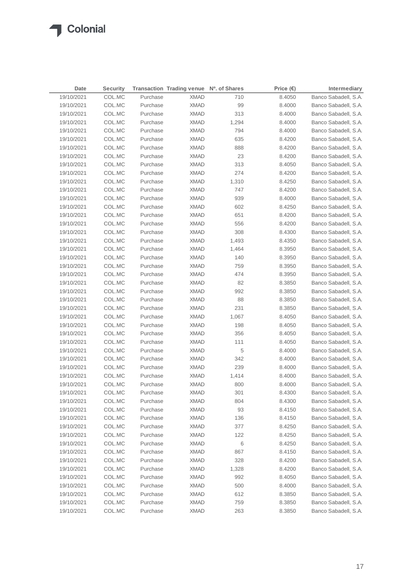| Date       | <b>Security</b> |          | Transaction Trading venue Nº. of Shares |       | Price $(\epsilon)$ | Intermediary         |
|------------|-----------------|----------|-----------------------------------------|-------|--------------------|----------------------|
| 19/10/2021 | COL.MC          | Purchase | <b>XMAD</b>                             | 710   | 8.4050             | Banco Sabadell, S.A. |
| 19/10/2021 | COL.MC          | Purchase | <b>XMAD</b>                             | 99    | 8.4000             | Banco Sabadell, S.A. |
| 19/10/2021 | COL.MC          | Purchase | <b>XMAD</b>                             | 313   | 8.4000             | Banco Sabadell, S.A. |
| 19/10/2021 | COL.MC          | Purchase | <b>XMAD</b>                             | 1,294 | 8.4000             | Banco Sabadell, S.A. |
| 19/10/2021 | COL.MC          | Purchase | <b>XMAD</b>                             | 794   | 8.4000             | Banco Sabadell, S.A. |
| 19/10/2021 | COL.MC          | Purchase | <b>XMAD</b>                             | 635   | 8.4200             | Banco Sabadell, S.A. |
| 19/10/2021 | COL.MC          | Purchase | <b>XMAD</b>                             | 888   | 8.4200             | Banco Sabadell, S.A. |
| 19/10/2021 | COL.MC          | Purchase | <b>XMAD</b>                             | 23    | 8.4200             | Banco Sabadell, S.A. |
| 19/10/2021 | COL.MC          | Purchase | <b>XMAD</b>                             | 313   | 8.4050             | Banco Sabadell, S.A. |
| 19/10/2021 | COL.MC          | Purchase | <b>XMAD</b>                             | 274   | 8.4200             | Banco Sabadell, S.A. |
| 19/10/2021 | COL.MC          | Purchase | <b>XMAD</b>                             | 1,310 | 8.4250             | Banco Sabadell, S.A. |
| 19/10/2021 | COL.MC          | Purchase | <b>XMAD</b>                             | 747   | 8.4200             | Banco Sabadell, S.A. |
| 19/10/2021 | COL.MC          | Purchase | <b>XMAD</b>                             | 939   | 8.4000             | Banco Sabadell, S.A. |
| 19/10/2021 | COL.MC          | Purchase | <b>XMAD</b>                             | 602   | 8.4250             | Banco Sabadell, S.A. |
| 19/10/2021 | COL.MC          | Purchase | <b>XMAD</b>                             | 651   | 8.4200             | Banco Sabadell, S.A. |
| 19/10/2021 | COL.MC          | Purchase | <b>XMAD</b>                             | 556   | 8.4200             | Banco Sabadell, S.A. |
| 19/10/2021 | COL.MC          | Purchase | <b>XMAD</b>                             | 308   | 8.4300             | Banco Sabadell, S.A. |
| 19/10/2021 | COL.MC          | Purchase | <b>XMAD</b>                             | 1,493 | 8.4350             | Banco Sabadell, S.A. |
| 19/10/2021 | COL.MC          | Purchase | <b>XMAD</b>                             | 1,464 | 8.3950             | Banco Sabadell, S.A. |
| 19/10/2021 | COL.MC          | Purchase | <b>XMAD</b>                             | 140   | 8.3950             | Banco Sabadell, S.A. |
| 19/10/2021 | COL.MC          | Purchase | <b>XMAD</b>                             | 759   | 8.3950             | Banco Sabadell, S.A. |
| 19/10/2021 | COL.MC          | Purchase | <b>XMAD</b>                             | 474   | 8.3950             | Banco Sabadell, S.A. |
| 19/10/2021 | COL.MC          | Purchase | <b>XMAD</b>                             | 82    | 8.3850             | Banco Sabadell, S.A. |
| 19/10/2021 | COL.MC          | Purchase | <b>XMAD</b>                             | 992   | 8.3850             | Banco Sabadell, S.A. |
| 19/10/2021 | COL.MC          | Purchase | <b>XMAD</b>                             | 88    | 8.3850             | Banco Sabadell, S.A. |
| 19/10/2021 | COL.MC          | Purchase | <b>XMAD</b>                             | 231   | 8.3850             | Banco Sabadell, S.A. |
| 19/10/2021 | COL.MC          | Purchase | <b>XMAD</b>                             | 1,067 | 8.4050             | Banco Sabadell, S.A. |
| 19/10/2021 | COL.MC          | Purchase | <b>XMAD</b>                             | 198   | 8.4050             | Banco Sabadell, S.A. |
| 19/10/2021 | COL.MC          | Purchase | <b>XMAD</b>                             | 356   | 8.4050             | Banco Sabadell, S.A. |
| 19/10/2021 | COL.MC          | Purchase | <b>XMAD</b>                             | 111   | 8.4050             | Banco Sabadell, S.A. |
| 19/10/2021 | COL.MC          | Purchase | <b>XMAD</b>                             | 5     | 8.4000             | Banco Sabadell, S.A. |
| 19/10/2021 | COL.MC          | Purchase | <b>XMAD</b>                             | 342   | 8.4000             | Banco Sabadell, S.A. |
| 19/10/2021 | COL.MC          | Purchase | <b>XMAD</b>                             | 239   | 8.4000             | Banco Sabadell, S.A. |
| 19/10/2021 | COL.MC          | Purchase | <b>XMAD</b>                             | 1,414 | 8.4000             | Banco Sabadell, S.A. |
| 19/10/2021 | COL.MC          | Purchase | <b>XMAD</b>                             | 800   | 8.4000             | Banco Sabadell, S.A. |
| 19/10/2021 | COL.MC          | Purchase | <b>XMAD</b>                             | 301   | 8.4300             | Banco Sabadell, S.A. |
| 19/10/2021 | COL.MC          | Purchase | <b>XMAD</b>                             | 804   | 8.4300             | Banco Sabadell, S.A. |
| 19/10/2021 | COL.MC          | Purchase | <b>XMAD</b>                             | 93    | 8.4150             | Banco Sabadell, S.A. |
| 19/10/2021 | COL.MC          | Purchase | <b>XMAD</b>                             | 136   | 8.4150             | Banco Sabadell, S.A. |
| 19/10/2021 | COL.MC          | Purchase | <b>XMAD</b>                             | 377   | 8.4250             | Banco Sabadell, S.A. |
| 19/10/2021 | COL.MC          | Purchase | <b>XMAD</b>                             | 122   | 8.4250             | Banco Sabadell, S.A. |
| 19/10/2021 | COL.MC          | Purchase | <b>XMAD</b>                             | 6     | 8.4250             | Banco Sabadell, S.A. |
| 19/10/2021 | COL.MC          | Purchase | <b>XMAD</b>                             | 867   | 8.4150             | Banco Sabadell, S.A. |
| 19/10/2021 | COL.MC          | Purchase | <b>XMAD</b>                             | 328   | 8.4200             | Banco Sabadell, S.A. |
| 19/10/2021 | COL.MC          | Purchase | <b>XMAD</b>                             | 1,328 | 8.4200             | Banco Sabadell, S.A. |
| 19/10/2021 | COL.MC          | Purchase | <b>XMAD</b>                             | 992   | 8.4050             | Banco Sabadell, S.A. |
| 19/10/2021 | COL.MC          | Purchase | <b>XMAD</b>                             | 500   | 8.4000             | Banco Sabadell, S.A. |
| 19/10/2021 | COL.MC          | Purchase | <b>XMAD</b>                             | 612   | 8.3850             | Banco Sabadell, S.A. |
| 19/10/2021 | COL.MC          | Purchase | <b>XMAD</b>                             | 759   | 8.3850             | Banco Sabadell, S.A. |
| 19/10/2021 | COL.MC          | Purchase | <b>XMAD</b>                             | 263   | 8.3850             | Banco Sabadell, S.A. |
|            |                 |          |                                         |       |                    |                      |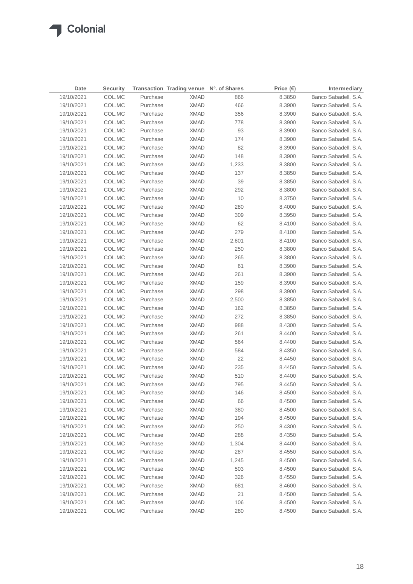| Date       | <b>Security</b> |          | Transaction Trading venue Nº. of Shares |       | Price $(€)$ | Intermediary         |
|------------|-----------------|----------|-----------------------------------------|-------|-------------|----------------------|
| 19/10/2021 | COL.MC          | Purchase | <b>XMAD</b>                             | 866   | 8.3850      | Banco Sabadell, S.A. |
| 19/10/2021 | COL.MC          | Purchase | <b>XMAD</b>                             | 466   | 8.3900      | Banco Sabadell, S.A. |
| 19/10/2021 | COL.MC          | Purchase | <b>XMAD</b>                             | 356   | 8.3900      | Banco Sabadell, S.A. |
| 19/10/2021 | COL.MC          | Purchase | <b>XMAD</b>                             | 778   | 8.3900      | Banco Sabadell, S.A. |
| 19/10/2021 | COL.MC          | Purchase | <b>XMAD</b>                             | 93    | 8.3900      | Banco Sabadell, S.A. |
| 19/10/2021 | COL.MC          | Purchase | <b>XMAD</b>                             | 174   | 8.3900      | Banco Sabadell, S.A. |
| 19/10/2021 | COL.MC          | Purchase | <b>XMAD</b>                             | 82    | 8.3900      | Banco Sabadell, S.A. |
| 19/10/2021 | COL.MC          | Purchase | <b>XMAD</b>                             | 148   | 8.3900      | Banco Sabadell, S.A. |
| 19/10/2021 | COL.MC          | Purchase | <b>XMAD</b>                             | 1,233 | 8.3800      | Banco Sabadell, S.A. |
| 19/10/2021 | COL.MC          | Purchase | XMAD                                    | 137   | 8.3850      | Banco Sabadell, S.A. |
| 19/10/2021 | COL.MC          | Purchase | <b>XMAD</b>                             | 39    | 8.3850      | Banco Sabadell, S.A. |
| 19/10/2021 | COL.MC          | Purchase | XMAD                                    | 292   | 8.3800      | Banco Sabadell, S.A. |
| 19/10/2021 | COL.MC          | Purchase | <b>XMAD</b>                             | 10    | 8.3750      | Banco Sabadell, S.A. |
| 19/10/2021 | COL.MC          | Purchase | XMAD                                    | 280   | 8.4000      | Banco Sabadell, S.A. |
| 19/10/2021 | COL.MC          | Purchase | XMAD                                    | 309   | 8.3950      | Banco Sabadell, S.A. |
| 19/10/2021 | COL.MC          | Purchase | <b>XMAD</b>                             | 62    | 8.4100      | Banco Sabadell, S.A. |
| 19/10/2021 | COL.MC          | Purchase | <b>XMAD</b>                             | 279   | 8.4100      | Banco Sabadell, S.A. |
| 19/10/2021 | COL.MC          | Purchase | <b>XMAD</b>                             | 2,601 | 8.4100      | Banco Sabadell, S.A. |
| 19/10/2021 | COL.MC          | Purchase | <b>XMAD</b>                             | 250   | 8.3800      | Banco Sabadell, S.A. |
| 19/10/2021 | COL.MC          | Purchase | <b>XMAD</b>                             | 265   | 8.3800      | Banco Sabadell, S.A. |
| 19/10/2021 | COL.MC          | Purchase | <b>XMAD</b>                             | 61    | 8.3900      | Banco Sabadell, S.A. |
| 19/10/2021 | COL.MC          | Purchase | <b>XMAD</b>                             | 261   | 8.3900      | Banco Sabadell, S.A. |
| 19/10/2021 | COL.MC          | Purchase | XMAD                                    | 159   | 8.3900      | Banco Sabadell, S.A. |
| 19/10/2021 | COL.MC          | Purchase | XMAD                                    | 298   | 8.3900      | Banco Sabadell, S.A. |
| 19/10/2021 | COL.MC          | Purchase | XMAD                                    | 2,500 | 8.3850      | Banco Sabadell, S.A. |
| 19/10/2021 | COL.MC          | Purchase | XMAD                                    | 162   | 8.3850      | Banco Sabadell, S.A. |
| 19/10/2021 | COL.MC          | Purchase | XMAD                                    | 272   | 8.3850      | Banco Sabadell, S.A. |
| 19/10/2021 | COL.MC          | Purchase | XMAD                                    | 988   | 8.4300      | Banco Sabadell, S.A. |
| 19/10/2021 | COL.MC          | Purchase | XMAD                                    | 261   | 8.4400      | Banco Sabadell, S.A. |
| 19/10/2021 | COL.MC          | Purchase | XMAD                                    | 564   | 8.4400      | Banco Sabadell, S.A. |
| 19/10/2021 | COL.MC          | Purchase | XMAD                                    | 584   | 8.4350      | Banco Sabadell, S.A. |
| 19/10/2021 | COL.MC          | Purchase | <b>XMAD</b>                             | 22    | 8.4450      | Banco Sabadell, S.A. |
| 19/10/2021 | COL.MC          | Purchase | <b>XMAD</b>                             | 235   | 8.4450      | Banco Sabadell, S.A. |
| 19/10/2021 | COL.MC          | Purchase | <b>XMAD</b>                             | 510   | 8.4400      | Banco Sabadell, S.A. |
| 19/10/2021 | COL.MC          | Purchase | <b>XMAD</b>                             | 795   | 8.4450      | Banco Sabadell, S.A. |
| 19/10/2021 | COL.MC          | Purchase | <b>XMAD</b>                             | 146   | 8.4500      | Banco Sabadell, S.A. |
| 19/10/2021 | COL.MC          | Purchase | <b>XMAD</b>                             | 66    | 8.4500      | Banco Sabadell, S.A. |
| 19/10/2021 | COL.MC          | Purchase | <b>XMAD</b>                             | 380   | 8.4500      | Banco Sabadell, S.A. |
| 19/10/2021 | COL.MC          | Purchase | <b>XMAD</b>                             | 194   | 8.4500      | Banco Sabadell, S.A. |
| 19/10/2021 | COL.MC          | Purchase | <b>XMAD</b>                             | 250   | 8.4300      | Banco Sabadell, S.A. |
| 19/10/2021 | COL.MC          | Purchase | <b>XMAD</b>                             | 288   | 8.4350      | Banco Sabadell, S.A. |
| 19/10/2021 | COL.MC          | Purchase | <b>XMAD</b>                             | 1,304 | 8.4400      | Banco Sabadell, S.A. |
| 19/10/2021 | COL.MC          | Purchase | <b>XMAD</b>                             | 287   | 8.4550      | Banco Sabadell, S.A. |
| 19/10/2021 | COL.MC          | Purchase | <b>XMAD</b>                             | 1,245 | 8.4500      | Banco Sabadell, S.A. |
| 19/10/2021 | COL.MC          | Purchase | <b>XMAD</b>                             | 503   | 8.4500      | Banco Sabadell, S.A. |
| 19/10/2021 | COL.MC          | Purchase | <b>XMAD</b>                             | 326   | 8.4550      | Banco Sabadell, S.A. |
| 19/10/2021 | COL.MC          | Purchase | <b>XMAD</b>                             | 681   | 8.4600      | Banco Sabadell, S.A. |
| 19/10/2021 | COL.MC          | Purchase | <b>XMAD</b>                             | 21    | 8.4500      | Banco Sabadell, S.A. |
| 19/10/2021 | COL.MC          | Purchase | <b>XMAD</b>                             | 106   | 8.4500      | Banco Sabadell, S.A. |
| 19/10/2021 | COL.MC          | Purchase | <b>XMAD</b>                             | 280   | 8.4500      | Banco Sabadell, S.A. |
|            |                 |          |                                         |       |             |                      |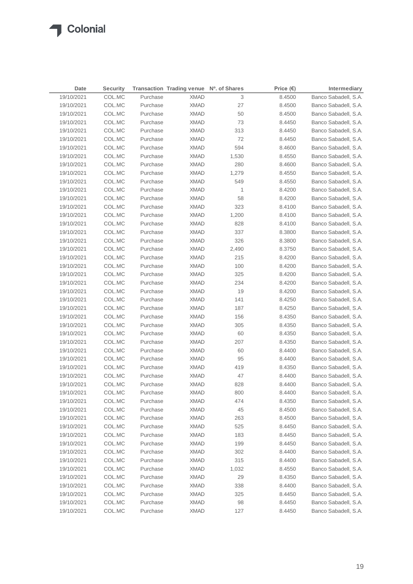| Date       | <b>Security</b> |          | Transaction Trading venue Nº. of Shares |       | Price $(\epsilon)$ | Intermediary         |
|------------|-----------------|----------|-----------------------------------------|-------|--------------------|----------------------|
| 19/10/2021 | COL.MC          | Purchase | <b>XMAD</b>                             | 3     | 8.4500             | Banco Sabadell, S.A. |
| 19/10/2021 | COL.MC          | Purchase | <b>XMAD</b>                             | 27    | 8.4500             | Banco Sabadell, S.A. |
| 19/10/2021 | COL.MC          | Purchase | <b>XMAD</b>                             | 50    | 8.4500             | Banco Sabadell, S.A. |
| 19/10/2021 | COL.MC          | Purchase | <b>XMAD</b>                             | 73    | 8.4450             | Banco Sabadell, S.A. |
| 19/10/2021 | COL.MC          | Purchase | <b>XMAD</b>                             | 313   | 8.4450             | Banco Sabadell, S.A. |
| 19/10/2021 | COL.MC          | Purchase | <b>XMAD</b>                             | 72    | 8.4450             | Banco Sabadell, S.A. |
| 19/10/2021 | COL.MC          | Purchase | <b>XMAD</b>                             | 594   | 8.4600             | Banco Sabadell, S.A. |
| 19/10/2021 | COL.MC          | Purchase | <b>XMAD</b>                             | 1,530 | 8.4550             | Banco Sabadell, S.A. |
| 19/10/2021 | COL.MC          | Purchase | <b>XMAD</b>                             | 280   | 8.4600             | Banco Sabadell, S.A. |
| 19/10/2021 | COL.MC          | Purchase | <b>XMAD</b>                             | 1,279 | 8.4550             | Banco Sabadell, S.A. |
| 19/10/2021 | COL.MC          | Purchase | <b>XMAD</b>                             | 549   | 8.4550             | Banco Sabadell, S.A. |
| 19/10/2021 | COL.MC          | Purchase | XMAD                                    | 1     | 8.4200             | Banco Sabadell, S.A. |
| 19/10/2021 | COL.MC          | Purchase | XMAD                                    | 58    | 8.4200             | Banco Sabadell, S.A. |
| 19/10/2021 | COL.MC          | Purchase | <b>XMAD</b>                             | 323   | 8.4100             | Banco Sabadell, S.A. |
| 19/10/2021 | COL.MC          | Purchase | XMAD                                    | 1,200 | 8.4100             | Banco Sabadell, S.A. |
| 19/10/2021 | COL.MC          | Purchase | XMAD                                    | 828   | 8.4100             | Banco Sabadell, S.A. |
| 19/10/2021 | COL.MC          | Purchase | XMAD                                    | 337   | 8.3800             | Banco Sabadell, S.A. |
| 19/10/2021 | COL.MC          | Purchase | <b>XMAD</b>                             | 326   | 8.3800             | Banco Sabadell, S.A. |
| 19/10/2021 | COL.MC          | Purchase | <b>XMAD</b>                             | 2,490 | 8.3750             | Banco Sabadell, S.A. |
| 19/10/2021 | COL.MC          | Purchase | <b>XMAD</b>                             | 215   | 8.4200             | Banco Sabadell, S.A. |
| 19/10/2021 | COL.MC          | Purchase | <b>XMAD</b>                             | 100   | 8.4200             | Banco Sabadell, S.A. |
| 19/10/2021 | COL.MC          | Purchase | <b>XMAD</b>                             | 325   | 8.4200             | Banco Sabadell, S.A. |
| 19/10/2021 | COL.MC          | Purchase | XMAD                                    | 234   | 8.4200             | Banco Sabadell, S.A. |
| 19/10/2021 | COL.MC          | Purchase | <b>XMAD</b>                             | 19    | 8.4200             | Banco Sabadell, S.A. |
| 19/10/2021 | COL.MC          | Purchase | <b>XMAD</b>                             | 141   | 8.4250             | Banco Sabadell, S.A. |
| 19/10/2021 | COL.MC          | Purchase | XMAD                                    | 187   | 8.4250             | Banco Sabadell, S.A. |
| 19/10/2021 | COL.MC          | Purchase | <b>XMAD</b>                             | 156   | 8.4350             | Banco Sabadell, S.A. |
| 19/10/2021 | COL.MC          | Purchase | XMAD                                    | 305   | 8.4350             | Banco Sabadell, S.A. |
| 19/10/2021 | COL.MC          | Purchase | XMAD                                    | 60    | 8.4350             | Banco Sabadell, S.A. |
| 19/10/2021 | COL.MC          | Purchase | XMAD                                    | 207   | 8.4350             | Banco Sabadell, S.A. |
| 19/10/2021 | COL.MC          | Purchase | XMAD                                    | 60    | 8.4400             | Banco Sabadell, S.A. |
| 19/10/2021 | COL.MC          | Purchase | XMAD                                    | 95    | 8.4400             | Banco Sabadell, S.A. |
| 19/10/2021 | COL.MC          | Purchase | <b>XMAD</b>                             | 419   | 8.4350             | Banco Sabadell, S.A. |
| 19/10/2021 | COL.MC          | Purchase | <b>XMAD</b>                             | 47    | 8.4400             | Banco Sabadell, S.A. |
| 19/10/2021 | COL.MC          | Purchase | <b>XMAD</b>                             | 828   | 8.4400             | Banco Sabadell, S.A. |
| 19/10/2021 | COL.MC          | Purchase | <b>XMAD</b>                             | 800   | 8.4400             | Banco Sabadell, S.A. |
| 19/10/2021 | COL.MC          | Purchase | <b>XMAD</b>                             | 474   | 8.4350             | Banco Sabadell, S.A. |
| 19/10/2021 | COL.MC          | Purchase | <b>XMAD</b>                             | 45    | 8.4500             | Banco Sabadell, S.A. |
| 19/10/2021 | COL.MC          | Purchase | <b>XMAD</b>                             | 263   | 8.4500             | Banco Sabadell, S.A. |
| 19/10/2021 | COL.MC          | Purchase | <b>XMAD</b>                             | 525   | 8.4450             | Banco Sabadell, S.A. |
| 19/10/2021 | COL.MC          | Purchase | <b>XMAD</b>                             | 183   | 8.4450             | Banco Sabadell, S.A. |
| 19/10/2021 | COL.MC          | Purchase | <b>XMAD</b>                             | 199   | 8.4450             | Banco Sabadell, S.A. |
| 19/10/2021 | COL.MC          | Purchase | <b>XMAD</b>                             | 302   | 8.4400             | Banco Sabadell, S.A. |
| 19/10/2021 | COL.MC          | Purchase | <b>XMAD</b>                             | 315   | 8.4400             | Banco Sabadell, S.A. |
| 19/10/2021 | COL.MC          | Purchase | <b>XMAD</b>                             | 1,032 | 8.4550             | Banco Sabadell, S.A. |
| 19/10/2021 | COL.MC          | Purchase | <b>XMAD</b>                             | 29    | 8.4350             | Banco Sabadell, S.A. |
| 19/10/2021 | COL.MC          | Purchase | <b>XMAD</b>                             | 338   | 8.4400             | Banco Sabadell, S.A. |
| 19/10/2021 | COL.MC          | Purchase | <b>XMAD</b>                             | 325   | 8.4450             | Banco Sabadell, S.A. |
| 19/10/2021 | COL.MC          | Purchase | <b>XMAD</b>                             | 98    | 8.4450             | Banco Sabadell, S.A. |
| 19/10/2021 | COL.MC          | Purchase | <b>XMAD</b>                             | 127   | 8.4450             | Banco Sabadell, S.A. |
|            |                 |          |                                         |       |                    |                      |